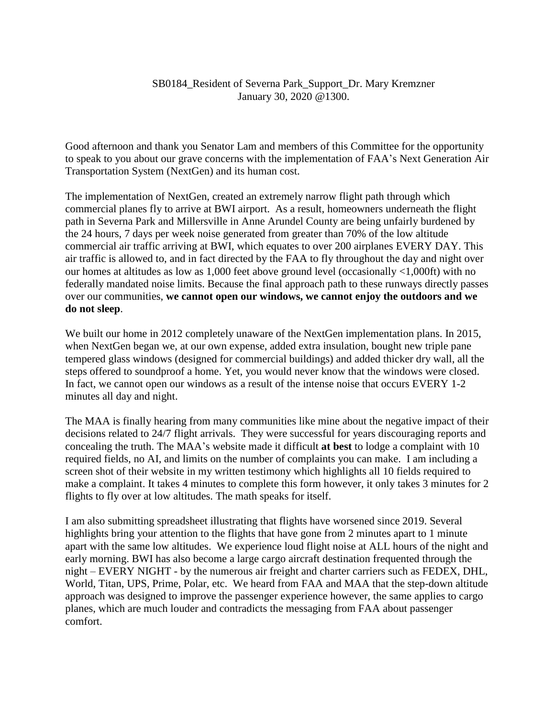## SB0184\_Resident of Severna Park\_Support\_Dr. Mary Kremzner January 30, 2020 @1300.

Good afternoon and thank you Senator Lam and members of this Committee for the opportunity to speak to you about our grave concerns with the implementation of FAA's Next Generation Air Transportation System (NextGen) and its human cost.

The implementation of NextGen, created an extremely narrow flight path through which commercial planes fly to arrive at BWI airport. As a result, homeowners underneath the flight path in Severna Park and Millersville in Anne Arundel County are being unfairly burdened by the 24 hours, 7 days per week noise generated from greater than 70% of the low altitude commercial air traffic arriving at BWI, which equates to over 200 airplanes EVERY DAY. This air traffic is allowed to, and in fact directed by the FAA to fly throughout the day and night over our homes at altitudes as low as 1,000 feet above ground level (occasionally <1,000ft) with no federally mandated noise limits. Because the final approach path to these runways directly passes over our communities, **we cannot open our windows, we cannot enjoy the outdoors and we do not sleep**.

We built our home in 2012 completely unaware of the NextGen implementation plans. In 2015, when NextGen began we, at our own expense, added extra insulation, bought new triple pane tempered glass windows (designed for commercial buildings) and added thicker dry wall, all the steps offered to soundproof a home. Yet, you would never know that the windows were closed. In fact, we cannot open our windows as a result of the intense noise that occurs EVERY 1-2 minutes all day and night.

The MAA is finally hearing from many communities like mine about the negative impact of their decisions related to 24/7 flight arrivals. They were successful for years discouraging reports and concealing the truth. The MAA's website made it difficult **at best** to lodge a complaint with 10 required fields, no AI, and limits on the number of complaints you can make. I am including a screen shot of their website in my written testimony which highlights all 10 fields required to make a complaint. It takes 4 minutes to complete this form however, it only takes 3 minutes for 2 flights to fly over at low altitudes. The math speaks for itself.

I am also submitting spreadsheet illustrating that flights have worsened since 2019. Several highlights bring your attention to the flights that have gone from 2 minutes apart to 1 minute apart with the same low altitudes. We experience loud flight noise at ALL hours of the night and early morning. BWI has also become a large cargo aircraft destination frequented through the night – EVERY NIGHT - by the numerous air freight and charter carriers such as FEDEX, DHL, World, Titan, UPS, Prime, Polar, etc. We heard from FAA and MAA that the step-down altitude approach was designed to improve the passenger experience however, the same applies to cargo planes, which are much louder and contradicts the messaging from FAA about passenger comfort.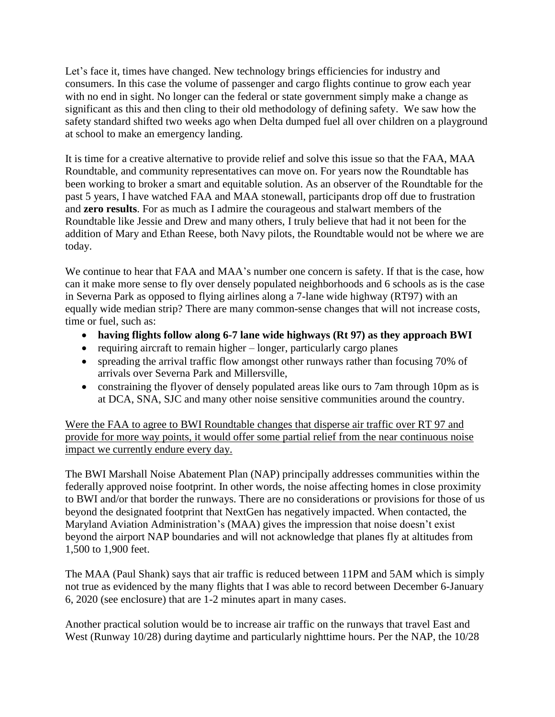Let's face it, times have changed. New technology brings efficiencies for industry and consumers. In this case the volume of passenger and cargo flights continue to grow each year with no end in sight. No longer can the federal or state government simply make a change as significant as this and then cling to their old methodology of defining safety. We saw how the safety standard shifted two weeks ago when Delta dumped fuel all over children on a playground at school to make an emergency landing.

It is time for a creative alternative to provide relief and solve this issue so that the FAA, MAA Roundtable, and community representatives can move on. For years now the Roundtable has been working to broker a smart and equitable solution. As an observer of the Roundtable for the past 5 years, I have watched FAA and MAA stonewall, participants drop off due to frustration and **zero results**. For as much as I admire the courageous and stalwart members of the Roundtable like Jessie and Drew and many others, I truly believe that had it not been for the addition of Mary and Ethan Reese, both Navy pilots, the Roundtable would not be where we are today.

We continue to hear that FAA and MAA's number one concern is safety. If that is the case, how can it make more sense to fly over densely populated neighborhoods and 6 schools as is the case in Severna Park as opposed to flying airlines along a 7-lane wide highway (RT97) with an equally wide median strip? There are many common-sense changes that will not increase costs, time or fuel, such as:

- **having flights follow along 6-7 lane wide highways (Rt 97) as they approach BWI**
- requiring aircraft to remain higher longer, particularly cargo planes
- spreading the arrival traffic flow amongst other runways rather than focusing 70% of arrivals over Severna Park and Millersville,
- constraining the flyover of densely populated areas like ours to 7am through 10pm as is at DCA, SNA, SJC and many other noise sensitive communities around the country.

Were the FAA to agree to BWI Roundtable changes that disperse air traffic over RT 97 and provide for more way points, it would offer some partial relief from the near continuous noise impact we currently endure every day.

The BWI Marshall Noise Abatement Plan (NAP) principally addresses communities within the federally approved noise footprint. In other words, the noise affecting homes in close proximity to BWI and/or that border the runways. There are no considerations or provisions for those of us beyond the designated footprint that NextGen has negatively impacted. When contacted, the Maryland Aviation Administration's (MAA) gives the impression that noise doesn't exist beyond the airport NAP boundaries and will not acknowledge that planes fly at altitudes from 1,500 to 1,900 feet.

The MAA (Paul Shank) says that air traffic is reduced between 11PM and 5AM which is simply not true as evidenced by the many flights that I was able to record between December 6-January 6, 2020 (see enclosure) that are 1-2 minutes apart in many cases.

Another practical solution would be to increase air traffic on the runways that travel East and West (Runway 10/28) during daytime and particularly nighttime hours. Per the NAP, the 10/28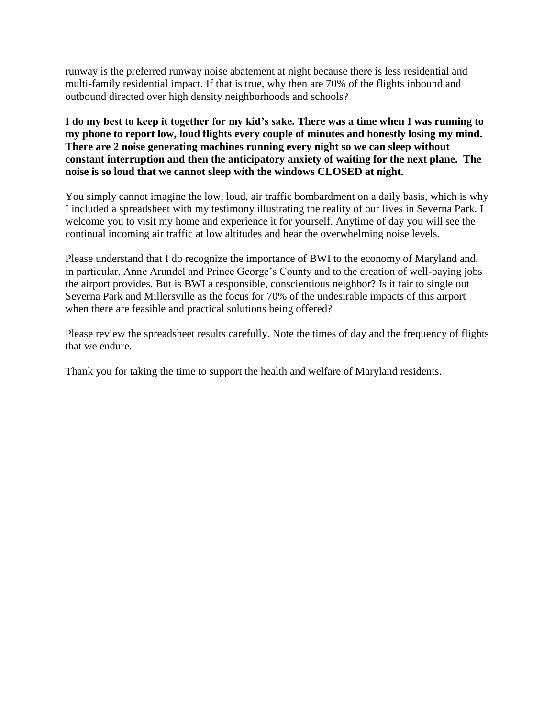runway is the preferred runway noise abatement at night because there is less residential and multi-family residential impact. If that is true, why then are 70% of the flights inbound and outbound directed over high density neighborhoods and schools?

**I do my best to keep it together for my kid's sake. There was a time when I was running to my phone to report low, loud flights every couple of minutes and honestly losing my mind. There are 2 noise generating machines running every night so we can sleep without constant interruption and then the anticipatory anxiety of waiting for the next plane. The noise is so loud that we cannot sleep with the windows CLOSED at night.**

You simply cannot imagine the low, loud, air traffic bombardment on a daily basis, which is why I included a spreadsheet with my testimony illustrating the reality of our lives in Severna Park. I welcome you to visit my home and experience it for yourself. Anytime of day you will see the continual incoming air traffic at low altitudes and hear the overwhelming noise levels.

Please understand that I do recognize the importance of BWI to the economy of Maryland and, in particular, Anne Arundel and Prince George's County and to the creation of well-paying jobs the airport provides. But is BWI a responsible, conscientious neighbor? Is it fair to single out Severna Park and Millersville as the focus for 70% of the undesirable impacts of this airport when there are feasible and practical solutions being offered?

Please review the spreadsheet results carefully. Note the times of day and the frequency of flights that we endure.

Thank you for taking the time to support the health and welfare of Maryland residents.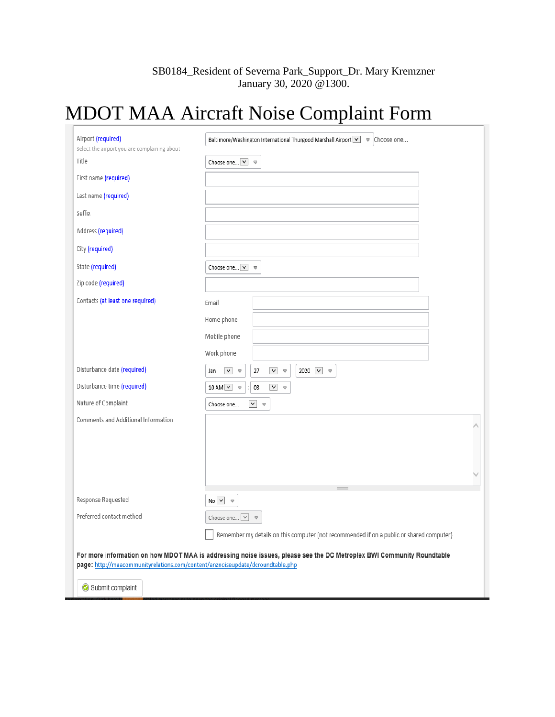## SB0184\_Resident of Severna Park\_Support\_Dr. Mary Kremzner January 30, 2020 @1300.

## MDOT MAA Aircraft Noise Complaint Form

| Airport (required)<br>Select the airport you are complaining about             | Baltimore/Washington International Thurgood Marshall Airport V v Choose one                                              |
|--------------------------------------------------------------------------------|--------------------------------------------------------------------------------------------------------------------------|
| Title                                                                          | Choose one $\boxed{\vee}$ $\Rightarrow$                                                                                  |
| First name (required)                                                          |                                                                                                                          |
| Last name (required)                                                           |                                                                                                                          |
| Suffix                                                                         |                                                                                                                          |
| Address (required)                                                             |                                                                                                                          |
| City (required)                                                                |                                                                                                                          |
| State (required)                                                               | Choose one $\boxed{\vee}$ $\Rightarrow$                                                                                  |
| Zip code (required)                                                            |                                                                                                                          |
| Contacts (at least one required)                                               | Email                                                                                                                    |
|                                                                                | Home phone                                                                                                               |
|                                                                                | Mobile phone                                                                                                             |
|                                                                                | Work phone                                                                                                               |
| Disturbance date (required)                                                    | $\checkmark$<br>2020 $\vee$ $\heartsuit$<br>$\checkmark$<br>27<br>$\blacktriangledown$<br>Jan<br>$\overline{\mathbf{v}}$ |
| Disturbance time (required)                                                    | 10 AM $\vee$ $\heartsuit$<br>$\blacktriangledown$<br>03<br>$\bigtriangledown$                                            |
| Nature of Complaint                                                            | $\vee$ $\heartsuit$<br>Choose one                                                                                        |
| Comments and Additional Information                                            |                                                                                                                          |
|                                                                                |                                                                                                                          |
|                                                                                |                                                                                                                          |
|                                                                                |                                                                                                                          |
| Response Requested                                                             | $No \vee \emptyset$                                                                                                      |
| Preferred contact method                                                       | Choose one $\boxed{\vee}$ $\Rightarrow$                                                                                  |
|                                                                                | Remember my details on this computer (not recommended if on a public or shared computer)                                 |
| page: http://maacommunityrelations.com/content/anznoiseupdate/dcroundtable.php | For more information on how MDOT MAA is addressing noise issues, please see the DC Metroplex BWI Community Roundtable    |
| Submit complaint                                                               |                                                                                                                          |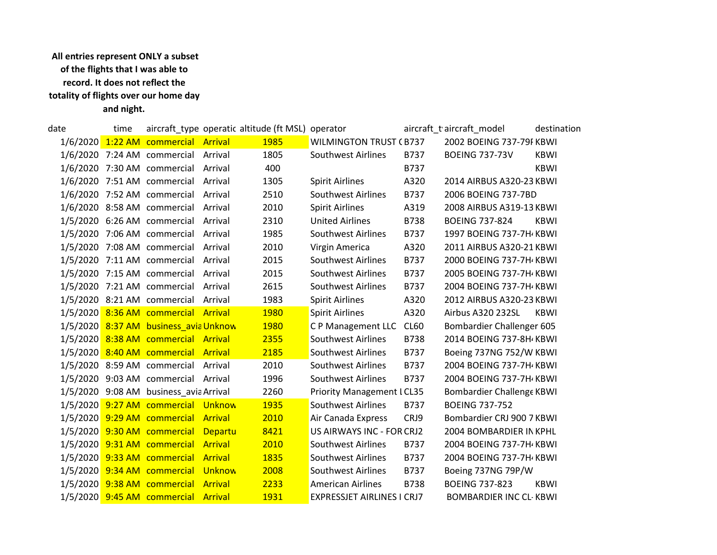## All entries represent ONLY a subset of the flights that I was able to record. It does not reflect the totality of flights over our home day and night.

| date | time |                                        |                | aircraft_type operatic altitude (ft MSL) operator |                                   |             | aircraft_t aircraft_model     | destination |
|------|------|----------------------------------------|----------------|---------------------------------------------------|-----------------------------------|-------------|-------------------------------|-------------|
|      |      | 1/6/2020 1:22 AM commercial Arrival    |                | 1985                                              | <b>WILMINGTON TRUST (B737</b>     |             | 2002 BOEING 737-79F KBWI      |             |
|      |      | 1/6/2020 7:24 AM commercial            | Arrival        | 1805                                              | <b>Southwest Airlines</b>         | B737        | <b>BOEING 737-73V</b>         | <b>KBWI</b> |
|      |      | 1/6/2020 7:30 AM commercial            | Arrival        | 400                                               |                                   | B737        |                               | <b>KBWI</b> |
|      |      | 1/6/2020 7:51 AM commercial            | Arrival        | 1305                                              | <b>Spirit Airlines</b>            | A320        | 2014 AIRBUS A320-23 KBWI      |             |
|      |      | 1/6/2020 7:52 AM commercial            | Arrival        | 2510                                              | Southwest Airlines                | B737        | 2006 BOEING 737-7BD           |             |
|      |      | 1/6/2020 8:58 AM commercial            | Arrival        | 2010                                              | <b>Spirit Airlines</b>            | A319        | 2008 AIRBUS A319-13 KBWI      |             |
|      |      | 1/5/2020 6:26 AM commercial            | Arrival        | 2310                                              | <b>United Airlines</b>            | <b>B738</b> | <b>BOEING 737-824</b>         | <b>KBWI</b> |
|      |      | 1/5/2020 7:06 AM commercial            | Arrival        | 1985                                              | Southwest Airlines                | B737        | 1997 BOEING 737-7H KBWI       |             |
|      |      | 1/5/2020 7:08 AM commercial            | Arrival        | 2010                                              | Virgin America                    | A320        | 2011 AIRBUS A320-21 KBWI      |             |
|      |      | 1/5/2020 7:11 AM commercial            | Arrival        | 2015                                              | Southwest Airlines                | B737        | 2000 BOEING 737-7H KBWI       |             |
|      |      | 1/5/2020 7:15 AM commercial            | Arrival        | 2015                                              | Southwest Airlines                | B737        | 2005 BOEING 737-7H KBWI       |             |
|      |      | 1/5/2020 7:21 AM commercial            | Arrival        | 2615                                              | <b>Southwest Airlines</b>         | B737        | 2004 BOEING 737-7H KBWI       |             |
|      |      | 1/5/2020 8:21 AM commercial            | Arrival        | 1983                                              | <b>Spirit Airlines</b>            | A320        | 2012 AIRBUS A320-23 KBWI      |             |
|      |      | 1/5/2020 8:36 AM commercial Arrival    |                | 1980                                              | <b>Spirit Airlines</b>            | A320        | Airbus A320 232SL             | KBWI        |
|      |      | 1/5/2020 8:37 AM business_avia Unknow  |                | <b>1980</b>                                       | C P Management LLC                | <b>CL60</b> | Bombardier Challenger 605     |             |
|      |      | 1/5/2020 8:38 AM commercial Arrival    |                | 2355                                              | <b>Southwest Airlines</b>         | <b>B738</b> | 2014 BOEING 737-8H KBWI       |             |
|      |      | 1/5/2020 8:40 AM commercial Arrival    |                | 2185                                              | <b>Southwest Airlines</b>         | B737        | Boeing 737NG 752/W KBWI       |             |
|      |      | 1/5/2020 8:59 AM commercial            | Arrival        | 2010                                              | <b>Southwest Airlines</b>         | B737        | 2004 BOEING 737-7H KBWI       |             |
|      |      | 1/5/2020 9:03 AM commercial Arrival    |                | 1996                                              | <b>Southwest Airlines</b>         | B737        | 2004 BOEING 737-7H KBWI       |             |
|      |      | 1/5/2020 9:08 AM business_avia Arrival |                | 2260                                              | <b>Priority Management I CL35</b> |             | Bombardier Challenge KBWI     |             |
|      |      | 1/5/2020 9:27 AM commercial Unknow     |                | 1935                                              | Southwest Airlines                | B737        | <b>BOEING 737-752</b>         |             |
|      |      | 1/5/2020 9:29 AM commercial Arrival    |                | 2010                                              | Air Canada Express                | CRJ9        | Bombardier CRJ 900 7 KBWI     |             |
|      |      | 1/5/2020 9:30 AM commercial Departu    |                | 8421                                              | US AIRWAYS INC - FOR CRJ2         |             | 2004 BOMBARDIER IN KPHL       |             |
|      |      | 1/5/2020 9:31 AM commercial            | <b>Arrival</b> | 2010                                              | <b>Southwest Airlines</b>         | B737        | 2004 BOEING 737-7H KBWI       |             |
|      |      | 1/5/2020 9:33 AM commercial            | <b>Arrival</b> | 1835                                              | <b>Southwest Airlines</b>         | B737        | 2004 BOEING 737-7H KBWI       |             |
|      |      | 1/5/2020 9:34 AM commercial Unknow     |                | 2008                                              | <b>Southwest Airlines</b>         | B737        | Boeing 737NG 79P/W            |             |
|      |      | 1/5/2020 9:38 AM commercial            | <b>Arrival</b> | 2233                                              | <b>American Airlines</b>          | B738        | <b>BOEING 737-823</b>         | <b>KBWI</b> |
|      |      | 1/5/2020 9:45 AM commercial            | <b>Arrival</b> | 1931                                              | <b>EXPRESSJET AIRLINES I CRJ7</b> |             | <b>BOMBARDIER INC CL-KBWI</b> |             |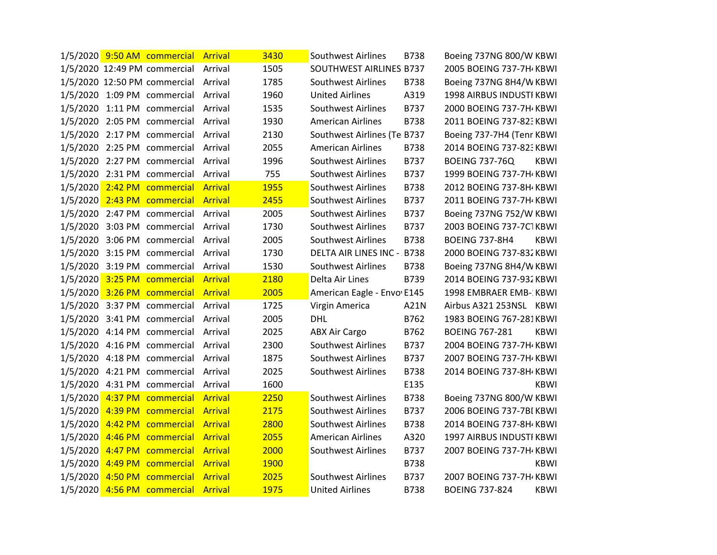|          | 1/5/2020 9:50 AM commercial Arrival |                | 3430 | Southwest Airlines          | <b>B738</b> | Boeing 737NG 800/W KBWI         |             |
|----------|-------------------------------------|----------------|------|-----------------------------|-------------|---------------------------------|-------------|
|          | 1/5/2020 12:49 PM commercial        | Arrival        | 1505 | SOUTHWEST AIRLINES B737     |             | 2005 BOEING 737-7H / KBWI       |             |
|          | 1/5/2020 12:50 PM commercial        | Arrival        | 1785 | <b>Southwest Airlines</b>   | B738        | Boeing 737NG 8H4/W KBWI         |             |
|          | 1/5/2020 1:09 PM commercial Arrival |                | 1960 | <b>United Airlines</b>      | A319        | 1998 AIRBUS INDUSTI KBWI        |             |
|          | 1/5/2020 1:11 PM commercial Arrival |                | 1535 | <b>Southwest Airlines</b>   | B737        | 2000 BOEING 737-7H / KBWI       |             |
|          | 1/5/2020 2:05 PM commercial Arrival |                | 1930 | <b>American Airlines</b>    | B738        | 2011 BOEING 737-823 KBWI        |             |
|          | 1/5/2020 2:17 PM commercial         | Arrival        | 2130 | Southwest Airlines (Te B737 |             | Boeing 737-7H4 (Tenr KBWI       |             |
|          | 1/5/2020 2:25 PM commercial         | Arrival        | 2055 | <b>American Airlines</b>    | B738        | 2014 BOEING 737-823 KBWI        |             |
|          | 1/5/2020 2:27 PM commercial Arrival |                | 1996 | <b>Southwest Airlines</b>   | B737        | <b>BOEING 737-76Q</b>           | <b>KBWI</b> |
|          | 1/5/2020 2:31 PM commercial Arrival |                | 755  | <b>Southwest Airlines</b>   | B737        | 1999 BOEING 737-7H KBWI         |             |
|          | 1/5/2020 2:42 PM commercial Arrival |                | 1955 | <b>Southwest Airlines</b>   | B738        | 2012 BOEING 737-8H / KBWI       |             |
|          | 1/5/2020 2:43 PM commercial         | <b>Arrival</b> | 2455 | <b>Southwest Airlines</b>   | B737        | 2011 BOEING 737-7H / KBWI       |             |
|          | 1/5/2020 2:47 PM commercial Arrival |                | 2005 | <b>Southwest Airlines</b>   | B737        | Boeing 737NG 752/W KBWI         |             |
|          | 1/5/2020 3:03 PM commercial Arrival |                | 1730 | <b>Southwest Airlines</b>   | B737        | 2003 BOEING 737-7C1KBWI         |             |
|          | 1/5/2020 3:06 PM commercial Arrival |                | 2005 | <b>Southwest Airlines</b>   | B738        | <b>BOEING 737-8H4</b>           | <b>KBWI</b> |
|          | 1/5/2020 3:15 PM commercial Arrival |                | 1730 | DELTA AIR LINES INC - B738  |             | 2000 BOEING 737-832 KBWI        |             |
|          | 1/5/2020 3:19 PM commercial Arrival |                | 1530 | <b>Southwest Airlines</b>   | <b>B738</b> | Boeing 737NG 8H4/W KBWI         |             |
|          | 1/5/2020 3:25 PM commercial Arrival |                | 2180 | Delta Air Lines             | B739        | 2014 BOEING 737-932 KBWI        |             |
|          | 1/5/2020 3:26 PM commercial Arrival |                | 2005 | American Eagle - Envo E145  |             | 1998 EMBRAER EMB-: KBWI         |             |
|          | 1/5/2020 3:37 PM commercial Arrival |                | 1725 | Virgin America              | A21N        | Airbus A321 253NSL KBWI         |             |
|          | 1/5/2020 3:41 PM commercial         | Arrival        | 2005 | <b>DHL</b>                  | B762        | 1983 BOEING 767-281KBWI         |             |
|          | 1/5/2020 4:14 PM commercial         | Arrival        | 2025 | <b>ABX Air Cargo</b>        | B762        | <b>BOEING 767-281</b>           | <b>KBWI</b> |
|          | 1/5/2020 4:16 PM commercial Arrival |                | 2300 | <b>Southwest Airlines</b>   | B737        | 2004 BOEING 737-7H KBWI         |             |
|          | 1/5/2020 4:18 PM commercial Arrival |                | 1875 | <b>Southwest Airlines</b>   | B737        | 2007 BOEING 737-7H / KBWI       |             |
|          | 1/5/2020 4:21 PM commercial Arrival |                | 2025 | <b>Southwest Airlines</b>   | B738        | 2014 BOEING 737-8H / KBWI       |             |
|          | 1/5/2020 4:31 PM commercial         | Arrival        | 1600 |                             | E135        |                                 | <b>KBWI</b> |
|          | 1/5/2020 4:37 PM commercial         | <b>Arrival</b> | 2250 | <b>Southwest Airlines</b>   | B738        | Boeing 737NG 800/W KBWI         |             |
|          | 1/5/2020 4:39 PM commercial Arrival |                | 2175 | <b>Southwest Airlines</b>   | B737        | 2006 BOEING 737-7BI KBWI        |             |
|          | 1/5/2020 4:42 PM commercial Arrival |                | 2800 | <b>Southwest Airlines</b>   | B738        | 2014 BOEING 737-8H / KBWI       |             |
|          | 1/5/2020 4:46 PM commercial Arrival |                | 2055 | <b>American Airlines</b>    | A320        | <b>1997 AIRBUS INDUSTI KBWI</b> |             |
| 1/5/2020 | 4:47 PM commercial                  | <b>Arrival</b> | 2000 | Southwest Airlines          | B737        | 2007 BOEING 737-7H KBWI         |             |
|          | 1/5/2020 4:49 PM commercial         | <b>Arrival</b> | 1900 |                             | B738        |                                 | <b>KBWI</b> |
|          | 1/5/2020 4:50 PM commercial Arrival |                | 2025 | <b>Southwest Airlines</b>   | B737        | 2007 BOEING 737-7H KBWI         |             |
|          | 1/5/2020 4:56 PM commercial Arrival |                | 1975 | <b>United Airlines</b>      | <b>B738</b> | <b>BOEING 737-824</b>           | <b>KBWI</b> |
|          |                                     |                |      |                             |             |                                 |             |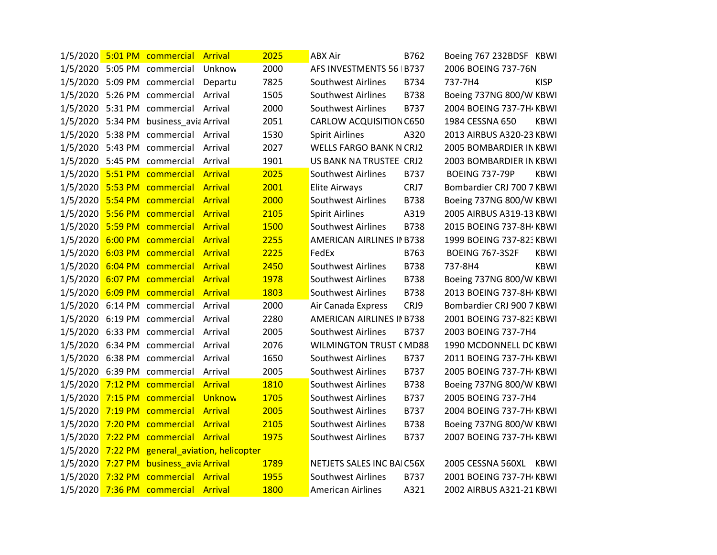|  | 1/5/2020 5:01 PM commercial Arrival    |                                               | 2025        | <b>ABX Air</b>                   | B762        | Boeing 767 232BDSF KBWI   |             |
|--|----------------------------------------|-----------------------------------------------|-------------|----------------------------------|-------------|---------------------------|-------------|
|  | 1/5/2020 5:05 PM commercial Unknow     |                                               | 2000        | AFS INVESTMENTS 56   B737        |             | 2006 BOEING 737-76N       |             |
|  | 1/5/2020 5:09 PM commercial Departu    |                                               | 7825        | Southwest Airlines               | B734        | 737-7H4                   | <b>KISP</b> |
|  | 1/5/2020 5:26 PM commercial Arrival    |                                               | 1505        | <b>Southwest Airlines</b>        | <b>B738</b> | Boeing 737NG 800/W KBWI   |             |
|  | 1/5/2020 5:31 PM commercial Arrival    |                                               | 2000        | <b>Southwest Airlines</b>        | <b>B737</b> | 2004 BOEING 737-7H KBWI   |             |
|  | 1/5/2020 5:34 PM business_avia Arrival |                                               | 2051        | CARLOW ACQUISITION C650          |             | 1984 CESSNA 650           | KBWI        |
|  | 1/5/2020 5:38 PM commercial Arrival    |                                               | 1530        | <b>Spirit Airlines</b>           | A320        | 2013 AIRBUS A320-23 KBWI  |             |
|  | 1/5/2020 5:43 PM commercial Arrival    |                                               | 2027        | <b>WELLS FARGO BANK N CRJ2</b>   |             | 2005 BOMBARDIER IN KBWI   |             |
|  | 1/5/2020 5:45 PM commercial Arrival    |                                               | 1901        | US BANK NA TRUSTEE CRJ2          |             | 2003 BOMBARDIER IN KBWI   |             |
|  | 1/5/2020 5:51 PM commercial Arrival    |                                               | 2025        | <b>Southwest Airlines</b>        | <b>B737</b> | <b>BOEING 737-79P</b>     | <b>KBWI</b> |
|  | 1/5/2020 5:53 PM commercial Arrival    |                                               | 2001        | Elite Airways                    | CRJ7        | Bombardier CRJ 700 7 KBWI |             |
|  | 1/5/2020 5:54 PM commercial Arrival    |                                               | 2000        | <b>Southwest Airlines</b>        | <b>B738</b> | Boeing 737NG 800/W KBWI   |             |
|  | 1/5/2020 5:56 PM commercial Arrival    |                                               | 2105        | <b>Spirit Airlines</b>           | A319        | 2005 AIRBUS A319-13 KBWI  |             |
|  | 1/5/2020 5:59 PM commercial Arrival    |                                               | 1500        | <b>Southwest Airlines</b>        | <b>B738</b> | 2015 BOEING 737-8H KBWI   |             |
|  | 1/5/2020 6:00 PM commercial Arrival    |                                               | 2255        | <b>AMERICAN AIRLINES IN B738</b> |             | 1999 BOEING 737-82: KBWI  |             |
|  | 1/5/2020 6:03 PM commercial Arrival    |                                               | 2225        | FedEx                            | B763        | <b>BOEING 767-3S2F</b>    | <b>KBWI</b> |
|  | 1/5/2020 6:04 PM commercial Arrival    |                                               | 2450        | <b>Southwest Airlines</b>        | <b>B738</b> | 737-8H4                   | <b>KBWI</b> |
|  | 1/5/2020 6:07 PM commercial Arrival    |                                               | 1978        | <b>Southwest Airlines</b>        | <b>B738</b> | Boeing 737NG 800/W KBWI   |             |
|  | 1/5/2020 6:09 PM commercial Arrival    |                                               | 1803        | Southwest Airlines               | <b>B738</b> | 2013 BOEING 737-8H KBWI   |             |
|  | 1/5/2020 6:14 PM commercial Arrival    |                                               | 2000        | Air Canada Express               | CRJ9        | Bombardier CRJ 900 7 KBWI |             |
|  | 1/5/2020 6:19 PM commercial Arrival    |                                               | 2280        | AMERICAN AIRLINES IN B738        |             | 2001 BOEING 737-82: KBWI  |             |
|  | 1/5/2020 6:33 PM commercial Arrival    |                                               | 2005        | Southwest Airlines               | B737        | 2003 BOEING 737-7H4       |             |
|  | 1/5/2020 6:34 PM commercial Arrival    |                                               | 2076        | <b>WILMINGTON TRUST (MD88</b>    |             | 1990 MCDONNELL DC KBWI    |             |
|  | 1/5/2020 6:38 PM commercial Arrival    |                                               | 1650        | Southwest Airlines               | <b>B737</b> | 2011 BOEING 737-7H KBWI   |             |
|  | 1/5/2020 6:39 PM commercial Arrival    |                                               | 2005        | Southwest Airlines               | B737        | 2005 BOEING 737-7H KBWI   |             |
|  | 1/5/2020 7:12 PM commercial Arrival    |                                               | 1810        | <b>Southwest Airlines</b>        | <b>B738</b> | Boeing 737NG 800/W KBWI   |             |
|  | 1/5/2020 7:15 PM commercial Unknow     |                                               | 1705        | <b>Southwest Airlines</b>        | B737        | 2005 BOEING 737-7H4       |             |
|  | 1/5/2020 7:19 PM commercial Arrival    |                                               | 2005        | <b>Southwest Airlines</b>        | B737        | 2004 BOEING 737-7H KBWI   |             |
|  | 1/5/2020 7:20 PM commercial Arrival    |                                               | 2105        | <b>Southwest Airlines</b>        | <b>B738</b> | Boeing 737NG 800/W KBWI   |             |
|  | 1/5/2020 7:22 PM commercial Arrival    |                                               | 1975        | Southwest Airlines               | B737        | 2007 BOEING 737-7H KBWI   |             |
|  |                                        | 1/5/2020 7:22 PM general_aviation, helicopter |             |                                  |             |                           |             |
|  | 1/5/2020 7:27 PM business_avia Arrival |                                               | 1789        | NETJETS SALES INC BAIC56X        |             | 2005 CESSNA 560XL KBWI    |             |
|  | 1/5/2020 7:32 PM commercial Arrival    |                                               | <b>1955</b> | <b>Southwest Airlines</b>        | <b>B737</b> | 2001 BOEING 737-7H KBWI   |             |
|  | 1/5/2020 7:36 PM commercial Arrival    |                                               | <b>1800</b> | <b>American Airlines</b>         | A321        | 2002 AIRBUS A321-21 KBWI  |             |
|  |                                        |                                               |             |                                  |             |                           |             |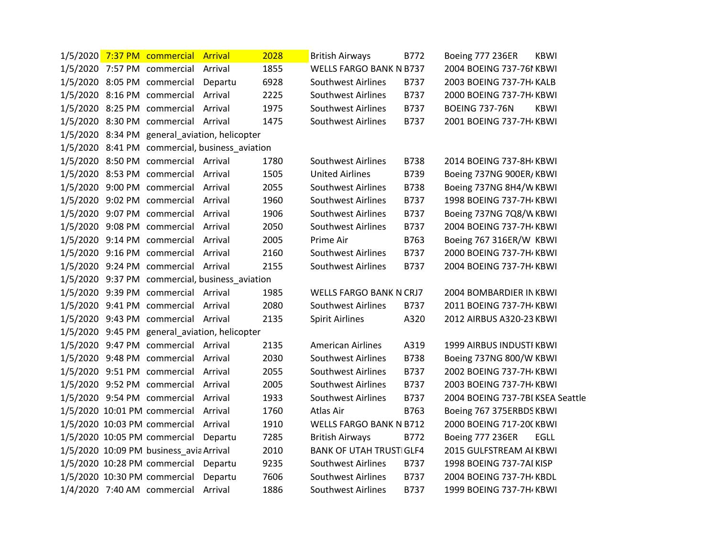|  | 1/5/2020 7:37 PM commercial Arrival     |                                                | 2028 | <b>British Airways</b>         | B772        | Boeing 777 236ER<br><b>KBWI</b>      |  |
|--|-----------------------------------------|------------------------------------------------|------|--------------------------------|-------------|--------------------------------------|--|
|  | 1/5/2020 7:57 PM commercial Arrival     |                                                | 1855 | <b>WELLS FARGO BANK N B737</b> |             | 2004 BOEING 737-761 KBWI             |  |
|  | 1/5/2020 8:05 PM commercial Departu     |                                                | 6928 | <b>Southwest Airlines</b>      | B737        | 2003 BOEING 737-7H KALB              |  |
|  | 1/5/2020 8:16 PM commercial Arrival     |                                                | 2225 | <b>Southwest Airlines</b>      | <b>B737</b> | 2000 BOEING 737-7H KBWI              |  |
|  | 1/5/2020 8:25 PM commercial Arrival     |                                                | 1975 | <b>Southwest Airlines</b>      | B737        | <b>BOEING 737-76N</b><br><b>KBWI</b> |  |
|  | 1/5/2020 8:30 PM commercial Arrival     |                                                | 1475 | <b>Southwest Airlines</b>      | B737        | 2001 BOEING 737-7H KBWI              |  |
|  |                                         | 1/5/2020 8:34 PM general_aviation, helicopter  |      |                                |             |                                      |  |
|  |                                         | 1/5/2020 8:41 PM commercial, business_aviation |      |                                |             |                                      |  |
|  | 1/5/2020 8:50 PM commercial Arrival     |                                                | 1780 | Southwest Airlines             | <b>B738</b> | 2014 BOEING 737-8H KBWI              |  |
|  | 1/5/2020 8:53 PM commercial Arrival     |                                                | 1505 | <b>United Airlines</b>         | B739        | Boeing 737NG 900ER/KBWI              |  |
|  | 1/5/2020 9:00 PM commercial Arrival     |                                                | 2055 | <b>Southwest Airlines</b>      | <b>B738</b> | Boeing 737NG 8H4/W KBWI              |  |
|  | 1/5/2020 9:02 PM commercial Arrival     |                                                | 1960 | <b>Southwest Airlines</b>      | B737        | 1998 BOEING 737-7H KBWI              |  |
|  | 1/5/2020 9:07 PM commercial Arrival     |                                                | 1906 | <b>Southwest Airlines</b>      | B737        | Boeing 737NG 7Q8/W KBWI              |  |
|  | 1/5/2020 9:08 PM commercial Arrival     |                                                | 2050 | <b>Southwest Airlines</b>      | B737        | 2004 BOEING 737-7H KBWI              |  |
|  | 1/5/2020 9:14 PM commercial Arrival     |                                                | 2005 | Prime Air                      | B763        | Boeing 767 316ER/W KBWI              |  |
|  | 1/5/2020 9:16 PM commercial Arrival     |                                                | 2160 | <b>Southwest Airlines</b>      | B737        | 2000 BOEING 737-7H KBWI              |  |
|  | 1/5/2020 9:24 PM commercial Arrival     |                                                | 2155 | <b>Southwest Airlines</b>      | B737        | 2004 BOEING 737-7H KBWI              |  |
|  |                                         | 1/5/2020 9:37 PM commercial, business_aviation |      |                                |             |                                      |  |
|  | 1/5/2020 9:39 PM commercial Arrival     |                                                | 1985 | <b>WELLS FARGO BANK N CRJ7</b> |             | 2004 BOMBARDIER IN KBWI              |  |
|  | 1/5/2020 9:41 PM commercial Arrival     |                                                | 2080 | <b>Southwest Airlines</b>      | <b>B737</b> | 2011 BOEING 737-7H KBWI              |  |
|  | 1/5/2020 9:43 PM commercial Arrival     |                                                | 2135 | <b>Spirit Airlines</b>         | A320        | 2012 AIRBUS A320-23 KBWI             |  |
|  |                                         | 1/5/2020 9:45 PM general aviation, helicopter  |      |                                |             |                                      |  |
|  | 1/5/2020 9:47 PM commercial Arrival     |                                                | 2135 | <b>American Airlines</b>       | A319        | <b>1999 AIRBUS INDUSTI KBWI</b>      |  |
|  | 1/5/2020 9:48 PM commercial Arrival     |                                                | 2030 | <b>Southwest Airlines</b>      | <b>B738</b> | Boeing 737NG 800/W KBWI              |  |
|  | 1/5/2020 9:51 PM commercial Arrival     |                                                | 2055 | <b>Southwest Airlines</b>      | B737        | 2002 BOEING 737-7H / KBWI            |  |
|  | 1/5/2020 9:52 PM commercial Arrival     |                                                | 2005 | <b>Southwest Airlines</b>      | B737        | 2003 BOEING 737-7H KBWI              |  |
|  | 1/5/2020 9:54 PM commercial Arrival     |                                                | 1933 | <b>Southwest Airlines</b>      | B737        | 2004 BOEING 737-7BI KSEA Seattle     |  |
|  | 1/5/2020 10:01 PM commercial Arrival    |                                                | 1760 | Atlas Air                      | B763        | Boeing 767 375ERBDS KBWI             |  |
|  | 1/5/2020 10:03 PM commercial Arrival    |                                                | 1910 | <b>WELLS FARGO BANK N B712</b> |             | 2000 BOEING 717-20(KBWI              |  |
|  | 1/5/2020 10:05 PM commercial Departu    |                                                | 7285 | <b>British Airways</b>         | B772        | Boeing 777 236ER<br>EGLL             |  |
|  | 1/5/2020 10:09 PM business_avia Arrival |                                                | 2010 | <b>BANK OF UTAH TRUSTIGLF4</b> |             | 2015 GULFSTREAM AI KBWI              |  |
|  | 1/5/2020 10:28 PM commercial Departu    |                                                | 9235 | Southwest Airlines             | <b>B737</b> | 1998 BOEING 737-7AI KISP             |  |
|  | 1/5/2020 10:30 PM commercial            | Departu                                        | 7606 | <b>Southwest Airlines</b>      | B737        | 2004 BOEING 737-7H KBDL              |  |
|  | 1/4/2020 7:40 AM commercial Arrival     |                                                | 1886 | <b>Southwest Airlines</b>      | B737        | 1999 BOEING 737-7H KBWI              |  |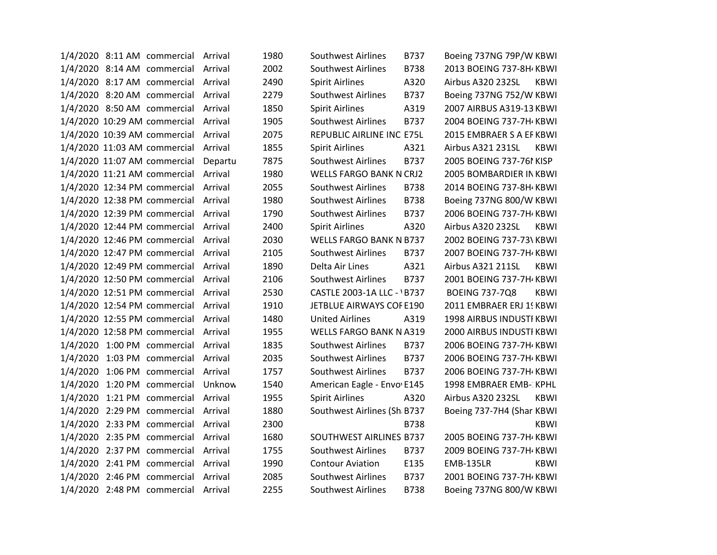| 2002<br>1/4/2020 8:14 AM commercial Arrival<br>Southwest Airlines<br><b>B738</b><br>2013 BOEING 737-8H KBWI<br>1/4/2020 8:17 AM commercial Arrival<br>2490<br><b>Spirit Airlines</b><br>A320<br>Airbus A320 232SL<br><b>KBWI</b><br>2279<br>Southwest Airlines<br>Boeing 737NG 752/W KBWI<br>1/4/2020 8:20 AM commercial Arrival<br>B737<br>1/4/2020 8:50 AM commercial Arrival<br>1850<br><b>Spirit Airlines</b><br>A319<br>2007 AIRBUS A319-13 KBWI<br>1/4/2020 10:29 AM commercial Arrival<br>1905<br><b>Southwest Airlines</b><br>2004 BOEING 737-7H / KBWI<br>B737<br>1/4/2020 10:39 AM commercial<br>2075<br>REPUBLIC AIRLINE INC E75L<br>2015 EMBRAER S A EF KBWI<br>Arrival<br>1/4/2020 11:03 AM commercial<br>1855<br><b>Spirit Airlines</b><br>A321<br>Airbus A321 231SL<br>Arrival<br>KBWI<br>7875<br>2005 BOEING 737-761 KISP<br>1/4/2020 11:07 AM commercial<br><b>Southwest Airlines</b><br>B737<br>Departu<br>1980<br>1/4/2020 11:21 AM commercial Arrival<br><b>WELLS FARGO BANK N CRJ2</b><br>2005 BOMBARDIER IN KBWI<br>2055<br><b>Southwest Airlines</b><br>2014 BOEING 737-8H / KBWI<br>1/4/2020 12:34 PM commercial Arrival<br><b>B738</b><br>1980<br>Boeing 737NG 800/W KBWI<br>1/4/2020 12:38 PM commercial Arrival<br><b>Southwest Airlines</b><br><b>B738</b><br>1790<br>Southwest Airlines<br>1/4/2020 12:39 PM commercial<br><b>B737</b><br>2006 BOEING 737-7H KBWI<br>Arrival<br>2400<br>1/4/2020 12:44 PM commercial<br><b>Spirit Airlines</b><br>A320<br>Airbus A320 232SL<br><b>KBWI</b><br>Arrival<br>1/4/2020 12:46 PM commercial Arrival<br>2030<br>WELLS FARGO BANK N B737<br>2002 BOEING 737-73\ KBWI<br>1/4/2020 12:47 PM commercial<br>2105<br><b>Southwest Airlines</b><br>B737<br>2007 BOEING 737-7H / KBWI<br>Arrival<br>Airbus A321 211SL<br>1/4/2020 12:49 PM commercial<br>1890<br>Delta Air Lines<br>A321<br><b>KBWI</b><br>Arrival<br>1/4/2020 12:50 PM commercial<br>2106<br><b>Southwest Airlines</b><br>B737<br>2001 BOEING 737-7H / KBWI<br>Arrival<br>1/4/2020 12:51 PM commercial<br>2530<br>CASTLE 2003-1A LLC - 1B737<br><b>BOEING 737-7Q8</b><br>Arrival<br><b>KBWI</b><br>1/4/2020 12:54 PM commercial Arrival<br>1910<br>JETBLUE AIRWAYS COF E190<br>2011 EMBRAER ERJ 15 KBWI<br>1480<br>1/4/2020 12:55 PM commercial Arrival<br><b>United Airlines</b><br>A319<br>1998 AIRBUS INDUSTI KBWI<br>1/4/2020 12:58 PM commercial Arrival<br>1955<br><b>WELLS FARGO BANK N A319</b><br>2000 AIRBUS INDUSTI KBWI<br>1835<br>1/4/2020 1:00 PM commercial Arrival<br><b>Southwest Airlines</b><br>B737<br>2006 BOEING 737-7H / KBWI<br>1/4/2020 1:03 PM commercial Arrival<br>2035<br><b>Southwest Airlines</b><br>B737<br>2006 BOEING 737-7H KBWI<br>Southwest Airlines<br>1/4/2020 1:06 PM commercial Arrival<br>1757<br>B737<br>2006 BOEING 737-7H / KBWI<br>1/4/2020 1:20 PM commercial Unknow<br>1540<br>American Eagle - Envo E145<br>1998 EMBRAER EMB- KPHL<br>1/4/2020 1:21 PM commercial Arrival<br>1955<br><b>Spirit Airlines</b><br>A320<br>Airbus A320 232SL<br><b>KBWI</b><br>1/4/2020 2:29 PM commercial<br>1880<br>Arrival<br>Southwest Airlines (Sh B737<br>Boeing 737-7H4 (Shar KBWI<br>2300<br>1/4/2020 2:33 PM commercial<br><b>B738</b><br><b>KBWI</b><br>Arrival<br>1/4/2020 2:35 PM commercial Arrival<br>1680<br>SOUTHWEST AIRLINES B737<br>2005 BOEING 737-7H / KBWI<br>1755<br><b>Southwest Airlines</b><br>B737<br>2009 BOEING 737-7H / KBWI<br>1/4/2020 2:37 PM commercial Arrival<br>1990<br>1/4/2020 2:41 PM commercial Arrival<br><b>Contour Aviation</b><br>E135<br><b>EMB-135LR</b><br><b>KBWI</b><br>1/4/2020 2:46 PM commercial Arrival<br>2085<br><b>Southwest Airlines</b><br>B737<br>2001 BOEING 737-7H / KBWI<br>1/4/2020 2:48 PM commercial Arrival<br>2255<br>Boeing 737NG 800/W KBWI<br>Southwest Airlines<br><b>B738</b> |  | 1/4/2020 8:11 AM commercial Arrival | 1980 | <b>Southwest Airlines</b> | B737 | Boeing 737NG 79P/W KBWI |  |
|--------------------------------------------------------------------------------------------------------------------------------------------------------------------------------------------------------------------------------------------------------------------------------------------------------------------------------------------------------------------------------------------------------------------------------------------------------------------------------------------------------------------------------------------------------------------------------------------------------------------------------------------------------------------------------------------------------------------------------------------------------------------------------------------------------------------------------------------------------------------------------------------------------------------------------------------------------------------------------------------------------------------------------------------------------------------------------------------------------------------------------------------------------------------------------------------------------------------------------------------------------------------------------------------------------------------------------------------------------------------------------------------------------------------------------------------------------------------------------------------------------------------------------------------------------------------------------------------------------------------------------------------------------------------------------------------------------------------------------------------------------------------------------------------------------------------------------------------------------------------------------------------------------------------------------------------------------------------------------------------------------------------------------------------------------------------------------------------------------------------------------------------------------------------------------------------------------------------------------------------------------------------------------------------------------------------------------------------------------------------------------------------------------------------------------------------------------------------------------------------------------------------------------------------------------------------------------------------------------------------------------------------------------------------------------------------------------------------------------------------------------------------------------------------------------------------------------------------------------------------------------------------------------------------------------------------------------------------------------------------------------------------------------------------------------------------------------------------------------------------------------------------------------------------------------------------------------------------------------------------------------------------------------------------------------------------------------------------------------------------------------------------------------------------------------------------------------------------------------------------------------------------------------------------------------------------------------------------------------------------------------------------------------------------------------------------------------------------------------------------------------------------------------------------------------------------|--|-------------------------------------|------|---------------------------|------|-------------------------|--|
|                                                                                                                                                                                                                                                                                                                                                                                                                                                                                                                                                                                                                                                                                                                                                                                                                                                                                                                                                                                                                                                                                                                                                                                                                                                                                                                                                                                                                                                                                                                                                                                                                                                                                                                                                                                                                                                                                                                                                                                                                                                                                                                                                                                                                                                                                                                                                                                                                                                                                                                                                                                                                                                                                                                                                                                                                                                                                                                                                                                                                                                                                                                                                                                                                                                                                                                                                                                                                                                                                                                                                                                                                                                                                                                                                                                                                    |  |                                     |      |                           |      |                         |  |
|                                                                                                                                                                                                                                                                                                                                                                                                                                                                                                                                                                                                                                                                                                                                                                                                                                                                                                                                                                                                                                                                                                                                                                                                                                                                                                                                                                                                                                                                                                                                                                                                                                                                                                                                                                                                                                                                                                                                                                                                                                                                                                                                                                                                                                                                                                                                                                                                                                                                                                                                                                                                                                                                                                                                                                                                                                                                                                                                                                                                                                                                                                                                                                                                                                                                                                                                                                                                                                                                                                                                                                                                                                                                                                                                                                                                                    |  |                                     |      |                           |      |                         |  |
|                                                                                                                                                                                                                                                                                                                                                                                                                                                                                                                                                                                                                                                                                                                                                                                                                                                                                                                                                                                                                                                                                                                                                                                                                                                                                                                                                                                                                                                                                                                                                                                                                                                                                                                                                                                                                                                                                                                                                                                                                                                                                                                                                                                                                                                                                                                                                                                                                                                                                                                                                                                                                                                                                                                                                                                                                                                                                                                                                                                                                                                                                                                                                                                                                                                                                                                                                                                                                                                                                                                                                                                                                                                                                                                                                                                                                    |  |                                     |      |                           |      |                         |  |
|                                                                                                                                                                                                                                                                                                                                                                                                                                                                                                                                                                                                                                                                                                                                                                                                                                                                                                                                                                                                                                                                                                                                                                                                                                                                                                                                                                                                                                                                                                                                                                                                                                                                                                                                                                                                                                                                                                                                                                                                                                                                                                                                                                                                                                                                                                                                                                                                                                                                                                                                                                                                                                                                                                                                                                                                                                                                                                                                                                                                                                                                                                                                                                                                                                                                                                                                                                                                                                                                                                                                                                                                                                                                                                                                                                                                                    |  |                                     |      |                           |      |                         |  |
|                                                                                                                                                                                                                                                                                                                                                                                                                                                                                                                                                                                                                                                                                                                                                                                                                                                                                                                                                                                                                                                                                                                                                                                                                                                                                                                                                                                                                                                                                                                                                                                                                                                                                                                                                                                                                                                                                                                                                                                                                                                                                                                                                                                                                                                                                                                                                                                                                                                                                                                                                                                                                                                                                                                                                                                                                                                                                                                                                                                                                                                                                                                                                                                                                                                                                                                                                                                                                                                                                                                                                                                                                                                                                                                                                                                                                    |  |                                     |      |                           |      |                         |  |
|                                                                                                                                                                                                                                                                                                                                                                                                                                                                                                                                                                                                                                                                                                                                                                                                                                                                                                                                                                                                                                                                                                                                                                                                                                                                                                                                                                                                                                                                                                                                                                                                                                                                                                                                                                                                                                                                                                                                                                                                                                                                                                                                                                                                                                                                                                                                                                                                                                                                                                                                                                                                                                                                                                                                                                                                                                                                                                                                                                                                                                                                                                                                                                                                                                                                                                                                                                                                                                                                                                                                                                                                                                                                                                                                                                                                                    |  |                                     |      |                           |      |                         |  |
|                                                                                                                                                                                                                                                                                                                                                                                                                                                                                                                                                                                                                                                                                                                                                                                                                                                                                                                                                                                                                                                                                                                                                                                                                                                                                                                                                                                                                                                                                                                                                                                                                                                                                                                                                                                                                                                                                                                                                                                                                                                                                                                                                                                                                                                                                                                                                                                                                                                                                                                                                                                                                                                                                                                                                                                                                                                                                                                                                                                                                                                                                                                                                                                                                                                                                                                                                                                                                                                                                                                                                                                                                                                                                                                                                                                                                    |  |                                     |      |                           |      |                         |  |
|                                                                                                                                                                                                                                                                                                                                                                                                                                                                                                                                                                                                                                                                                                                                                                                                                                                                                                                                                                                                                                                                                                                                                                                                                                                                                                                                                                                                                                                                                                                                                                                                                                                                                                                                                                                                                                                                                                                                                                                                                                                                                                                                                                                                                                                                                                                                                                                                                                                                                                                                                                                                                                                                                                                                                                                                                                                                                                                                                                                                                                                                                                                                                                                                                                                                                                                                                                                                                                                                                                                                                                                                                                                                                                                                                                                                                    |  |                                     |      |                           |      |                         |  |
|                                                                                                                                                                                                                                                                                                                                                                                                                                                                                                                                                                                                                                                                                                                                                                                                                                                                                                                                                                                                                                                                                                                                                                                                                                                                                                                                                                                                                                                                                                                                                                                                                                                                                                                                                                                                                                                                                                                                                                                                                                                                                                                                                                                                                                                                                                                                                                                                                                                                                                                                                                                                                                                                                                                                                                                                                                                                                                                                                                                                                                                                                                                                                                                                                                                                                                                                                                                                                                                                                                                                                                                                                                                                                                                                                                                                                    |  |                                     |      |                           |      |                         |  |
|                                                                                                                                                                                                                                                                                                                                                                                                                                                                                                                                                                                                                                                                                                                                                                                                                                                                                                                                                                                                                                                                                                                                                                                                                                                                                                                                                                                                                                                                                                                                                                                                                                                                                                                                                                                                                                                                                                                                                                                                                                                                                                                                                                                                                                                                                                                                                                                                                                                                                                                                                                                                                                                                                                                                                                                                                                                                                                                                                                                                                                                                                                                                                                                                                                                                                                                                                                                                                                                                                                                                                                                                                                                                                                                                                                                                                    |  |                                     |      |                           |      |                         |  |
|                                                                                                                                                                                                                                                                                                                                                                                                                                                                                                                                                                                                                                                                                                                                                                                                                                                                                                                                                                                                                                                                                                                                                                                                                                                                                                                                                                                                                                                                                                                                                                                                                                                                                                                                                                                                                                                                                                                                                                                                                                                                                                                                                                                                                                                                                                                                                                                                                                                                                                                                                                                                                                                                                                                                                                                                                                                                                                                                                                                                                                                                                                                                                                                                                                                                                                                                                                                                                                                                                                                                                                                                                                                                                                                                                                                                                    |  |                                     |      |                           |      |                         |  |
|                                                                                                                                                                                                                                                                                                                                                                                                                                                                                                                                                                                                                                                                                                                                                                                                                                                                                                                                                                                                                                                                                                                                                                                                                                                                                                                                                                                                                                                                                                                                                                                                                                                                                                                                                                                                                                                                                                                                                                                                                                                                                                                                                                                                                                                                                                                                                                                                                                                                                                                                                                                                                                                                                                                                                                                                                                                                                                                                                                                                                                                                                                                                                                                                                                                                                                                                                                                                                                                                                                                                                                                                                                                                                                                                                                                                                    |  |                                     |      |                           |      |                         |  |
|                                                                                                                                                                                                                                                                                                                                                                                                                                                                                                                                                                                                                                                                                                                                                                                                                                                                                                                                                                                                                                                                                                                                                                                                                                                                                                                                                                                                                                                                                                                                                                                                                                                                                                                                                                                                                                                                                                                                                                                                                                                                                                                                                                                                                                                                                                                                                                                                                                                                                                                                                                                                                                                                                                                                                                                                                                                                                                                                                                                                                                                                                                                                                                                                                                                                                                                                                                                                                                                                                                                                                                                                                                                                                                                                                                                                                    |  |                                     |      |                           |      |                         |  |
|                                                                                                                                                                                                                                                                                                                                                                                                                                                                                                                                                                                                                                                                                                                                                                                                                                                                                                                                                                                                                                                                                                                                                                                                                                                                                                                                                                                                                                                                                                                                                                                                                                                                                                                                                                                                                                                                                                                                                                                                                                                                                                                                                                                                                                                                                                                                                                                                                                                                                                                                                                                                                                                                                                                                                                                                                                                                                                                                                                                                                                                                                                                                                                                                                                                                                                                                                                                                                                                                                                                                                                                                                                                                                                                                                                                                                    |  |                                     |      |                           |      |                         |  |
|                                                                                                                                                                                                                                                                                                                                                                                                                                                                                                                                                                                                                                                                                                                                                                                                                                                                                                                                                                                                                                                                                                                                                                                                                                                                                                                                                                                                                                                                                                                                                                                                                                                                                                                                                                                                                                                                                                                                                                                                                                                                                                                                                                                                                                                                                                                                                                                                                                                                                                                                                                                                                                                                                                                                                                                                                                                                                                                                                                                                                                                                                                                                                                                                                                                                                                                                                                                                                                                                                                                                                                                                                                                                                                                                                                                                                    |  |                                     |      |                           |      |                         |  |
|                                                                                                                                                                                                                                                                                                                                                                                                                                                                                                                                                                                                                                                                                                                                                                                                                                                                                                                                                                                                                                                                                                                                                                                                                                                                                                                                                                                                                                                                                                                                                                                                                                                                                                                                                                                                                                                                                                                                                                                                                                                                                                                                                                                                                                                                                                                                                                                                                                                                                                                                                                                                                                                                                                                                                                                                                                                                                                                                                                                                                                                                                                                                                                                                                                                                                                                                                                                                                                                                                                                                                                                                                                                                                                                                                                                                                    |  |                                     |      |                           |      |                         |  |
|                                                                                                                                                                                                                                                                                                                                                                                                                                                                                                                                                                                                                                                                                                                                                                                                                                                                                                                                                                                                                                                                                                                                                                                                                                                                                                                                                                                                                                                                                                                                                                                                                                                                                                                                                                                                                                                                                                                                                                                                                                                                                                                                                                                                                                                                                                                                                                                                                                                                                                                                                                                                                                                                                                                                                                                                                                                                                                                                                                                                                                                                                                                                                                                                                                                                                                                                                                                                                                                                                                                                                                                                                                                                                                                                                                                                                    |  |                                     |      |                           |      |                         |  |
|                                                                                                                                                                                                                                                                                                                                                                                                                                                                                                                                                                                                                                                                                                                                                                                                                                                                                                                                                                                                                                                                                                                                                                                                                                                                                                                                                                                                                                                                                                                                                                                                                                                                                                                                                                                                                                                                                                                                                                                                                                                                                                                                                                                                                                                                                                                                                                                                                                                                                                                                                                                                                                                                                                                                                                                                                                                                                                                                                                                                                                                                                                                                                                                                                                                                                                                                                                                                                                                                                                                                                                                                                                                                                                                                                                                                                    |  |                                     |      |                           |      |                         |  |
|                                                                                                                                                                                                                                                                                                                                                                                                                                                                                                                                                                                                                                                                                                                                                                                                                                                                                                                                                                                                                                                                                                                                                                                                                                                                                                                                                                                                                                                                                                                                                                                                                                                                                                                                                                                                                                                                                                                                                                                                                                                                                                                                                                                                                                                                                                                                                                                                                                                                                                                                                                                                                                                                                                                                                                                                                                                                                                                                                                                                                                                                                                                                                                                                                                                                                                                                                                                                                                                                                                                                                                                                                                                                                                                                                                                                                    |  |                                     |      |                           |      |                         |  |
|                                                                                                                                                                                                                                                                                                                                                                                                                                                                                                                                                                                                                                                                                                                                                                                                                                                                                                                                                                                                                                                                                                                                                                                                                                                                                                                                                                                                                                                                                                                                                                                                                                                                                                                                                                                                                                                                                                                                                                                                                                                                                                                                                                                                                                                                                                                                                                                                                                                                                                                                                                                                                                                                                                                                                                                                                                                                                                                                                                                                                                                                                                                                                                                                                                                                                                                                                                                                                                                                                                                                                                                                                                                                                                                                                                                                                    |  |                                     |      |                           |      |                         |  |
|                                                                                                                                                                                                                                                                                                                                                                                                                                                                                                                                                                                                                                                                                                                                                                                                                                                                                                                                                                                                                                                                                                                                                                                                                                                                                                                                                                                                                                                                                                                                                                                                                                                                                                                                                                                                                                                                                                                                                                                                                                                                                                                                                                                                                                                                                                                                                                                                                                                                                                                                                                                                                                                                                                                                                                                                                                                                                                                                                                                                                                                                                                                                                                                                                                                                                                                                                                                                                                                                                                                                                                                                                                                                                                                                                                                                                    |  |                                     |      |                           |      |                         |  |
|                                                                                                                                                                                                                                                                                                                                                                                                                                                                                                                                                                                                                                                                                                                                                                                                                                                                                                                                                                                                                                                                                                                                                                                                                                                                                                                                                                                                                                                                                                                                                                                                                                                                                                                                                                                                                                                                                                                                                                                                                                                                                                                                                                                                                                                                                                                                                                                                                                                                                                                                                                                                                                                                                                                                                                                                                                                                                                                                                                                                                                                                                                                                                                                                                                                                                                                                                                                                                                                                                                                                                                                                                                                                                                                                                                                                                    |  |                                     |      |                           |      |                         |  |
|                                                                                                                                                                                                                                                                                                                                                                                                                                                                                                                                                                                                                                                                                                                                                                                                                                                                                                                                                                                                                                                                                                                                                                                                                                                                                                                                                                                                                                                                                                                                                                                                                                                                                                                                                                                                                                                                                                                                                                                                                                                                                                                                                                                                                                                                                                                                                                                                                                                                                                                                                                                                                                                                                                                                                                                                                                                                                                                                                                                                                                                                                                                                                                                                                                                                                                                                                                                                                                                                                                                                                                                                                                                                                                                                                                                                                    |  |                                     |      |                           |      |                         |  |
|                                                                                                                                                                                                                                                                                                                                                                                                                                                                                                                                                                                                                                                                                                                                                                                                                                                                                                                                                                                                                                                                                                                                                                                                                                                                                                                                                                                                                                                                                                                                                                                                                                                                                                                                                                                                                                                                                                                                                                                                                                                                                                                                                                                                                                                                                                                                                                                                                                                                                                                                                                                                                                                                                                                                                                                                                                                                                                                                                                                                                                                                                                                                                                                                                                                                                                                                                                                                                                                                                                                                                                                                                                                                                                                                                                                                                    |  |                                     |      |                           |      |                         |  |
|                                                                                                                                                                                                                                                                                                                                                                                                                                                                                                                                                                                                                                                                                                                                                                                                                                                                                                                                                                                                                                                                                                                                                                                                                                                                                                                                                                                                                                                                                                                                                                                                                                                                                                                                                                                                                                                                                                                                                                                                                                                                                                                                                                                                                                                                                                                                                                                                                                                                                                                                                                                                                                                                                                                                                                                                                                                                                                                                                                                                                                                                                                                                                                                                                                                                                                                                                                                                                                                                                                                                                                                                                                                                                                                                                                                                                    |  |                                     |      |                           |      |                         |  |
|                                                                                                                                                                                                                                                                                                                                                                                                                                                                                                                                                                                                                                                                                                                                                                                                                                                                                                                                                                                                                                                                                                                                                                                                                                                                                                                                                                                                                                                                                                                                                                                                                                                                                                                                                                                                                                                                                                                                                                                                                                                                                                                                                                                                                                                                                                                                                                                                                                                                                                                                                                                                                                                                                                                                                                                                                                                                                                                                                                                                                                                                                                                                                                                                                                                                                                                                                                                                                                                                                                                                                                                                                                                                                                                                                                                                                    |  |                                     |      |                           |      |                         |  |
|                                                                                                                                                                                                                                                                                                                                                                                                                                                                                                                                                                                                                                                                                                                                                                                                                                                                                                                                                                                                                                                                                                                                                                                                                                                                                                                                                                                                                                                                                                                                                                                                                                                                                                                                                                                                                                                                                                                                                                                                                                                                                                                                                                                                                                                                                                                                                                                                                                                                                                                                                                                                                                                                                                                                                                                                                                                                                                                                                                                                                                                                                                                                                                                                                                                                                                                                                                                                                                                                                                                                                                                                                                                                                                                                                                                                                    |  |                                     |      |                           |      |                         |  |
|                                                                                                                                                                                                                                                                                                                                                                                                                                                                                                                                                                                                                                                                                                                                                                                                                                                                                                                                                                                                                                                                                                                                                                                                                                                                                                                                                                                                                                                                                                                                                                                                                                                                                                                                                                                                                                                                                                                                                                                                                                                                                                                                                                                                                                                                                                                                                                                                                                                                                                                                                                                                                                                                                                                                                                                                                                                                                                                                                                                                                                                                                                                                                                                                                                                                                                                                                                                                                                                                                                                                                                                                                                                                                                                                                                                                                    |  |                                     |      |                           |      |                         |  |
|                                                                                                                                                                                                                                                                                                                                                                                                                                                                                                                                                                                                                                                                                                                                                                                                                                                                                                                                                                                                                                                                                                                                                                                                                                                                                                                                                                                                                                                                                                                                                                                                                                                                                                                                                                                                                                                                                                                                                                                                                                                                                                                                                                                                                                                                                                                                                                                                                                                                                                                                                                                                                                                                                                                                                                                                                                                                                                                                                                                                                                                                                                                                                                                                                                                                                                                                                                                                                                                                                                                                                                                                                                                                                                                                                                                                                    |  |                                     |      |                           |      |                         |  |
|                                                                                                                                                                                                                                                                                                                                                                                                                                                                                                                                                                                                                                                                                                                                                                                                                                                                                                                                                                                                                                                                                                                                                                                                                                                                                                                                                                                                                                                                                                                                                                                                                                                                                                                                                                                                                                                                                                                                                                                                                                                                                                                                                                                                                                                                                                                                                                                                                                                                                                                                                                                                                                                                                                                                                                                                                                                                                                                                                                                                                                                                                                                                                                                                                                                                                                                                                                                                                                                                                                                                                                                                                                                                                                                                                                                                                    |  |                                     |      |                           |      |                         |  |
|                                                                                                                                                                                                                                                                                                                                                                                                                                                                                                                                                                                                                                                                                                                                                                                                                                                                                                                                                                                                                                                                                                                                                                                                                                                                                                                                                                                                                                                                                                                                                                                                                                                                                                                                                                                                                                                                                                                                                                                                                                                                                                                                                                                                                                                                                                                                                                                                                                                                                                                                                                                                                                                                                                                                                                                                                                                                                                                                                                                                                                                                                                                                                                                                                                                                                                                                                                                                                                                                                                                                                                                                                                                                                                                                                                                                                    |  |                                     |      |                           |      |                         |  |
|                                                                                                                                                                                                                                                                                                                                                                                                                                                                                                                                                                                                                                                                                                                                                                                                                                                                                                                                                                                                                                                                                                                                                                                                                                                                                                                                                                                                                                                                                                                                                                                                                                                                                                                                                                                                                                                                                                                                                                                                                                                                                                                                                                                                                                                                                                                                                                                                                                                                                                                                                                                                                                                                                                                                                                                                                                                                                                                                                                                                                                                                                                                                                                                                                                                                                                                                                                                                                                                                                                                                                                                                                                                                                                                                                                                                                    |  |                                     |      |                           |      |                         |  |
|                                                                                                                                                                                                                                                                                                                                                                                                                                                                                                                                                                                                                                                                                                                                                                                                                                                                                                                                                                                                                                                                                                                                                                                                                                                                                                                                                                                                                                                                                                                                                                                                                                                                                                                                                                                                                                                                                                                                                                                                                                                                                                                                                                                                                                                                                                                                                                                                                                                                                                                                                                                                                                                                                                                                                                                                                                                                                                                                                                                                                                                                                                                                                                                                                                                                                                                                                                                                                                                                                                                                                                                                                                                                                                                                                                                                                    |  |                                     |      |                           |      |                         |  |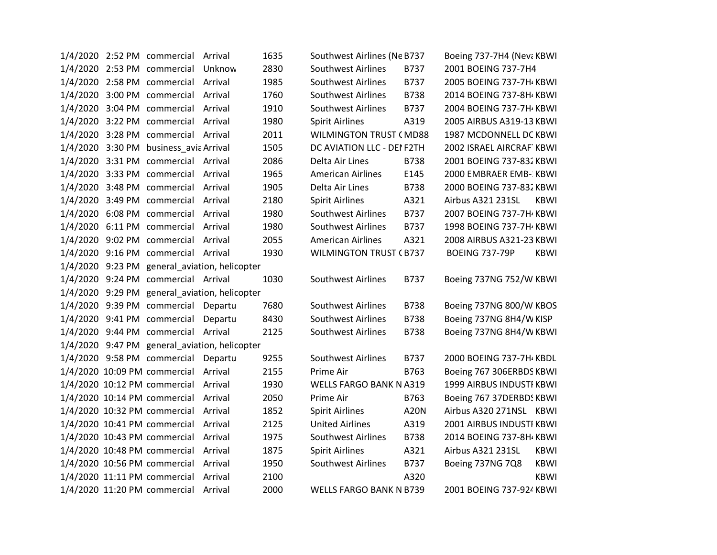|  | 1/4/2020 2:52 PM commercial Arrival    |                                               | 1635 | Southwest Airlines (Ne B737    |             | Boeing 737-7H4 (Nev: KBWI |             |
|--|----------------------------------------|-----------------------------------------------|------|--------------------------------|-------------|---------------------------|-------------|
|  | 1/4/2020 2:53 PM commercial Unknow     |                                               | 2830 | Southwest Airlines             | B737        | 2001 BOEING 737-7H4       |             |
|  | 1/4/2020 2:58 PM commercial Arrival    |                                               | 1985 | <b>Southwest Airlines</b>      | B737        | 2005 BOEING 737-7H KBWI   |             |
|  | 1/4/2020 3:00 PM commercial Arrival    |                                               | 1760 | Southwest Airlines             | <b>B738</b> | 2014 BOEING 737-8H KBWI   |             |
|  | 1/4/2020 3:04 PM commercial Arrival    |                                               | 1910 | Southwest Airlines             | B737        | 2004 BOEING 737-7H KBWI   |             |
|  | 1/4/2020 3:22 PM commercial Arrival    |                                               | 1980 | <b>Spirit Airlines</b>         | A319        | 2005 AIRBUS A319-13 KBWI  |             |
|  | 1/4/2020 3:28 PM commercial Arrival    |                                               | 2011 | <b>WILMINGTON TRUST (MD88</b>  |             | 1987 MCDONNELL DC KBWI    |             |
|  | 1/4/2020 3:30 PM business_avia Arrival |                                               | 1505 | DC AVIATION LLC - DEI F2TH     |             | 2002 ISRAEL AIRCRAF KBWI  |             |
|  | 1/4/2020 3:31 PM commercial Arrival    |                                               | 2086 | Delta Air Lines                | <b>B738</b> | 2001 BOEING 737-832 KBWI  |             |
|  | 1/4/2020 3:33 PM commercial Arrival    |                                               | 1965 | <b>American Airlines</b>       | E145        | 2000 EMBRAER EMB- KBWI    |             |
|  | 1/4/2020 3:48 PM commercial Arrival    |                                               | 1905 | Delta Air Lines                | <b>B738</b> | 2000 BOEING 737-832 KBWI  |             |
|  | 1/4/2020 3:49 PM commercial Arrival    |                                               | 2180 | <b>Spirit Airlines</b>         | A321        | Airbus A321 231SL         | KBWI        |
|  | 1/4/2020 6:08 PM commercial Arrival    |                                               | 1980 | Southwest Airlines             | B737        | 2007 BOEING 737-7H KBWI   |             |
|  | 1/4/2020 6:11 PM commercial Arrival    |                                               | 1980 | <b>Southwest Airlines</b>      | B737        | 1998 BOEING 737-7H KBWI   |             |
|  | 1/4/2020 9:02 PM commercial Arrival    |                                               | 2055 | <b>American Airlines</b>       | A321        | 2008 AIRBUS A321-23 KBWI  |             |
|  | 1/4/2020 9:16 PM commercial Arrival    |                                               | 1930 | <b>WILMINGTON TRUST (B737</b>  |             | <b>BOEING 737-79P</b>     | <b>KBWI</b> |
|  |                                        | 1/4/2020 9:23 PM general_aviation, helicopter |      |                                |             |                           |             |
|  | 1/4/2020 9:24 PM commercial Arrival    |                                               | 1030 | Southwest Airlines             | B737        | Boeing 737NG 752/W KBWI   |             |
|  |                                        | 1/4/2020 9:29 PM general aviation, helicopter |      |                                |             |                           |             |
|  | 1/4/2020 9:39 PM commercial Departu    |                                               | 7680 | <b>Southwest Airlines</b>      | <b>B738</b> | Boeing 737NG 800/W KBOS   |             |
|  | 1/4/2020 9:41 PM commercial Departu    |                                               | 8430 | Southwest Airlines             | B738        | Boeing 737NG 8H4/W KISP   |             |
|  | 1/4/2020 9:44 PM commercial Arrival    |                                               | 2125 | <b>Southwest Airlines</b>      | <b>B738</b> | Boeing 737NG 8H4/W KBWI   |             |
|  |                                        | 1/4/2020 9:47 PM general_aviation, helicopter |      |                                |             |                           |             |
|  | 1/4/2020 9:58 PM commercial Departu    |                                               | 9255 | <b>Southwest Airlines</b>      | B737        | 2000 BOEING 737-7H KBDL   |             |
|  | 1/4/2020 10:09 PM commercial Arrival   |                                               | 2155 | Prime Air                      | B763        | Boeing 767 306ERBDS KBWI  |             |
|  | 1/4/2020 10:12 PM commercial Arrival   |                                               | 1930 | <b>WELLS FARGO BANK N A319</b> |             | 1999 AIRBUS INDUSTI KBWI  |             |
|  | 1/4/2020 10:14 PM commercial Arrival   |                                               | 2050 | Prime Air                      | B763        | Boeing 767 37DERBDS KBWI  |             |
|  | 1/4/2020 10:32 PM commercial Arrival   |                                               | 1852 | <b>Spirit Airlines</b>         | <b>A20N</b> | Airbus A320 271NSL KBWI   |             |
|  | 1/4/2020 10:41 PM commercial Arrival   |                                               | 2125 | <b>United Airlines</b>         | A319        | 2001 AIRBUS INDUSTI KBWI  |             |
|  | 1/4/2020 10:43 PM commercial Arrival   |                                               | 1975 | <b>Southwest Airlines</b>      | <b>B738</b> | 2014 BOEING 737-8H KBWI   |             |
|  | 1/4/2020 10:48 PM commercial Arrival   |                                               | 1875 | <b>Spirit Airlines</b>         | A321        | Airbus A321 231SL         | <b>KBWI</b> |
|  | 1/4/2020 10:56 PM commercial Arrival   |                                               | 1950 | <b>Southwest Airlines</b>      | B737        | Boeing 737NG 7Q8          | <b>KBWI</b> |
|  | 1/4/2020 11:11 PM commercial Arrival   |                                               | 2100 |                                | A320        |                           | <b>KBWI</b> |
|  | 1/4/2020 11:20 PM commercial Arrival   |                                               | 2000 | <b>WELLS FARGO BANK N B739</b> |             | 2001 BOEING 737-924 KBWI  |             |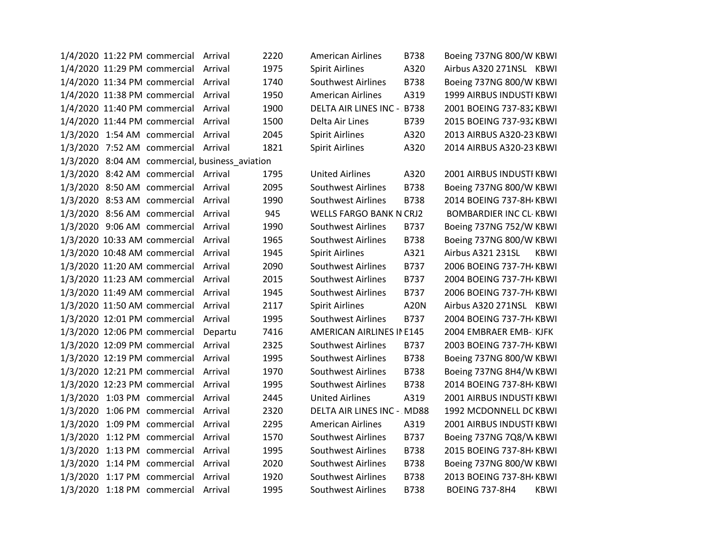|  | 1/4/2020 11:22 PM commercial Arrival |                                                | 2220 | <b>American Airlines</b>   | <b>B738</b> | Boeing 737NG 800/W KBWI       |             |
|--|--------------------------------------|------------------------------------------------|------|----------------------------|-------------|-------------------------------|-------------|
|  | 1/4/2020 11:29 PM commercial Arrival |                                                | 1975 | <b>Spirit Airlines</b>     | A320        | Airbus A320 271NSL KBWI       |             |
|  | 1/4/2020 11:34 PM commercial Arrival |                                                | 1740 | <b>Southwest Airlines</b>  | <b>B738</b> | Boeing 737NG 800/W KBWI       |             |
|  | 1/4/2020 11:38 PM commercial Arrival |                                                | 1950 | <b>American Airlines</b>   | A319        | 1999 AIRBUS INDUSTI KBWI      |             |
|  | 1/4/2020 11:40 PM commercial Arrival |                                                | 1900 | DELTA AIR LINES INC - B738 |             | 2001 BOEING 737-832 KBWI      |             |
|  | 1/4/2020 11:44 PM commercial Arrival |                                                | 1500 | Delta Air Lines            | B739        | 2015 BOEING 737-932 KBWI      |             |
|  | 1/3/2020 1:54 AM commercial Arrival  |                                                | 2045 | <b>Spirit Airlines</b>     | A320        | 2013 AIRBUS A320-23 KBWI      |             |
|  | 1/3/2020 7:52 AM commercial Arrival  |                                                | 1821 | <b>Spirit Airlines</b>     | A320        | 2014 AIRBUS A320-23 KBWI      |             |
|  |                                      | 1/3/2020 8:04 AM commercial, business_aviation |      |                            |             |                               |             |
|  | 1/3/2020 8:42 AM commercial Arrival  |                                                | 1795 | <b>United Airlines</b>     | A320        | 2001 AIRBUS INDUSTI KBWI      |             |
|  | 1/3/2020 8:50 AM commercial Arrival  |                                                | 2095 | <b>Southwest Airlines</b>  | <b>B738</b> | Boeing 737NG 800/W KBWI       |             |
|  | 1/3/2020 8:53 AM commercial Arrival  |                                                | 1990 | <b>Southwest Airlines</b>  | <b>B738</b> | 2014 BOEING 737-8H / KBWI     |             |
|  | 1/3/2020 8:56 AM commercial Arrival  |                                                | 945  | WELLS FARGO BANK N CRJ2    |             | <b>BOMBARDIER INC CL-KBWI</b> |             |
|  | 1/3/2020 9:06 AM commercial Arrival  |                                                | 1990 | <b>Southwest Airlines</b>  | B737        | Boeing 737NG 752/W KBWI       |             |
|  | 1/3/2020 10:33 AM commercial Arrival |                                                | 1965 | Southwest Airlines         | <b>B738</b> | Boeing 737NG 800/W KBWI       |             |
|  | 1/3/2020 10:48 AM commercial Arrival |                                                | 1945 | <b>Spirit Airlines</b>     | A321        | Airbus A321 231SL             | <b>KBWI</b> |
|  | 1/3/2020 11:20 AM commercial Arrival |                                                | 2090 | <b>Southwest Airlines</b>  | B737        | 2006 BOEING 737-7H / KBWI     |             |
|  | 1/3/2020 11:23 AM commercial Arrival |                                                | 2015 | <b>Southwest Airlines</b>  | B737        | 2004 BOEING 737-7H / KBWI     |             |
|  | 1/3/2020 11:49 AM commercial Arrival |                                                | 1945 | <b>Southwest Airlines</b>  | B737        | 2006 BOEING 737-7H KBWI       |             |
|  | 1/3/2020 11:50 AM commercial Arrival |                                                | 2117 | <b>Spirit Airlines</b>     | <b>A20N</b> | Airbus A320 271NSL KBWI       |             |
|  | 1/3/2020 12:01 PM commercial Arrival |                                                | 1995 | <b>Southwest Airlines</b>  | B737        | 2004 BOEING 737-7H KBWI       |             |
|  | 1/3/2020 12:06 PM commercial Departu |                                                | 7416 | AMERICAN AIRLINES IN E145  |             | 2004 EMBRAER EMB- KJFK        |             |
|  | 1/3/2020 12:09 PM commercial Arrival |                                                | 2325 | <b>Southwest Airlines</b>  | B737        | 2003 BOEING 737-7H / KBWI     |             |
|  | 1/3/2020 12:19 PM commercial Arrival |                                                | 1995 | <b>Southwest Airlines</b>  | <b>B738</b> | Boeing 737NG 800/W KBWI       |             |
|  | 1/3/2020 12:21 PM commercial Arrival |                                                | 1970 | <b>Southwest Airlines</b>  | <b>B738</b> | Boeing 737NG 8H4/W KBWI       |             |
|  | 1/3/2020 12:23 PM commercial Arrival |                                                | 1995 | <b>Southwest Airlines</b>  | B738        | 2014 BOEING 737-8H / KBWI     |             |
|  | 1/3/2020 1:03 PM commercial Arrival  |                                                | 2445 | <b>United Airlines</b>     | A319        | 2001 AIRBUS INDUSTI KBWI      |             |
|  | 1/3/2020 1:06 PM commercial Arrival  |                                                | 2320 | DELTA AIR LINES INC - MD88 |             | 1992 MCDONNELL DC KBWI        |             |
|  | 1/3/2020 1:09 PM commercial Arrival  |                                                | 2295 | <b>American Airlines</b>   | A319        | 2001 AIRBUS INDUSTI KBWI      |             |
|  | 1/3/2020 1:12 PM commercial Arrival  |                                                | 1570 | <b>Southwest Airlines</b>  | B737        | Boeing 737NG 7Q8/W KBWI       |             |
|  | 1/3/2020 1:13 PM commercial Arrival  |                                                | 1995 | Southwest Airlines         | <b>B738</b> | 2015 BOEING 737-8H KBWI       |             |
|  | 1/3/2020 1:14 PM commercial Arrival  |                                                | 2020 | <b>Southwest Airlines</b>  | <b>B738</b> | Boeing 737NG 800/W KBWI       |             |
|  | 1/3/2020 1:17 PM commercial Arrival  |                                                | 1920 | Southwest Airlines         | <b>B738</b> | 2013 BOEING 737-8H KBWI       |             |
|  | 1/3/2020 1:18 PM commercial Arrival  |                                                | 1995 | Southwest Airlines         | <b>B738</b> | <b>BOEING 737-8H4</b>         | <b>KBWI</b> |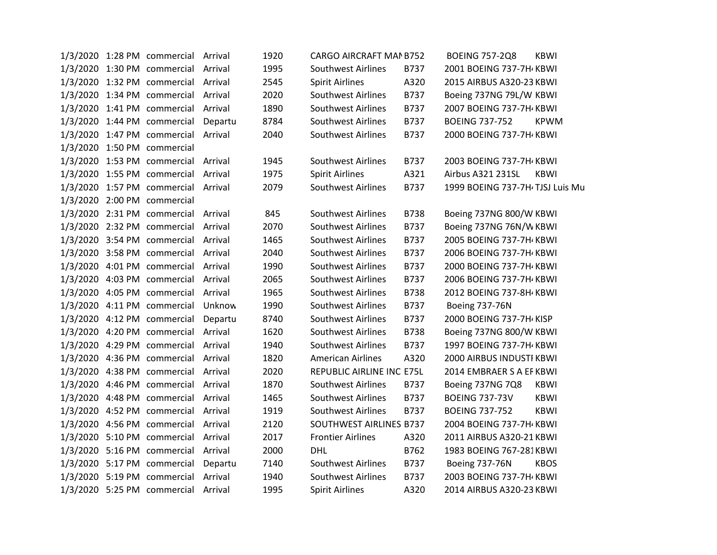|  | 1/3/2020 1:28 PM commercial Arrival | 1920 | CARGO AIRCRAFT MAN B752   |             | <b>BOEING 757-2Q8</b><br><b>KBWI</b> |
|--|-------------------------------------|------|---------------------------|-------------|--------------------------------------|
|  | 1/3/2020 1:30 PM commercial Arrival | 1995 | <b>Southwest Airlines</b> | B737        | 2001 BOEING 737-7H KBWI              |
|  | 1/3/2020 1:32 PM commercial Arrival | 2545 | <b>Spirit Airlines</b>    | A320        | 2015 AIRBUS A320-23 KBWI             |
|  | 1/3/2020 1:34 PM commercial Arrival | 2020 | <b>Southwest Airlines</b> | B737        | Boeing 737NG 79L/W KBWI              |
|  | 1/3/2020 1:41 PM commercial Arrival | 1890 | <b>Southwest Airlines</b> | B737        | 2007 BOEING 737-7H KBWI              |
|  | 1/3/2020 1:44 PM commercial Departu | 8784 | <b>Southwest Airlines</b> | B737        | <b>BOEING 737-752</b><br>KPWM        |
|  | 1/3/2020 1:47 PM commercial Arrival | 2040 | <b>Southwest Airlines</b> | B737        | 2000 BOEING 737-7H KBWI              |
|  | 1/3/2020 1:50 PM commercial         |      |                           |             |                                      |
|  | 1/3/2020 1:53 PM commercial Arrival | 1945 | Southwest Airlines        | B737        | 2003 BOEING 737-7H KBWI              |
|  | 1/3/2020 1:55 PM commercial Arrival | 1975 | <b>Spirit Airlines</b>    | A321        | Airbus A321 231SL<br><b>KBWI</b>     |
|  | 1/3/2020 1:57 PM commercial Arrival | 2079 | <b>Southwest Airlines</b> | B737        | 1999 BOEING 737-7H TJSJ Luis Mu      |
|  | 1/3/2020 2:00 PM commercial         |      |                           |             |                                      |
|  | 1/3/2020 2:31 PM commercial Arrival | 845  | <b>Southwest Airlines</b> | <b>B738</b> | Boeing 737NG 800/W KBWI              |
|  | 1/3/2020 2:32 PM commercial Arrival | 2070 | <b>Southwest Airlines</b> | B737        | Boeing 737NG 76N/W KBWI              |
|  | 1/3/2020 3:54 PM commercial Arrival | 1465 | <b>Southwest Airlines</b> | B737        | 2005 BOEING 737-7H KBWI              |
|  | 1/3/2020 3:58 PM commercial Arrival | 2040 | <b>Southwest Airlines</b> | B737        | 2006 BOEING 737-7H KBWI              |
|  | 1/3/2020 4:01 PM commercial Arrival | 1990 | <b>Southwest Airlines</b> | B737        | 2000 BOEING 737-7H KBWI              |
|  | 1/3/2020 4:03 PM commercial Arrival | 2065 | <b>Southwest Airlines</b> | B737        | 2006 BOEING 737-7H KBWI              |
|  | 1/3/2020 4:05 PM commercial Arrival | 1965 | <b>Southwest Airlines</b> | <b>B738</b> | 2012 BOEING 737-8H KBWI              |
|  | 1/3/2020 4:11 PM commercial Unknow  | 1990 | <b>Southwest Airlines</b> | B737        | <b>Boeing 737-76N</b>                |
|  | 1/3/2020 4:12 PM commercial Departu | 8740 | <b>Southwest Airlines</b> | B737        | 2000 BOEING 737-7H KISP              |
|  | 1/3/2020 4:20 PM commercial Arrival | 1620 | <b>Southwest Airlines</b> | <b>B738</b> | Boeing 737NG 800/W KBWI              |
|  | 1/3/2020 4:29 PM commercial Arrival | 1940 | Southwest Airlines        | B737        | 1997 BOEING 737-7H KBWI              |
|  | 1/3/2020 4:36 PM commercial Arrival | 1820 | <b>American Airlines</b>  | A320        | 2000 AIRBUS INDUSTI KBWI             |
|  | 1/3/2020 4:38 PM commercial Arrival | 2020 | REPUBLIC AIRLINE INC E75L |             | 2014 EMBRAER S A EF KBWI             |
|  | 1/3/2020 4:46 PM commercial Arrival | 1870 | <b>Southwest Airlines</b> | B737        | Boeing 737NG 7Q8<br><b>KBWI</b>      |
|  | 1/3/2020 4:48 PM commercial Arrival | 1465 | <b>Southwest Airlines</b> | B737        | <b>KBWI</b><br><b>BOEING 737-73V</b> |
|  | 1/3/2020 4:52 PM commercial Arrival | 1919 | <b>Southwest Airlines</b> | B737        | <b>BOEING 737-752</b><br><b>KBWI</b> |
|  | 1/3/2020 4:56 PM commercial Arrival | 2120 | SOUTHWEST AIRLINES B737   |             | 2004 BOEING 737-7H KBWI              |
|  | 1/3/2020 5:10 PM commercial Arrival | 2017 | <b>Frontier Airlines</b>  | A320        | 2011 AIRBUS A320-21 KBWI             |
|  | 1/3/2020 5:16 PM commercial Arrival | 2000 | <b>DHL</b>                | B762        | 1983 BOEING 767-281KBWI              |
|  | 1/3/2020 5:17 PM commercial Departu | 7140 | <b>Southwest Airlines</b> | B737        | <b>Boeing 737-76N</b><br><b>KBOS</b> |
|  | 1/3/2020 5:19 PM commercial Arrival | 1940 | <b>Southwest Airlines</b> | B737        | 2003 BOEING 737-7H KBWI              |
|  | 1/3/2020 5:25 PM commercial Arrival | 1995 | <b>Spirit Airlines</b>    | A320        | 2014 AIRBUS A320-23 KBWI             |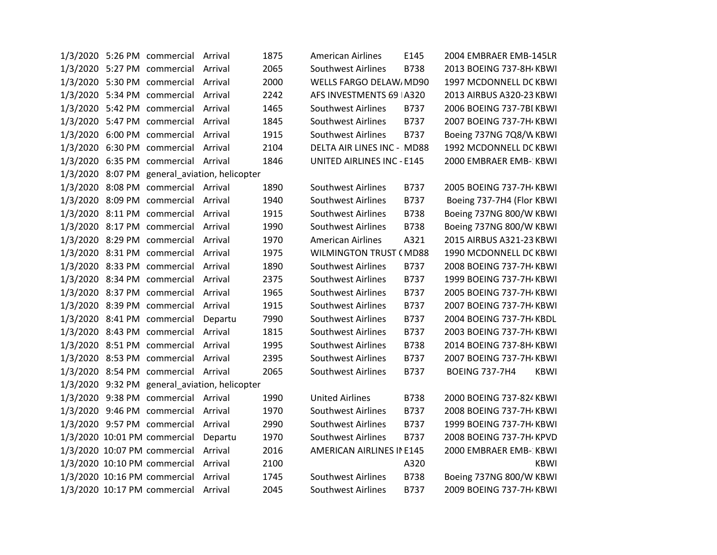|  | 1/3/2020 5:26 PM commercial Arrival  |                                               | 1875 | <b>American Airlines</b>          | E145        | 2004 EMBRAER EMB-145LR        |
|--|--------------------------------------|-----------------------------------------------|------|-----------------------------------|-------------|-------------------------------|
|  | 1/3/2020 5:27 PM commercial Arrival  |                                               | 2065 | <b>Southwest Airlines</b>         | B738        | 2013 BOEING 737-8H KBWI       |
|  | 1/3/2020 5:30 PM commercial Arrival  |                                               | 2000 | WELLS FARGO DELAW, MD90           |             | 1997 MCDONNELL DC KBWI        |
|  | 1/3/2020 5:34 PM commercial Arrival  |                                               | 2242 | AFS INVESTMENTS 69   A320         |             | 2013 AIRBUS A320-23 KBWI      |
|  | 1/3/2020 5:42 PM commercial Arrival  |                                               | 1465 | <b>Southwest Airlines</b>         | B737        | 2006 BOEING 737-7BI KBWI      |
|  | 1/3/2020 5:47 PM commercial Arrival  |                                               | 1845 | Southwest Airlines                | B737        | 2007 BOEING 737-7H KBWI       |
|  | 1/3/2020 6:00 PM commercial Arrival  |                                               | 1915 | <b>Southwest Airlines</b>         | B737        | Boeing 737NG 7Q8/W KBWI       |
|  | 1/3/2020 6:30 PM commercial Arrival  |                                               | 2104 | DELTA AIR LINES INC - MD88        |             | 1992 MCDONNELL DC KBWI        |
|  | 1/3/2020 6:35 PM commercial Arrival  |                                               | 1846 | <b>UNITED AIRLINES INC - E145</b> |             | 2000 EMBRAER EMB-: KBWI       |
|  |                                      | 1/3/2020 8:07 PM general_aviation, helicopter |      |                                   |             |                               |
|  | 1/3/2020 8:08 PM commercial Arrival  |                                               | 1890 | <b>Southwest Airlines</b>         | B737        | 2005 BOEING 737-7H KBWI       |
|  | 1/3/2020 8:09 PM commercial Arrival  |                                               | 1940 | <b>Southwest Airlines</b>         | B737        | Boeing 737-7H4 (Flor KBWI     |
|  | 1/3/2020 8:11 PM commercial Arrival  |                                               | 1915 | <b>Southwest Airlines</b>         | <b>B738</b> | Boeing 737NG 800/W KBWI       |
|  | 1/3/2020 8:17 PM commercial Arrival  |                                               | 1990 | <b>Southwest Airlines</b>         | <b>B738</b> | Boeing 737NG 800/W KBWI       |
|  | 1/3/2020 8:29 PM commercial Arrival  |                                               | 1970 | <b>American Airlines</b>          | A321        | 2015 AIRBUS A321-23 KBWI      |
|  | 1/3/2020 8:31 PM commercial Arrival  |                                               | 1975 | <b>WILMINGTON TRUST (MD88</b>     |             | 1990 MCDONNELL DC KBWI        |
|  | 1/3/2020 8:33 PM commercial Arrival  |                                               | 1890 | Southwest Airlines                | B737        | 2008 BOEING 737-7H / KBWI     |
|  | 1/3/2020 8:34 PM commercial Arrival  |                                               | 2375 | <b>Southwest Airlines</b>         | B737        | 1999 BOEING 737-7H KBWI       |
|  | 1/3/2020 8:37 PM commercial Arrival  |                                               | 1965 | <b>Southwest Airlines</b>         | B737        | 2005 BOEING 737-7H KBWI       |
|  | 1/3/2020 8:39 PM commercial Arrival  |                                               | 1915 | <b>Southwest Airlines</b>         | B737        | 2007 BOEING 737-7H KBWI       |
|  | 1/3/2020 8:41 PM commercial Departu  |                                               | 7990 | Southwest Airlines                | B737        | 2004 BOEING 737-7H KBDL       |
|  | 1/3/2020 8:43 PM commercial Arrival  |                                               | 1815 | <b>Southwest Airlines</b>         | B737        | 2003 BOEING 737-7H / KBWI     |
|  | 1/3/2020 8:51 PM commercial Arrival  |                                               | 1995 | <b>Southwest Airlines</b>         | <b>B738</b> | 2014 BOEING 737-8H KBWI       |
|  | 1/3/2020 8:53 PM commercial Arrival  |                                               | 2395 | <b>Southwest Airlines</b>         | B737        | 2007 BOEING 737-7H KBWI       |
|  | 1/3/2020 8:54 PM commercial Arrival  |                                               | 2065 | Southwest Airlines                | B737        | <b>BOEING 737-7H4</b><br>KBWI |
|  |                                      | 1/3/2020 9:32 PM general_aviation, helicopter |      |                                   |             |                               |
|  | 1/3/2020 9:38 PM commercial Arrival  |                                               | 1990 | <b>United Airlines</b>            | <b>B738</b> | 2000 BOEING 737-824 KBWI      |
|  | 1/3/2020 9:46 PM commercial Arrival  |                                               | 1970 | <b>Southwest Airlines</b>         | B737        | 2008 BOEING 737-7H / KBWI     |
|  | 1/3/2020 9:57 PM commercial Arrival  |                                               | 2990 | <b>Southwest Airlines</b>         | B737        | 1999 BOEING 737-7H KBWI       |
|  | 1/3/2020 10:01 PM commercial Departu |                                               | 1970 | <b>Southwest Airlines</b>         | B737        | 2008 BOEING 737-7H / KPVD     |
|  | 1/3/2020 10:07 PM commercial Arrival |                                               | 2016 | AMERICAN AIRLINES IN E145         |             | 2000 EMBRAER EMB-: KBWI       |
|  | 1/3/2020 10:10 PM commercial Arrival |                                               | 2100 |                                   | A320        | <b>KBWI</b>                   |
|  | 1/3/2020 10:16 PM commercial Arrival |                                               | 1745 | <b>Southwest Airlines</b>         | <b>B738</b> | Boeing 737NG 800/W KBWI       |
|  | 1/3/2020 10:17 PM commercial Arrival |                                               | 2045 | Southwest Airlines                | B737        | 2009 BOEING 737-7H KBWI       |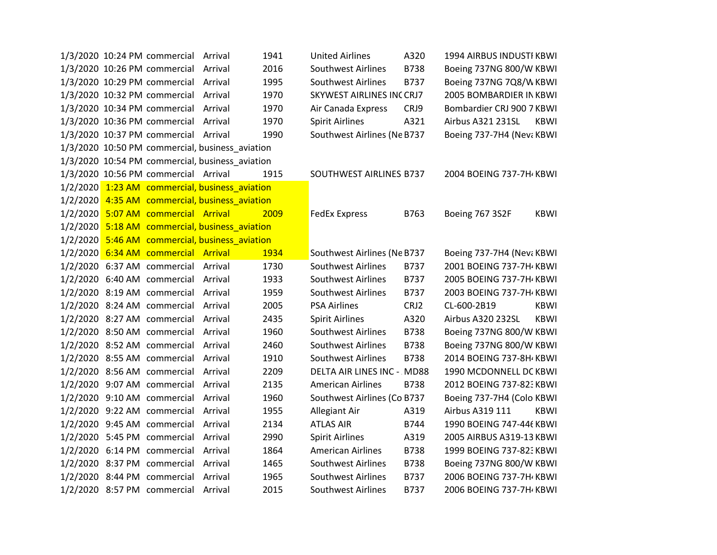|  | 1/3/2020 10:24 PM commercial Arrival |                                                 | 1941 | <b>United Airlines</b>      | A320        | 1994 AIRBUS INDUSTI KBWI  |             |
|--|--------------------------------------|-------------------------------------------------|------|-----------------------------|-------------|---------------------------|-------------|
|  | 1/3/2020 10:26 PM commercial Arrival |                                                 | 2016 | <b>Southwest Airlines</b>   | <b>B738</b> | Boeing 737NG 800/W KBWI   |             |
|  | 1/3/2020 10:29 PM commercial Arrival |                                                 | 1995 | <b>Southwest Airlines</b>   | B737        | Boeing 737NG 7Q8/W KBWI   |             |
|  | 1/3/2020 10:32 PM commercial Arrival |                                                 | 1970 | SKYWEST AIRLINES INCCRJ7    |             | 2005 BOMBARDIER IN KBWI   |             |
|  | 1/3/2020 10:34 PM commercial Arrival |                                                 | 1970 | Air Canada Express          | CRJ9        | Bombardier CRJ 900 7 KBWI |             |
|  | 1/3/2020 10:36 PM commercial Arrival |                                                 | 1970 | <b>Spirit Airlines</b>      | A321        | Airbus A321 231SL         | KBWI        |
|  | 1/3/2020 10:37 PM commercial Arrival |                                                 | 1990 | Southwest Airlines (Ne B737 |             | Boeing 737-7H4 (Nev: KBWI |             |
|  |                                      | 1/3/2020 10:50 PM commercial, business aviation |      |                             |             |                           |             |
|  |                                      | 1/3/2020 10:54 PM commercial, business_aviation |      |                             |             |                           |             |
|  | 1/3/2020 10:56 PM commercial Arrival |                                                 | 1915 | SOUTHWEST AIRLINES B737     |             | 2004 BOEING 737-7H KBWI   |             |
|  |                                      | 1/2/2020 1:23 AM commercial, business aviation  |      |                             |             |                           |             |
|  |                                      | 1/2/2020 4:35 AM commercial, business_aviation  |      |                             |             |                           |             |
|  | 1/2/2020 5:07 AM commercial Arrival  |                                                 | 2009 | <b>FedEx Express</b>        | B763        | Boeing 767 3S2F           | <b>KBWI</b> |
|  |                                      | 1/2/2020 5:18 AM commercial, business aviation  |      |                             |             |                           |             |
|  |                                      | 1/2/2020 5:46 AM commercial, business aviation  |      |                             |             |                           |             |
|  | 1/2/2020 6:34 AM commercial Arrival  |                                                 | 1934 | Southwest Airlines (Ne B737 |             | Boeing 737-7H4 (Nev: KBWI |             |
|  | 1/2/2020 6:37 AM commercial Arrival  |                                                 | 1730 | <b>Southwest Airlines</b>   | B737        | 2001 BOEING 737-7H / KBWI |             |
|  | 1/2/2020 6:40 AM commercial Arrival  |                                                 | 1933 | <b>Southwest Airlines</b>   | B737        | 2005 BOEING 737-7H KBWI   |             |
|  | 1/2/2020 8:19 AM commercial Arrival  |                                                 | 1959 | <b>Southwest Airlines</b>   | B737        | 2003 BOEING 737-7H / KBWI |             |
|  | 1/2/2020 8:24 AM commercial Arrival  |                                                 | 2005 | <b>PSA Airlines</b>         | CRJ2        | CL-600-2B19               | <b>KBWI</b> |
|  | 1/2/2020 8:27 AM commercial Arrival  |                                                 | 2435 | <b>Spirit Airlines</b>      | A320        | Airbus A320 232SL         | <b>KBWI</b> |
|  | 1/2/2020 8:50 AM commercial Arrival  |                                                 | 1960 | <b>Southwest Airlines</b>   | B738        | Boeing 737NG 800/W KBWI   |             |
|  | 1/2/2020 8:52 AM commercial Arrival  |                                                 | 2460 | <b>Southwest Airlines</b>   | <b>B738</b> | Boeing 737NG 800/W KBWI   |             |
|  | 1/2/2020 8:55 AM commercial Arrival  |                                                 | 1910 | Southwest Airlines          | <b>B738</b> | 2014 BOEING 737-8H KBWI   |             |
|  | 1/2/2020 8:56 AM commercial Arrival  |                                                 | 2209 | DELTA AIR LINES INC - MD88  |             | 1990 MCDONNELL DC KBWI    |             |
|  | 1/2/2020 9:07 AM commercial Arrival  |                                                 | 2135 | <b>American Airlines</b>    | <b>B738</b> | 2012 BOEING 737-823 KBWI  |             |
|  | 1/2/2020 9:10 AM commercial Arrival  |                                                 | 1960 | Southwest Airlines (Co B737 |             | Boeing 737-7H4 (Colo KBWI |             |
|  | 1/2/2020 9:22 AM commercial Arrival  |                                                 | 1955 | Allegiant Air               | A319        | Airbus A319 111           | <b>KBWI</b> |
|  | 1/2/2020 9:45 AM commercial Arrival  |                                                 | 2134 | <b>ATLAS AIR</b>            | B744        | 1990 BOEING 747-446 KBWI  |             |
|  | 1/2/2020 5:45 PM commercial Arrival  |                                                 | 2990 | <b>Spirit Airlines</b>      | A319        | 2005 AIRBUS A319-13 KBWI  |             |
|  | 1/2/2020 6:14 PM commercial Arrival  |                                                 | 1864 | <b>American Airlines</b>    | <b>B738</b> | 1999 BOEING 737-823 KBWI  |             |
|  | 1/2/2020 8:37 PM commercial Arrival  |                                                 | 1465 | <b>Southwest Airlines</b>   | <b>B738</b> | Boeing 737NG 800/W KBWI   |             |
|  | 1/2/2020 8:44 PM commercial Arrival  |                                                 | 1965 | <b>Southwest Airlines</b>   | B737        | 2006 BOEING 737-7H / KBWI |             |
|  | 1/2/2020 8:57 PM commercial Arrival  |                                                 | 2015 | <b>Southwest Airlines</b>   | B737        | 2006 BOEING 737-7H KBWI   |             |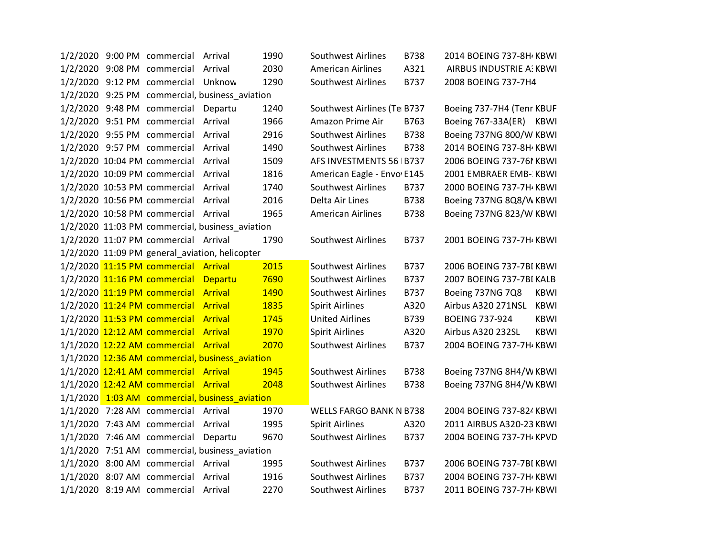|  | 1/2/2020 9:00 PM commercial          | Arrival                                         | 1990 | <b>Southwest Airlines</b>      | B738        | 2014 BOEING 737-8H / KBWI |             |
|--|--------------------------------------|-------------------------------------------------|------|--------------------------------|-------------|---------------------------|-------------|
|  | 1/2/2020 9:08 PM commercial          | Arrival                                         | 2030 | <b>American Airlines</b>       | A321        | AIRBUS INDUSTRIE A: KBWI  |             |
|  | 1/2/2020 9:12 PM commercial          | Unknow                                          | 1290 | Southwest Airlines             | B737        | 2008 BOEING 737-7H4       |             |
|  |                                      | 1/2/2020 9:25 PM commercial, business_aviation  |      |                                |             |                           |             |
|  | 1/2/2020 9:48 PM commercial Departu  |                                                 | 1240 | Southwest Airlines (Te B737    |             | Boeing 737-7H4 (Tenr KBUF |             |
|  | 1/2/2020 9:51 PM commercial          | Arrival                                         | 1966 | Amazon Prime Air               | B763        | Boeing 767-33A(ER) KBWI   |             |
|  | 1/2/2020 9:55 PM commercial          | Arrival                                         | 2916 | Southwest Airlines             | B738        | Boeing 737NG 800/W KBWI   |             |
|  | 1/2/2020 9:57 PM commercial          | Arrival                                         | 1490 | <b>Southwest Airlines</b>      | <b>B738</b> | 2014 BOEING 737-8H / KBWI |             |
|  | 1/2/2020 10:04 PM commercial Arrival |                                                 | 1509 | AFS INVESTMENTS 56   B737      |             | 2006 BOEING 737-761 KBWI  |             |
|  | 1/2/2020 10:09 PM commercial Arrival |                                                 | 1816 | American Eagle - Envo E145     |             | 2001 EMBRAER EMB-: KBWI   |             |
|  | 1/2/2020 10:53 PM commercial         | Arrival                                         | 1740 | <b>Southwest Airlines</b>      | B737        | 2000 BOEING 737-7H / KBWI |             |
|  | 1/2/2020 10:56 PM commercial         | Arrival                                         | 2016 | Delta Air Lines                | B738        | Boeing 737NG 8Q8/WKBWI    |             |
|  | 1/2/2020 10:58 PM commercial Arrival |                                                 | 1965 | <b>American Airlines</b>       | <b>B738</b> | Boeing 737NG 823/W KBWI   |             |
|  |                                      | 1/2/2020 11:03 PM commercial, business_aviation |      |                                |             |                           |             |
|  | 1/2/2020 11:07 PM commercial Arrival |                                                 | 1790 | Southwest Airlines             | B737        | 2001 BOEING 737-7H / KBWI |             |
|  |                                      | 1/2/2020 11:09 PM general_aviation, helicopter  |      |                                |             |                           |             |
|  | 1/2/2020 11:15 PM commercial Arrival |                                                 | 2015 | Southwest Airlines             | B737        | 2006 BOEING 737-7BI KBWI  |             |
|  | 1/2/2020 11:16 PM commercial         | Departu                                         | 7690 | <b>Southwest Airlines</b>      | B737        | 2007 BOEING 737-7BI KALB  |             |
|  | 1/2/2020 11:19 PM commercial Arrival |                                                 | 1490 | <b>Southwest Airlines</b>      | B737        | Boeing 737NG 7Q8          | <b>KBWI</b> |
|  | 1/2/2020 11:24 PM commercial Arrival |                                                 | 1835 | <b>Spirit Airlines</b>         | A320        | Airbus A320 271NSL        | <b>KBWI</b> |
|  | 1/2/2020 11:53 PM commercial Arrival |                                                 | 1745 | <b>United Airlines</b>         | B739        | <b>BOEING 737-924</b>     | <b>KBWI</b> |
|  | 1/1/2020 12:12 AM commercial Arrival |                                                 | 1970 | <b>Spirit Airlines</b>         | A320        | Airbus A320 232SL         | <b>KBWI</b> |
|  | 1/1/2020 12:22 AM commercial Arrival |                                                 | 2070 | <b>Southwest Airlines</b>      | B737        | 2004 BOEING 737-7H KBWI   |             |
|  |                                      | 1/1/2020 12:36 AM commercial, business_aviation |      |                                |             |                           |             |
|  | 1/1/2020 12:41 AM commercial Arrival |                                                 | 1945 | Southwest Airlines             | B738        | Boeing 737NG 8H4/W KBWI   |             |
|  | 1/1/2020 12:42 AM commercial Arrival |                                                 | 2048 | Southwest Airlines             | B738        | Boeing 737NG 8H4/W KBWI   |             |
|  |                                      | 1/1/2020 1:03 AM commercial, business_aviation  |      |                                |             |                           |             |
|  | 1/1/2020 7:28 AM commercial Arrival  |                                                 | 1970 | <b>WELLS FARGO BANK N B738</b> |             | 2004 BOEING 737-824 KBWI  |             |
|  | 1/1/2020 7:43 AM commercial Arrival  |                                                 | 1995 | <b>Spirit Airlines</b>         | A320        | 2011 AIRBUS A320-23 KBWI  |             |
|  | 1/1/2020 7:46 AM commercial Departu  |                                                 | 9670 | <b>Southwest Airlines</b>      | B737        | 2004 BOEING 737-7H / KPVD |             |
|  |                                      | 1/1/2020 7:51 AM commercial, business_aviation  |      |                                |             |                           |             |
|  | 1/1/2020 8:00 AM commercial Arrival  |                                                 | 1995 | <b>Southwest Airlines</b>      | B737        | 2006 BOEING 737-7BI KBWI  |             |
|  | 1/1/2020 8:07 AM commercial          | Arrival                                         | 1916 | <b>Southwest Airlines</b>      | B737        | 2004 BOEING 737-7H / KBWI |             |
|  | 1/1/2020 8:19 AM commercial Arrival  |                                                 | 2270 | <b>Southwest Airlines</b>      | B737        | 2011 BOEING 737-7H KBWI   |             |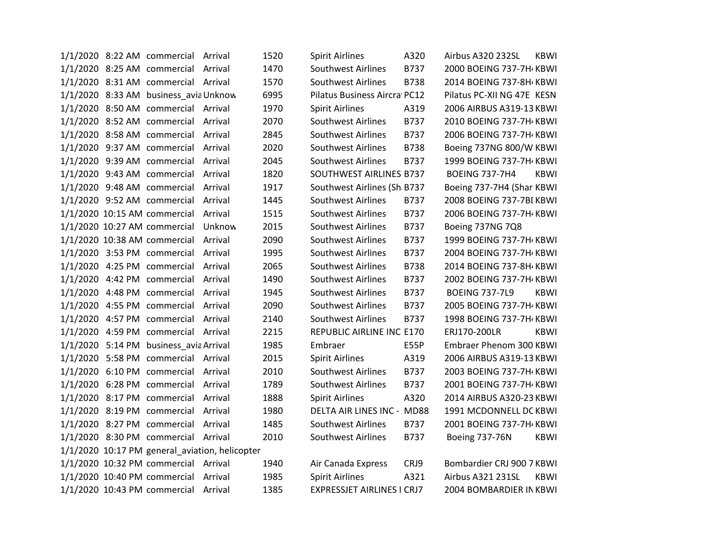| 1/1/2020 8:22 AM commercial Arrival            |         | 1520 | <b>Spirit Airlines</b>            | A320        | Airbus A320 232SL<br>KBWI            |  |
|------------------------------------------------|---------|------|-----------------------------------|-------------|--------------------------------------|--|
| 1/1/2020 8:25 AM commercial Arrival            |         | 1470 | <b>Southwest Airlines</b>         | <b>B737</b> | 2000 BOEING 737-7H KBWI              |  |
| 1/1/2020 8:31 AM commercial Arrival            |         | 1570 | <b>Southwest Airlines</b>         | B738        | 2014 BOEING 737-8H KBWI              |  |
| 1/1/2020 8:33 AM business_avia Unknow          |         | 6995 | Pilatus Business Aircral PC12     |             | Pilatus PC-XII NG 47E KESN           |  |
| 1/1/2020 8:50 AM commercial Arrival            |         | 1970 | <b>Spirit Airlines</b>            | A319        | 2006 AIRBUS A319-13 KBWI             |  |
| 1/1/2020 8:52 AM commercial Arrival            |         | 2070 | Southwest Airlines                | B737        | 2010 BOEING 737-7H KBWI              |  |
| 1/1/2020 8:58 AM commercial Arrival            |         | 2845 | <b>Southwest Airlines</b>         | B737        | 2006 BOEING 737-7H KBWI              |  |
| 1/1/2020 9:37 AM commercial                    | Arrival | 2020 | <b>Southwest Airlines</b>         | B738        | Boeing 737NG 800/W KBWI              |  |
| 1/1/2020 9:39 AM commercial                    | Arrival | 2045 | <b>Southwest Airlines</b>         | B737        | 1999 BOEING 737-7H KBWI              |  |
| 1/1/2020 9:43 AM commercial Arrival            |         | 1820 | SOUTHWEST AIRLINES B737           |             | <b>BOEING 737-7H4</b><br>KBWI        |  |
| 1/1/2020 9:48 AM commercial Arrival            |         | 1917 | Southwest Airlines (Sh B737       |             | Boeing 737-7H4 (Shar KBWI            |  |
| 1/1/2020 9:52 AM commercial                    | Arrival | 1445 | <b>Southwest Airlines</b>         | B737        | 2008 BOEING 737-7BI KBWI             |  |
| 1/1/2020 10:15 AM commercial                   | Arrival | 1515 | <b>Southwest Airlines</b>         | B737        | 2006 BOEING 737-7H KBWI              |  |
| 1/1/2020 10:27 AM commercial                   | Unknow  | 2015 | Southwest Airlines                | B737        | Boeing 737NG 7Q8                     |  |
| 1/1/2020 10:38 AM commercial                   | Arrival | 2090 | <b>Southwest Airlines</b>         | B737        | 1999 BOEING 737-7H KBWI              |  |
| 1/1/2020 3:53 PM commercial                    | Arrival | 1995 | Southwest Airlines                | B737        | 2004 BOEING 737-7H KBWI              |  |
| 1/1/2020 4:25 PM commercial                    | Arrival | 2065 | <b>Southwest Airlines</b>         | <b>B738</b> | 2014 BOEING 737-8H KBWI              |  |
| 1/1/2020 4:42 PM commercial                    | Arrival | 1490 | <b>Southwest Airlines</b>         | B737        | 2002 BOEING 737-7H KBWI              |  |
| 1/1/2020 4:48 PM commercial                    | Arrival | 1945 | <b>Southwest Airlines</b>         | B737        | <b>BOEING 737-7L9</b><br><b>KBWI</b> |  |
| 1/1/2020 4:55 PM commercial Arrival            |         | 2090 | <b>Southwest Airlines</b>         | B737        | 2005 BOEING 737-7H KBWI              |  |
| 1/1/2020 4:57 PM commercial Arrival            |         | 2140 | <b>Southwest Airlines</b>         | B737        | 1998 BOEING 737-7H KBWI              |  |
| 1/1/2020 4:59 PM commercial Arrival            |         | 2215 | REPUBLIC AIRLINE INC E170         |             | ERJ170-200LR<br><b>KBWI</b>          |  |
| 1/1/2020 5:14 PM business_avia Arrival         |         | 1985 | Embraer                           | E55P        | Embraer Phenom 300 KBWI              |  |
| 1/1/2020 5:58 PM commercial Arrival            |         | 2015 | <b>Spirit Airlines</b>            | A319        | 2006 AIRBUS A319-13 KBWI             |  |
| 1/1/2020 6:10 PM commercial Arrival            |         | 2010 | Southwest Airlines                | B737        | 2003 BOEING 737-7H KBWI              |  |
| 1/1/2020 6:28 PM commercial Arrival            |         | 1789 | <b>Southwest Airlines</b>         | B737        | 2001 BOEING 737-7H KBWI              |  |
| 1/1/2020 8:17 PM commercial Arrival            |         | 1888 | <b>Spirit Airlines</b>            | A320        | 2014 AIRBUS A320-23 KBWI             |  |
| 1/1/2020 8:19 PM commercial Arrival            |         | 1980 | DELTA AIR LINES INC - MD88        |             | 1991 MCDONNELL DC KBWI               |  |
| 1/1/2020 8:27 PM commercial Arrival            |         | 1485 | <b>Southwest Airlines</b>         | B737        | 2001 BOEING 737-7H KBWI              |  |
| 1/1/2020 8:30 PM commercial Arrival            |         | 2010 | <b>Southwest Airlines</b>         | B737        | Boeing 737-76N<br><b>KBWI</b>        |  |
| 1/1/2020 10:17 PM general_aviation, helicopter |         |      |                                   |             |                                      |  |
| 1/1/2020 10:32 PM commercial Arrival           |         | 1940 | Air Canada Express                | CRJ9        | Bombardier CRJ 900 7 KBWI            |  |
| 1/1/2020 10:40 PM commercial Arrival           |         | 1985 | <b>Spirit Airlines</b>            | A321        | Airbus A321 231SL<br><b>KBWI</b>     |  |
| 1/1/2020 10:43 PM commercial Arrival           |         | 1385 | <b>EXPRESSJET AIRLINES I CRJ7</b> |             | 2004 BOMBARDIER IN KBWI              |  |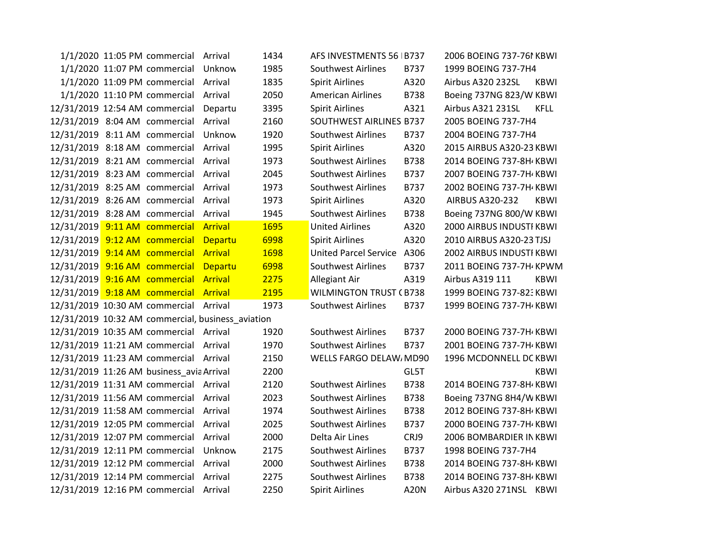|  | 1/1/2020 11:05 PM commercial Arrival      |                                                   | 1434 | AFS INVESTMENTS 56   B737     |      | 2006 BOEING 737-761 KBWI              |
|--|-------------------------------------------|---------------------------------------------------|------|-------------------------------|------|---------------------------------------|
|  | 1/1/2020 11:07 PM commercial              | Unknow                                            | 1985 | <b>Southwest Airlines</b>     | B737 | 1999 BOEING 737-7H4                   |
|  | 1/1/2020 11:09 PM commercial              | Arrival                                           | 1835 | <b>Spirit Airlines</b>        | A320 | Airbus A320 232SL<br><b>KBWI</b>      |
|  | 1/1/2020 11:10 PM commercial              | Arrival                                           | 2050 | <b>American Airlines</b>      | B738 | Boeing 737NG 823/W KBWI               |
|  |                                           |                                                   |      |                               |      |                                       |
|  | 12/31/2019 12:54 AM commercial            | Departu                                           | 3395 | <b>Spirit Airlines</b>        | A321 | Airbus A321 231SL<br><b>KFLL</b>      |
|  | 12/31/2019 8:04 AM commercial             | Arrival                                           | 2160 | SOUTHWEST AIRLINES B737       |      | 2005 BOEING 737-7H4                   |
|  | 12/31/2019 8:11 AM commercial             | Unknow                                            | 1920 | Southwest Airlines            | B737 | 2004 BOEING 737-7H4                   |
|  | 12/31/2019 8:18 AM commercial             | Arrival                                           | 1995 | <b>Spirit Airlines</b>        | A320 | 2015 AIRBUS A320-23 KBWI              |
|  | 12/31/2019 8:21 AM commercial             | Arrival                                           | 1973 | Southwest Airlines            | B738 | 2014 BOEING 737-8H KBWI               |
|  | 12/31/2019 8:23 AM commercial             | Arrival                                           | 2045 | <b>Southwest Airlines</b>     | B737 | 2007 BOEING 737-7H KBWI               |
|  | 12/31/2019 8:25 AM commercial             | Arrival                                           | 1973 | <b>Southwest Airlines</b>     | B737 | 2002 BOEING 737-7H KBWI               |
|  | 12/31/2019 8:26 AM commercial             | Arrival                                           | 1973 | <b>Spirit Airlines</b>        | A320 | <b>AIRBUS A320-232</b><br><b>KBWI</b> |
|  | 12/31/2019 8:28 AM commercial             | Arrival                                           | 1945 | <b>Southwest Airlines</b>     | B738 | Boeing 737NG 800/W KBWI               |
|  | 12/31/2019 9:11 AM commercial             | <b>Arrival</b>                                    | 1695 | <b>United Airlines</b>        | A320 | 2000 AIRBUS INDUSTI KBWI              |
|  | 12/31/2019 9:12 AM commercial             | Departu                                           | 6998 | <b>Spirit Airlines</b>        | A320 | 2010 AIRBUS A320-23 TJSJ              |
|  | 12/31/2019 9:14 AM commercial             | <b>Arrival</b>                                    | 1698 | <b>United Parcel Service</b>  | A306 | 2002 AIRBUS INDUSTI KBWI              |
|  | 12/31/2019 9:16 AM commercial             | Departu                                           | 6998 | <b>Southwest Airlines</b>     | B737 | 2011 BOEING 737-7H KPWM               |
|  | 12/31/2019 9:16 AM commercial             | <b>Arrival</b>                                    | 2275 | Allegiant Air                 | A319 | Airbus A319 111<br><b>KBWI</b>        |
|  | 12/31/2019 9:18 AM commercial             | <b>Arrival</b>                                    | 2195 | <b>WILMINGTON TRUST (B738</b> |      | 1999 BOEING 737-823 KBWI              |
|  | 12/31/2019 10:30 AM commercial Arrival    |                                                   | 1973 | Southwest Airlines            | B737 | 1999 BOEING 737-7H KBWI               |
|  |                                           | 12/31/2019 10:32 AM commercial, business_aviation |      |                               |      |                                       |
|  | 12/31/2019 10:35 AM commercial Arrival    |                                                   | 1920 | <b>Southwest Airlines</b>     | B737 | 2000 BOEING 737-7H KBWI               |
|  | 12/31/2019 11:21 AM commercial            | Arrival                                           | 1970 | Southwest Airlines            | B737 | 2001 BOEING 737-7H KBWI               |
|  | 12/31/2019 11:23 AM commercial Arrival    |                                                   | 2150 | WELLS FARGO DELAW, MD90       |      | 1996 MCDONNELL DC KBWI                |
|  | 12/31/2019 11:26 AM business_avia Arrival |                                                   | 2200 |                               | GL5T | KBWI                                  |
|  | 12/31/2019 11:31 AM commercial            | Arrival                                           | 2120 | <b>Southwest Airlines</b>     | B738 | 2014 BOEING 737-8H KBWI               |
|  | 12/31/2019 11:56 AM commercial            | Arrival                                           | 2023 | Southwest Airlines            | B738 | Boeing 737NG 8H4/W KBWI               |
|  | 12/31/2019 11:58 AM commercial            | Arrival                                           | 1974 | <b>Southwest Airlines</b>     | B738 | 2012 BOEING 737-8H KBWI               |
|  | 12/31/2019 12:05 PM commercial            | Arrival                                           | 2025 | <b>Southwest Airlines</b>     | B737 | 2000 BOEING 737-7H KBWI               |
|  | 12/31/2019 12:07 PM commercial            | Arrival                                           | 2000 | Delta Air Lines               | CRJ9 | 2006 BOMBARDIER IN KBWI               |
|  | 12/31/2019 12:11 PM commercial            | Unknow                                            | 2175 | <b>Southwest Airlines</b>     | B737 | 1998 BOEING 737-7H4                   |
|  | 12/31/2019 12:12 PM commercial            | Arrival                                           | 2000 | <b>Southwest Airlines</b>     | B738 | 2014 BOEING 737-8H KBWI               |
|  | 12/31/2019 12:14 PM commercial            | Arrival                                           | 2275 | Southwest Airlines            | B738 | 2014 BOEING 737-8H KBWI               |
|  |                                           |                                                   |      |                               |      |                                       |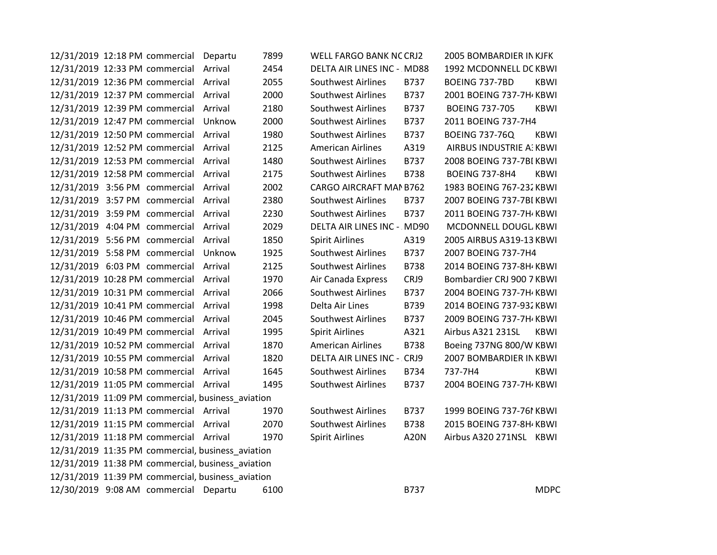| 12/31/2019 12:18 PM commercial Departu            | 7899 | WELL FARGO BANK NC CRJ2    |             | 2005 BOMBARDIER IN KJFK              |
|---------------------------------------------------|------|----------------------------|-------------|--------------------------------------|
| 12/31/2019 12:33 PM commercial Arrival            | 2454 | DELTA AIR LINES INC - MD88 |             | 1992 MCDONNELL DC KBWI               |
| 12/31/2019 12:36 PM commercial Arrival            | 2055 | Southwest Airlines         | B737        | BOEING 737-7BD<br>KBWI               |
| 12/31/2019 12:37 PM commercial Arrival            | 2000 | <b>Southwest Airlines</b>  | B737        | 2001 BOEING 737-7H KBWI              |
| 12/31/2019 12:39 PM commercial Arrival            | 2180 | <b>Southwest Airlines</b>  | B737        | <b>BOEING 737-705</b><br><b>KBWI</b> |
| 12/31/2019 12:47 PM commercial Unknow             | 2000 | <b>Southwest Airlines</b>  | B737        | 2011 BOEING 737-7H4                  |
| 12/31/2019 12:50 PM commercial Arrival            | 1980 | <b>Southwest Airlines</b>  | B737        | <b>BOEING 737-76Q</b><br><b>KBWI</b> |
| 12/31/2019 12:52 PM commercial Arrival            | 2125 | <b>American Airlines</b>   | A319        | AIRBUS INDUSTRIE A: KBWI             |
| 12/31/2019 12:53 PM commercial Arrival            | 1480 | <b>Southwest Airlines</b>  | B737        | 2008 BOEING 737-7BI KBWI             |
| 12/31/2019 12:58 PM commercial Arrival            | 2175 | <b>Southwest Airlines</b>  | <b>B738</b> | <b>KBWI</b><br><b>BOEING 737-8H4</b> |
| 12/31/2019 3:56 PM commercial Arrival             | 2002 | CARGO AIRCRAFT MAN B762    |             | 1983 BOEING 767-232 KBWI             |
| 12/31/2019 3:57 PM commercial Arrival             | 2380 | <b>Southwest Airlines</b>  | B737        | 2007 BOEING 737-7BI KBWI             |
| 12/31/2019 3:59 PM commercial Arrival             | 2230 | Southwest Airlines         | B737        | 2011 BOEING 737-7H KBWI              |
| 12/31/2019 4:04 PM commercial Arrival             | 2029 | DELTA AIR LINES INC - MD90 |             | MCDONNELL DOUGL KBWI                 |
| 12/31/2019 5:56 PM commercial Arrival             | 1850 | <b>Spirit Airlines</b>     | A319        | 2005 AIRBUS A319-13 KBWI             |
| 12/31/2019 5:58 PM commercial Unknow              | 1925 | <b>Southwest Airlines</b>  | B737        | 2007 BOEING 737-7H4                  |
| 12/31/2019 6:03 PM commercial Arrival             | 2125 | <b>Southwest Airlines</b>  | <b>B738</b> | 2014 BOEING 737-8H / KBWI            |
| 12/31/2019 10:28 PM commercial Arrival            | 1970 | Air Canada Express         | CRJ9        | Bombardier CRJ 900 7 KBWI            |
| 12/31/2019 10:31 PM commercial Arrival            | 2066 | <b>Southwest Airlines</b>  | B737        | 2004 BOEING 737-7H KBWI              |
| 12/31/2019 10:41 PM commercial Arrival            | 1998 | Delta Air Lines            | B739        | 2014 BOEING 737-932 KBWI             |
| 12/31/2019 10:46 PM commercial Arrival            | 2045 | <b>Southwest Airlines</b>  | B737        | 2009 BOEING 737-7H KBWI              |
| 12/31/2019 10:49 PM commercial Arrival            | 1995 | <b>Spirit Airlines</b>     | A321        | Airbus A321 231SL<br>KBWI            |
| 12/31/2019 10:52 PM commercial Arrival            | 1870 | <b>American Airlines</b>   | <b>B738</b> | Boeing 737NG 800/W KBWI              |
| 12/31/2019 10:55 PM commercial Arrival            | 1820 | DELTA AIR LINES INC - CRJ9 |             | 2007 BOMBARDIER IN KBWI              |
| 12/31/2019 10:58 PM commercial Arrival            | 1645 | <b>Southwest Airlines</b>  | B734        | 737-7H4<br>KBWI                      |
| 12/31/2019 11:05 PM commercial Arrival            | 1495 | <b>Southwest Airlines</b>  | B737        | 2004 BOEING 737-7H KBWI              |
| 12/31/2019 11:09 PM commercial, business_aviation |      |                            |             |                                      |
| 12/31/2019 11:13 PM commercial Arrival            | 1970 | <b>Southwest Airlines</b>  | B737        | 1999 BOEING 737-761 KBWI             |
| 12/31/2019 11:15 PM commercial Arrival            | 2070 | <b>Southwest Airlines</b>  | <b>B738</b> | 2015 BOEING 737-8H KBWI              |
| 12/31/2019 11:18 PM commercial Arrival            | 1970 | <b>Spirit Airlines</b>     | A20N        | Airbus A320 271NSL KBWI              |
| 12/31/2019 11:35 PM commercial, business_aviation |      |                            |             |                                      |
| 12/31/2019 11:38 PM commercial, business_aviation |      |                            |             |                                      |
| 12/31/2019 11:39 PM commercial, business_aviation |      |                            |             |                                      |
| 12/30/2019 9:08 AM commercial Departu             | 6100 |                            | B737        | <b>MDPC</b>                          |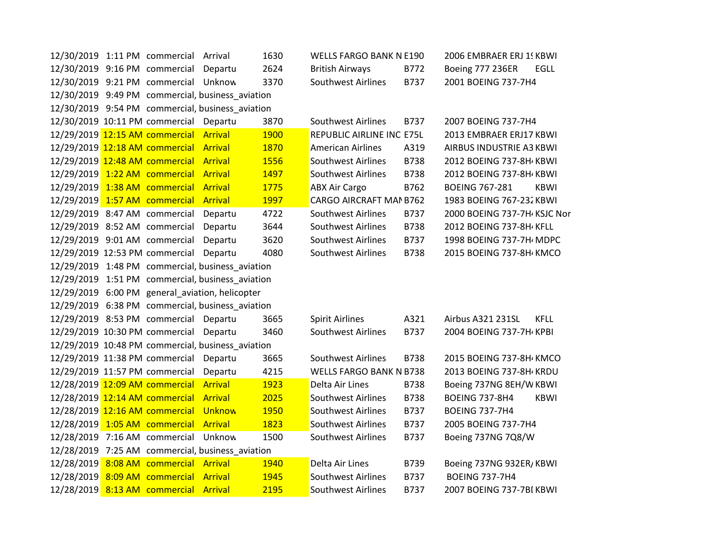|                                | 12/30/2019 1:11 PM commercial Arrival  |                                                   | 1630        | <b>WELLS FARGO BANK N E190</b> |             | 2006 EMBRAER ERJ 15 KBWI    |             |
|--------------------------------|----------------------------------------|---------------------------------------------------|-------------|--------------------------------|-------------|-----------------------------|-------------|
|                                | 12/30/2019 9:16 PM commercial Departu  |                                                   | 2624        | <b>British Airways</b>         | B772        | Boeing 777 236ER            | EGLL        |
|                                | 12/30/2019 9:21 PM commercial Unknow   |                                                   | 3370        | <b>Southwest Airlines</b>      | B737        | 2001 BOEING 737-7H4         |             |
|                                |                                        | 12/30/2019 9:49 PM commercial, business aviation  |             |                                |             |                             |             |
|                                |                                        | 12/30/2019 9:54 PM commercial, business_aviation  |             |                                |             |                             |             |
|                                | 12/30/2019 10:11 PM commercial Departu |                                                   | 3870        | <b>Southwest Airlines</b>      | B737        | 2007 BOEING 737-7H4         |             |
|                                | 12/29/2019 12:15 AM commercial Arrival |                                                   | <b>1900</b> | REPUBLIC AIRLINE INC E75L      |             | 2013 EMBRAER ERJ17 KBWI     |             |
| 12/29/2019 12:18 AM commercial |                                        | Arrival                                           | 1870        | <b>American Airlines</b>       | A319        | AIRBUS INDUSTRIE A3 KBWI    |             |
|                                | 12/29/2019 12:48 AM commercial Arrival |                                                   | 1556        | Southwest Airlines             | B738        | 2012 BOEING 737-8H KBWI     |             |
|                                | 12/29/2019 1:22 AM commercial Arrival  |                                                   | 1497        | Southwest Airlines             | <b>B738</b> | 2012 BOEING 737-8H KBWI     |             |
|                                | 12/29/2019 1:38 AM commercial Arrival  |                                                   | 1775        | <b>ABX Air Cargo</b>           | B762        | <b>BOEING 767-281</b>       | <b>KBWI</b> |
| 12/29/2019 1:57 AM commercial  |                                        | Arrival                                           | 1997        | CARGO AIRCRAFT MAN B762        |             | 1983 BOEING 767-232 KBWI    |             |
|                                | 12/29/2019 8:47 AM commercial          | Departu                                           | 4722        | <b>Southwest Airlines</b>      | B737        | 2000 BOEING 737-7H KSJC Nor |             |
|                                | 12/29/2019 8:52 AM commercial          | Departu                                           | 3644        | <b>Southwest Airlines</b>      | B738        | 2012 BOEING 737-8H/ KFLL    |             |
|                                | 12/29/2019 9:01 AM commercial          | Departu                                           | 3620        | Southwest Airlines             | B737        | 1998 BOEING 737-7H MDPC     |             |
|                                | 12/29/2019 12:53 PM commercial Departu |                                                   | 4080        | <b>Southwest Airlines</b>      | <b>B738</b> | 2015 BOEING 737-8H KMCO     |             |
|                                |                                        | 12/29/2019 1:48 PM commercial, business_aviation  |             |                                |             |                             |             |
|                                |                                        | 12/29/2019 1:51 PM commercial, business_aviation  |             |                                |             |                             |             |
|                                |                                        | 12/29/2019 6:00 PM general_aviation, helicopter   |             |                                |             |                             |             |
|                                |                                        | 12/29/2019 6:38 PM commercial, business_aviation  |             |                                |             |                             |             |
|                                | 12/29/2019 8:53 PM commercial Departu  |                                                   | 3665        | <b>Spirit Airlines</b>         | A321        | Airbus A321 231SL           | <b>KFLL</b> |
|                                | 12/29/2019 10:30 PM commercial Departu |                                                   | 3460        | <b>Southwest Airlines</b>      | B737        | 2004 BOEING 737-7H KPBI     |             |
|                                |                                        | 12/29/2019 10:48 PM commercial, business aviation |             |                                |             |                             |             |
|                                | 12/29/2019 11:38 PM commercial Departu |                                                   | 3665        | <b>Southwest Airlines</b>      | <b>B738</b> | 2015 BOEING 737-8H KMCO     |             |
|                                | 12/29/2019 11:57 PM commercial Departu |                                                   | 4215        | <b>WELLS FARGO BANK N B738</b> |             | 2013 BOEING 737-8H / KRDU   |             |
|                                | 12/28/2019 12:09 AM commercial Arrival |                                                   | 1923        | Delta Air Lines                | <b>B738</b> | Boeing 737NG 8EH/W KBWI     |             |
|                                | 12/28/2019 12:14 AM commercial Arrival |                                                   | 2025        | Southwest Airlines             | B738        | <b>BOEING 737-8H4</b>       | <b>KBWI</b> |
|                                | 12/28/2019 12:16 AM commercial Unknow  |                                                   | 1950        | <b>Southwest Airlines</b>      | B737        | <b>BOEING 737-7H4</b>       |             |
| 12/28/2019 1:05 AM commercial  |                                        | <b>Arrival</b>                                    | 1823        | <b>Southwest Airlines</b>      | B737        | 2005 BOEING 737-7H4         |             |
|                                | 12/28/2019 7:16 AM commercial Unknow   |                                                   | 1500        | Southwest Airlines             | B737        | Boeing 737NG 7Q8/W          |             |
|                                |                                        | 12/28/2019 7:25 AM commercial, business_aviation  |             |                                |             |                             |             |
|                                |                                        |                                                   | 1940        | Delta Air Lines                | B739        | Boeing 737NG 932ER/KBWI     |             |
|                                | 12/28/2019 8:08 AM commercial Arrival  |                                                   |             |                                |             |                             |             |
|                                | 12/28/2019 8:09 AM commercial          | Arrival                                           | 1945        | <b>Southwest Airlines</b>      | B737        | <b>BOEING 737-7H4</b>       |             |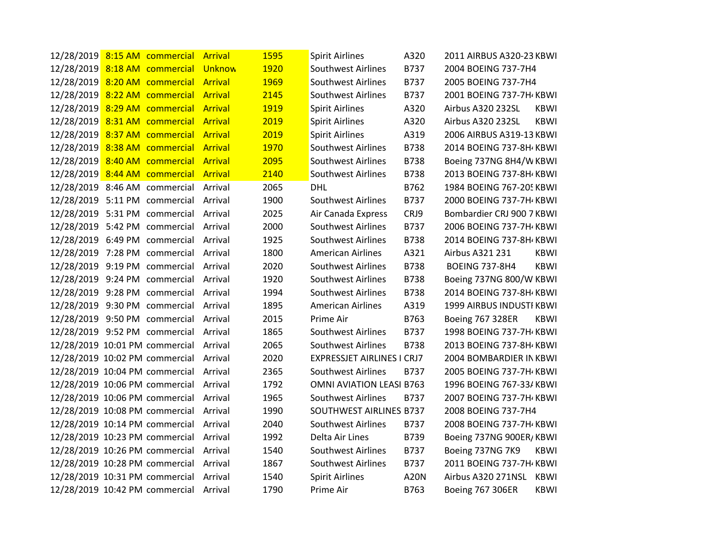| 12/28/2019 8:15 AM commercial Arrival  |  |                | 1595 | <b>Spirit Airlines</b>            | A320        | 2011 AIRBUS A320-23 KBWI  |             |
|----------------------------------------|--|----------------|------|-----------------------------------|-------------|---------------------------|-------------|
| 12/28/2019 8:18 AM commercial          |  | Unknow         | 1920 | Southwest Airlines                | B737        | 2004 BOEING 737-7H4       |             |
| 12/28/2019 8:20 AM commercial          |  | <b>Arrival</b> | 1969 | <b>Southwest Airlines</b>         | B737        | 2005 BOEING 737-7H4       |             |
| 12/28/2019 8:22 AM commercial Arrival  |  |                | 2145 | <b>Southwest Airlines</b>         | B737        | 2001 BOEING 737-7H / KBWI |             |
| 12/28/2019 8:29 AM commercial          |  | <b>Arrival</b> | 1919 | <b>Spirit Airlines</b>            | A320        | Airbus A320 232SL         | KBWI        |
| 12/28/2019 8:31 AM commercial          |  | <b>Arrival</b> | 2019 | <b>Spirit Airlines</b>            | A320        | Airbus A320 232SL         | <b>KBWI</b> |
| 12/28/2019 8:37 AM commercial          |  | <b>Arrival</b> | 2019 | <b>Spirit Airlines</b>            | A319        | 2006 AIRBUS A319-13 KBWI  |             |
| 12/28/2019 8:38 AM commercial          |  | <b>Arrival</b> | 1970 | <b>Southwest Airlines</b>         | <b>B738</b> | 2014 BOEING 737-8H / KBWI |             |
| 12/28/2019 8:40 AM commercial          |  | <b>Arrival</b> | 2095 | <b>Southwest Airlines</b>         | <b>B738</b> | Boeing 737NG 8H4/W KBWI   |             |
| 12/28/2019 8:44 AM commercial          |  | <b>Arrival</b> | 2140 | <b>Southwest Airlines</b>         | <b>B738</b> | 2013 BOEING 737-8H / KBWI |             |
| 12/28/2019 8:46 AM commercial Arrival  |  |                | 2065 | <b>DHL</b>                        | B762        | 1984 BOEING 767-205 KBWI  |             |
| 12/28/2019 5:11 PM commercial          |  | Arrival        | 1900 | <b>Southwest Airlines</b>         | B737        | 2000 BOEING 737-7H / KBWI |             |
| 12/28/2019 5:31 PM commercial          |  | Arrival        | 2025 | Air Canada Express                | CRJ9        | Bombardier CRJ 900 7 KBWI |             |
| 12/28/2019 5:42 PM commercial          |  | Arrival        | 2000 | <b>Southwest Airlines</b>         | B737        | 2006 BOEING 737-7H / KBWI |             |
| 12/28/2019 6:49 PM commercial          |  | Arrival        | 1925 | Southwest Airlines                | <b>B738</b> | 2014 BOEING 737-8H KBWI   |             |
| 12/28/2019 7:28 PM commercial          |  | Arrival        | 1800 | <b>American Airlines</b>          | A321        | Airbus A321 231           | <b>KBWI</b> |
| 12/28/2019 9:19 PM commercial          |  | Arrival        | 2020 | <b>Southwest Airlines</b>         | <b>B738</b> | <b>BOEING 737-8H4</b>     | <b>KBWI</b> |
| 12/28/2019 9:24 PM commercial          |  | Arrival        | 1920 | <b>Southwest Airlines</b>         | <b>B738</b> | Boeing 737NG 800/W KBWI   |             |
| 12/28/2019 9:28 PM commercial Arrival  |  |                | 1994 | <b>Southwest Airlines</b>         | <b>B738</b> | 2014 BOEING 737-8H / KBWI |             |
| 12/28/2019 9:30 PM commercial          |  | Arrival        | 1895 | <b>American Airlines</b>          | A319        | 1999 AIRBUS INDUSTI KBWI  |             |
| 12/28/2019 9:50 PM commercial Arrival  |  |                | 2015 | Prime Air                         | B763        | <b>Boeing 767 328ER</b>   | <b>KBWI</b> |
| 12/28/2019 9:52 PM commercial          |  | Arrival        | 1865 | <b>Southwest Airlines</b>         | B737        | 1998 BOEING 737-7H KBWI   |             |
| 12/28/2019 10:01 PM commercial         |  | Arrival        | 2065 | <b>Southwest Airlines</b>         | <b>B738</b> | 2013 BOEING 737-8H / KBWI |             |
| 12/28/2019 10:02 PM commercial         |  | Arrival        | 2020 | <b>EXPRESSJET AIRLINES I CRJ7</b> |             | 2004 BOMBARDIER IN KBWI   |             |
| 12/28/2019 10:04 PM commercial         |  | Arrival        | 2365 | <b>Southwest Airlines</b>         | <b>B737</b> | 2005 BOEING 737-7H KBWI   |             |
| 12/28/2019 10:06 PM commercial         |  | Arrival        | 1792 | <b>OMNI AVIATION LEASI B763</b>   |             | 1996 BOEING 767-33/KBWI   |             |
| 12/28/2019 10:06 PM commercial         |  | Arrival        | 1965 | Southwest Airlines                | B737        | 2007 BOEING 737-7H KBWI   |             |
| 12/28/2019 10:08 PM commercial         |  | Arrival        | 1990 | SOUTHWEST AIRLINES B737           |             | 2008 BOEING 737-7H4       |             |
| 12/28/2019 10:14 PM commercial         |  | Arrival        | 2040 | <b>Southwest Airlines</b>         | B737        | 2008 BOEING 737-7H KBWI   |             |
| 12/28/2019 10:23 PM commercial         |  | Arrival        | 1992 | Delta Air Lines                   | B739        | Boeing 737NG 900ER/KBWI   |             |
| 12/28/2019 10:26 PM commercial         |  | Arrival        | 1540 | <b>Southwest Airlines</b>         | B737        | Boeing 737NG 7K9          | KBWI        |
| 12/28/2019 10:28 PM commercial         |  | Arrival        | 1867 | <b>Southwest Airlines</b>         | B737        | 2011 BOEING 737-7H / KBWI |             |
| 12/28/2019 10:31 PM commercial         |  | Arrival        | 1540 | <b>Spirit Airlines</b>            | <b>A20N</b> | Airbus A320 271NSL KBWI   |             |
| 12/28/2019 10:42 PM commercial Arrival |  |                | 1790 | Prime Air                         | B763        | Boeing 767 306ER          | <b>KBWI</b> |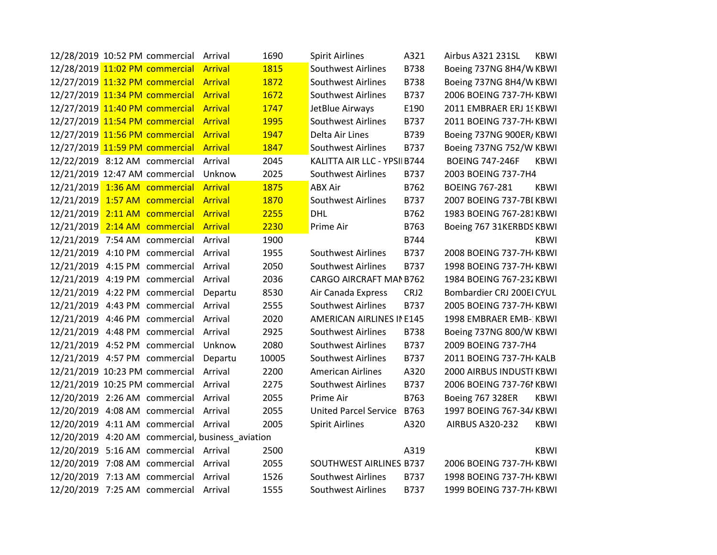|                               | 12/28/2019 10:52 PM commercial Arrival |                                                  | 1690  | <b>Spirit Airlines</b>       | A321        | Airbus A321 231SL         | <b>KBWI</b> |
|-------------------------------|----------------------------------------|--------------------------------------------------|-------|------------------------------|-------------|---------------------------|-------------|
|                               | 12/28/2019 11:02 PM commercial Arrival |                                                  | 1815  | Southwest Airlines           | <b>B738</b> | Boeing 737NG 8H4/W KBWI   |             |
|                               | 12/27/2019 11:32 PM commercial Arrival |                                                  | 1872  | <b>Southwest Airlines</b>    | <b>B738</b> | Boeing 737NG 8H4/W KBWI   |             |
|                               | 12/27/2019 11:34 PM commercial Arrival |                                                  | 1672  | <b>Southwest Airlines</b>    | B737        | 2006 BOEING 737-7H / KBWI |             |
|                               | 12/27/2019 11:40 PM commercial Arrival |                                                  | 1747  | JetBlue Airways              | E190        | 2011 EMBRAER ERJ 15 KBWI  |             |
|                               | 12/27/2019 11:54 PM commercial Arrival |                                                  | 1995  | <b>Southwest Airlines</b>    | B737        | 2011 BOEING 737-7H / KBWI |             |
|                               | 12/27/2019 11:56 PM commercial Arrival |                                                  | 1947  | Delta Air Lines              | B739        | Boeing 737NG 900ER/KBWI   |             |
|                               | 12/27/2019 11:59 PM commercial Arrival |                                                  | 1847  | Southwest Airlines           | B737        | Boeing 737NG 752/W KBWI   |             |
|                               | 12/22/2019 8:12 AM commercial          | Arrival                                          | 2045  | KALITTA AIR LLC - YPSII B744 |             | <b>BOEING 747-246F</b>    | <b>KBWI</b> |
|                               | 12/21/2019 12:47 AM commercial         | Unknow                                           | 2025  | <b>Southwest Airlines</b>    | B737        | 2003 BOEING 737-7H4       |             |
|                               | 12/21/2019 1:36 AM commercial Arrival  |                                                  | 1875  | <b>ABX Air</b>               | B762        | <b>BOEING 767-281</b>     | <b>KBWI</b> |
|                               | 12/21/2019 1:57 AM commercial Arrival  |                                                  | 1870  | Southwest Airlines           | B737        | 2007 BOEING 737-7BI KBWI  |             |
|                               | 12/21/2019 2:11 AM commercial Arrival  |                                                  | 2255  | DHL                          | B762        | 1983 BOEING 767-281KBWI   |             |
|                               | 12/21/2019 2:14 AM commercial Arrival  |                                                  | 2230  | Prime Air                    | B763        | Boeing 767 31KERBDS KBWI  |             |
|                               | 12/21/2019 7:54 AM commercial          | Arrival                                          | 1900  |                              | B744        |                           | <b>KBWI</b> |
|                               | 12/21/2019 4:10 PM commercial Arrival  |                                                  | 1955  | Southwest Airlines           | B737        | 2008 BOEING 737-7H KBWI   |             |
|                               | 12/21/2019 4:15 PM commercial Arrival  |                                                  | 2050  | <b>Southwest Airlines</b>    | B737        | 1998 BOEING 737-7H / KBWI |             |
|                               | 12/21/2019 4:19 PM commercial          | Arrival                                          | 2036  | CARGO AIRCRAFT MAN B762      |             | 1984 BOEING 767-232 KBWI  |             |
|                               | 12/21/2019 4:22 PM commercial          | Departu                                          | 8530  | Air Canada Express           | CRJ2        | Bombardier CRJ 200EI CYUL |             |
|                               | 12/21/2019 4:43 PM commercial          | Arrival                                          | 2555  | Southwest Airlines           | B737        | 2005 BOEING 737-7H / KBWI |             |
|                               | 12/21/2019 4:46 PM commercial Arrival  |                                                  | 2020  | AMERICAN AIRLINES IN E145    |             | 1998 EMBRAER EMB- KBWI    |             |
|                               | 12/21/2019 4:48 PM commercial Arrival  |                                                  | 2925  | <b>Southwest Airlines</b>    | <b>B738</b> | Boeing 737NG 800/W KBWI   |             |
|                               | 12/21/2019 4:52 PM commercial          | Unknow                                           | 2080  | Southwest Airlines           | B737        | 2009 BOEING 737-7H4       |             |
| 12/21/2019 4:57 PM commercial |                                        | Departu                                          | 10005 | <b>Southwest Airlines</b>    | B737        | 2011 BOEING 737-7H KALB   |             |
|                               | 12/21/2019 10:23 PM commercial         | Arrival                                          | 2200  | <b>American Airlines</b>     | A320        | 2000 AIRBUS INDUSTI KBWI  |             |
|                               | 12/21/2019 10:25 PM commercial Arrival |                                                  | 2275  | Southwest Airlines           | B737        | 2006 BOEING 737-761 KBWI  |             |
|                               | 12/20/2019 2:26 AM commercial Arrival  |                                                  | 2055  | Prime Air                    | B763        | <b>Boeing 767 328ER</b>   | <b>KBWI</b> |
| 12/20/2019 4:08 AM commercial |                                        | Arrival                                          | 2055  | <b>United Parcel Service</b> | B763        | 1997 BOEING 767-34/KBWI   |             |
|                               | 12/20/2019 4:11 AM commercial Arrival  |                                                  | 2005  | <b>Spirit Airlines</b>       | A320        | <b>AIRBUS A320-232</b>    | <b>KBWI</b> |
|                               |                                        | 12/20/2019 4:20 AM commercial, business_aviation |       |                              |             |                           |             |
|                               | 12/20/2019 5:16 AM commercial Arrival  |                                                  | 2500  |                              | A319        |                           | <b>KBWI</b> |
|                               | 12/20/2019 7:08 AM commercial Arrival  |                                                  | 2055  | SOUTHWEST AIRLINES B737      |             | 2006 BOEING 737-7H KBWI   |             |
|                               | 12/20/2019 7:13 AM commercial Arrival  |                                                  | 1526  | Southwest Airlines           | B737        | 1998 BOEING 737-7H / KBWI |             |
|                               | 12/20/2019 7:25 AM commercial Arrival  |                                                  | 1555  | <b>Southwest Airlines</b>    | B737        | 1999 BOEING 737-7H KBWI   |             |
|                               |                                        |                                                  |       |                              |             |                           |             |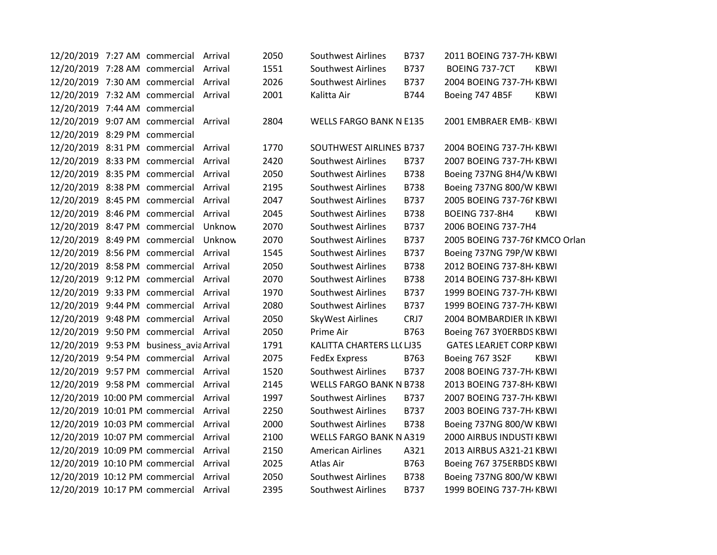|                                | 12/20/2019 7:27 AM commercial Arrival    |         | 2050 | Southwest Airlines             | B737        | 2011 BOEING 737-7H KBWI        |             |
|--------------------------------|------------------------------------------|---------|------|--------------------------------|-------------|--------------------------------|-------------|
|                                | 12/20/2019 7:28 AM commercial Arrival    |         | 1551 | <b>Southwest Airlines</b>      | B737        | BOEING 737-7CT                 | <b>KBWI</b> |
|                                | 12/20/2019 7:30 AM commercial Arrival    |         | 2026 | <b>Southwest Airlines</b>      | <b>B737</b> | 2004 BOEING 737-7H KBWI        |             |
|                                | 12/20/2019 7:32 AM commercial Arrival    |         | 2001 | Kalitta Air                    | B744        | Boeing 747 4B5F                | <b>KBWI</b> |
| 12/20/2019 7:44 AM commercial  |                                          |         |      |                                |             |                                |             |
|                                | 12/20/2019 9:07 AM commercial Arrival    |         | 2804 | WELLS FARGO BANK N E135        |             | 2001 EMBRAER EMB- KBWI         |             |
| 12/20/2019 8:29 PM commercial  |                                          |         |      |                                |             |                                |             |
| 12/20/2019 8:31 PM commercial  |                                          | Arrival | 1770 | SOUTHWEST AIRLINES B737        |             | 2004 BOEING 737-7H KBWI        |             |
| 12/20/2019 8:33 PM commercial  |                                          | Arrival | 2420 | <b>Southwest Airlines</b>      | B737        | 2007 BOEING 737-7H KBWI        |             |
| 12/20/2019 8:35 PM commercial  |                                          | Arrival | 2050 | <b>Southwest Airlines</b>      | <b>B738</b> | Boeing 737NG 8H4/W KBWI        |             |
|                                | 12/20/2019 8:38 PM commercial            | Arrival | 2195 | <b>Southwest Airlines</b>      | <b>B738</b> | Boeing 737NG 800/W KBWI        |             |
| 12/20/2019 8:45 PM commercial  |                                          | Arrival | 2047 | <b>Southwest Airlines</b>      | B737        | 2005 BOEING 737-761 KBWI       |             |
| 12/20/2019 8:46 PM commercial  |                                          | Arrival | 2045 | <b>Southwest Airlines</b>      | <b>B738</b> | <b>BOEING 737-8H4</b>          | <b>KBWI</b> |
| 12/20/2019 8:47 PM commercial  |                                          | Unknow  | 2070 | <b>Southwest Airlines</b>      | B737        | 2006 BOEING 737-7H4            |             |
| 12/20/2019 8:49 PM commercial  |                                          | Unknow  | 2070 | <b>Southwest Airlines</b>      | B737        | 2005 BOEING 737-761 KMCO Orlan |             |
|                                | 12/20/2019 8:56 PM commercial            | Arrival | 1545 | Southwest Airlines             | B737        | Boeing 737NG 79P/W KBWI        |             |
| 12/20/2019 8:58 PM commercial  |                                          | Arrival | 2050 | <b>Southwest Airlines</b>      | <b>B738</b> | 2012 BOEING 737-8H KBWI        |             |
| 12/20/2019 9:12 PM commercial  |                                          | Arrival | 2070 | <b>Southwest Airlines</b>      | <b>B738</b> | 2014 BOEING 737-8H / KBWI      |             |
| 12/20/2019 9:33 PM commercial  |                                          | Arrival | 1970 | <b>Southwest Airlines</b>      | B737        | 1999 BOEING 737-7H KBWI        |             |
|                                | 12/20/2019 9:44 PM commercial Arrival    |         | 2080 | <b>Southwest Airlines</b>      | B737        | 1999 BOEING 737-7H KBWI        |             |
|                                | 12/20/2019 9:48 PM commercial Arrival    |         | 2050 | SkyWest Airlines               | CRJ7        | 2004 BOMBARDIER IN KBWI        |             |
|                                | 12/20/2019 9:50 PM commercial Arrival    |         | 2050 | Prime Air                      | B763        | Boeing 767 3YOERBDS KBWI       |             |
|                                | 12/20/2019 9:53 PM business_avia Arrival |         | 1791 | KALITTA CHARTERS LL(LJ35       |             | <b>GATES LEARJET CORP KBWI</b> |             |
|                                | 12/20/2019 9:54 PM commercial Arrival    |         | 2075 | <b>FedEx Express</b>           | B763        | Boeing 767 3S2F                | <b>KBWI</b> |
|                                | 12/20/2019 9:57 PM commercial            | Arrival | 1520 | Southwest Airlines             | B737        | 2008 BOEING 737-7H KBWI        |             |
|                                | 12/20/2019 9:58 PM commercial            | Arrival | 2145 | <b>WELLS FARGO BANK N B738</b> |             | 2013 BOEING 737-8H KBWI        |             |
| 12/20/2019 10:00 PM commercial |                                          | Arrival | 1997 | <b>Southwest Airlines</b>      | B737        | 2007 BOEING 737-7H KBWI        |             |
| 12/20/2019 10:01 PM commercial |                                          | Arrival | 2250 | <b>Southwest Airlines</b>      | B737        | 2003 BOEING 737-7H / KBWI      |             |
| 12/20/2019 10:03 PM commercial |                                          | Arrival | 2000 | <b>Southwest Airlines</b>      | <b>B738</b> | Boeing 737NG 800/W KBWI        |             |
| 12/20/2019 10:07 PM commercial |                                          | Arrival | 2100 | <b>WELLS FARGO BANK N A319</b> |             | 2000 AIRBUS INDUSTI KBWI       |             |
| 12/20/2019 10:09 PM commercial |                                          | Arrival | 2150 | <b>American Airlines</b>       | A321        | 2013 AIRBUS A321-21 KBWI       |             |
| 12/20/2019 10:10 PM commercial |                                          | Arrival | 2025 | Atlas Air                      | B763        | Boeing 767 375ERBDS KBWI       |             |
| 12/20/2019 10:12 PM commercial |                                          | Arrival | 2050 | Southwest Airlines             | B738        | Boeing 737NG 800/W KBWI        |             |
|                                | 12/20/2019 10:17 PM commercial Arrival   |         | 2395 | <b>Southwest Airlines</b>      | B737        | 1999 BOEING 737-7H KBWI        |             |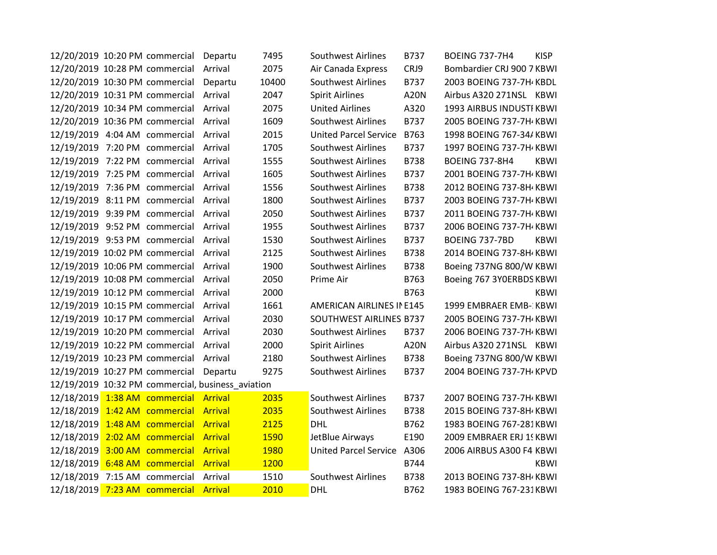|  | 12/20/2019 10:20 PM commercial Departu |                                                   | 7495  | <b>Southwest Airlines</b>    | B737        | <b>BOEING 737-7H4</b>     | <b>KISP</b> |
|--|----------------------------------------|---------------------------------------------------|-------|------------------------------|-------------|---------------------------|-------------|
|  | 12/20/2019 10:28 PM commercial Arrival |                                                   | 2075  | Air Canada Express           | CRJ9        | Bombardier CRJ 900 7 KBWI |             |
|  | 12/20/2019 10:30 PM commercial         | Departu                                           | 10400 | <b>Southwest Airlines</b>    | B737        | 2003 BOEING 737-7H KBDL   |             |
|  | 12/20/2019 10:31 PM commercial Arrival |                                                   | 2047  | Spirit Airlines              | <b>A20N</b> | Airbus A320 271NSL KBWI   |             |
|  | 12/20/2019 10:34 PM commercial Arrival |                                                   | 2075  | <b>United Airlines</b>       | A320        | 1993 AIRBUS INDUSTI KBWI  |             |
|  | 12/20/2019 10:36 PM commercial Arrival |                                                   | 1609  | Southwest Airlines           | B737        | 2005 BOEING 737-7H / KBWI |             |
|  | 12/19/2019 4:04 AM commercial Arrival  |                                                   | 2015  | <b>United Parcel Service</b> | B763        | 1998 BOEING 767-34/KBWI   |             |
|  | 12/19/2019 7:20 PM commercial          | Arrival                                           | 1705  | <b>Southwest Airlines</b>    | B737        | 1997 BOEING 737-7H KBWI   |             |
|  | 12/19/2019 7:22 PM commercial Arrival  |                                                   | 1555  | Southwest Airlines           | <b>B738</b> | <b>BOEING 737-8H4</b>     | <b>KBWI</b> |
|  | 12/19/2019 7:25 PM commercial Arrival  |                                                   | 1605  | Southwest Airlines           | B737        | 2001 BOEING 737-7H / KBWI |             |
|  | 12/19/2019 7:36 PM commercial Arrival  |                                                   | 1556  | Southwest Airlines           | B738        | 2012 BOEING 737-8H / KBWI |             |
|  | 12/19/2019 8:11 PM commercial Arrival  |                                                   | 1800  | Southwest Airlines           | B737        | 2003 BOEING 737-7H / KBWI |             |
|  | 12/19/2019 9:39 PM commercial Arrival  |                                                   | 2050  | <b>Southwest Airlines</b>    | B737        | 2011 BOEING 737-7H KBWI   |             |
|  | 12/19/2019 9:52 PM commercial Arrival  |                                                   | 1955  | <b>Southwest Airlines</b>    | B737        | 2006 BOEING 737-7H / KBWI |             |
|  | 12/19/2019 9:53 PM commercial Arrival  |                                                   | 1530  | Southwest Airlines           | B737        | BOEING 737-7BD            | <b>KBWI</b> |
|  | 12/19/2019 10:02 PM commercial Arrival |                                                   | 2125  | Southwest Airlines           | <b>B738</b> | 2014 BOEING 737-8H KBWI   |             |
|  | 12/19/2019 10:06 PM commercial Arrival |                                                   | 1900  | <b>Southwest Airlines</b>    | <b>B738</b> | Boeing 737NG 800/W KBWI   |             |
|  | 12/19/2019 10:08 PM commercial Arrival |                                                   | 2050  | Prime Air                    | B763        | Boeing 767 3YOERBDS KBWI  |             |
|  | 12/19/2019 10:12 PM commercial Arrival |                                                   | 2000  |                              | B763        |                           | <b>KBWI</b> |
|  | 12/19/2019 10:15 PM commercial Arrival |                                                   | 1661  | AMERICAN AIRLINES IN E145    |             | 1999 EMBRAER EMB- KBWI    |             |
|  | 12/19/2019 10:17 PM commercial Arrival |                                                   | 2030  | SOUTHWEST AIRLINES B737      |             | 2005 BOEING 737-7H / KBWI |             |
|  | 12/19/2019 10:20 PM commercial Arrival |                                                   | 2030  | <b>Southwest Airlines</b>    | B737        | 2006 BOEING 737-7H KBWI   |             |
|  | 12/19/2019 10:22 PM commercial Arrival |                                                   | 2000  | <b>Spirit Airlines</b>       | <b>A20N</b> | Airbus A320 271NSL KBWI   |             |
|  | 12/19/2019 10:23 PM commercial Arrival |                                                   | 2180  | <b>Southwest Airlines</b>    | <b>B738</b> | Boeing 737NG 800/W KBWI   |             |
|  | 12/19/2019 10:27 PM commercial Departu |                                                   | 9275  | Southwest Airlines           | B737        | 2004 BOEING 737-7H / KPVD |             |
|  |                                        | 12/19/2019 10:32 PM commercial, business_aviation |       |                              |             |                           |             |
|  | 12/18/2019 1:38 AM commercial Arrival  |                                                   | 2035  | Southwest Airlines           | B737        | 2007 BOEING 737-7H KBWI   |             |
|  | 12/18/2019 1:42 AM commercial Arrival  |                                                   | 2035  | Southwest Airlines           | B738        | 2015 BOEING 737-8H / KBWI |             |
|  | 12/18/2019 1:48 AM commercial Arrival  |                                                   | 2125  | DHL                          | B762        | 1983 BOEING 767-281KBWI   |             |
|  | 12/18/2019 2:02 AM commercial Arrival  |                                                   | 1590  | JetBlue Airways              | E190        | 2009 EMBRAER ERJ 15 KBWI  |             |
|  | 12/18/2019 3:00 AM commercial Arrival  |                                                   | 1980  | United Parcel Service A306   |             | 2006 AIRBUS A300 F4 KBWI  |             |
|  | 12/18/2019 6:48 AM commercial Arrival  |                                                   | 1200  |                              | B744        |                           | <b>KBWI</b> |
|  | 12/18/2019 7:15 AM commercial Arrival  |                                                   | 1510  | <b>Southwest Airlines</b>    | B738        | 2013 BOEING 737-8H / KBWI |             |
|  | 12/18/2019 7:23 AM commercial Arrival  |                                                   | 2010  | <b>DHL</b>                   | B762        | 1983 BOEING 767-231KBWI   |             |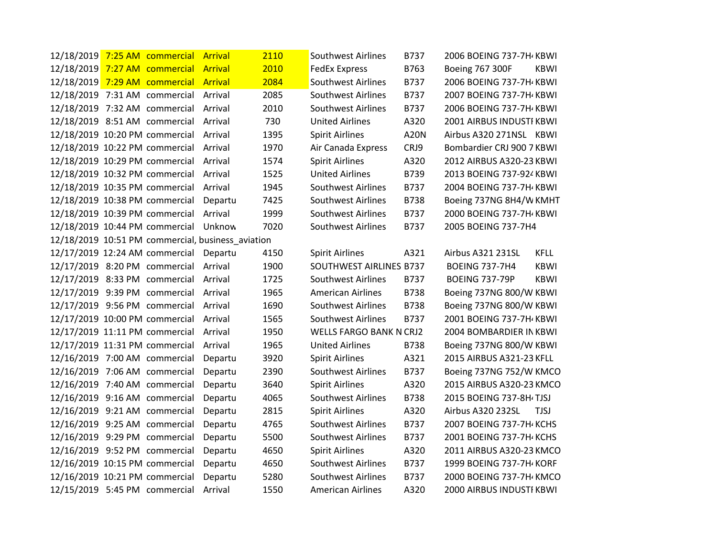| 12/18/2019 7:25 AM commercial  |  | <b>Arrival</b>                                    | 2110 | <b>Southwest Airlines</b>      | B737        | 2006 BOEING 737-7H KBWI         |             |
|--------------------------------|--|---------------------------------------------------|------|--------------------------------|-------------|---------------------------------|-------------|
| 12/18/2019 7:27 AM commercial  |  | <b>Arrival</b>                                    | 2010 | <b>FedEx Express</b>           | B763        | Boeing 767 300F                 | <b>KBWI</b> |
| 12/18/2019 7:29 AM commercial  |  | <b>Arrival</b>                                    | 2084 | <b>Southwest Airlines</b>      | B737        | 2006 BOEING 737-7H / KBWI       |             |
| 12/18/2019 7:31 AM commercial  |  | Arrival                                           | 2085 | <b>Southwest Airlines</b>      | B737        | 2007 BOEING 737-7H KBWI         |             |
| 12/18/2019 7:32 AM commercial  |  | Arrival                                           | 2010 | <b>Southwest Airlines</b>      | B737        | 2006 BOEING 737-7H / KBWI       |             |
| 12/18/2019 8:51 AM commercial  |  | Arrival                                           | 730  | <b>United Airlines</b>         | A320        | 2001 AIRBUS INDUSTI KBWI        |             |
| 12/18/2019 10:20 PM commercial |  | Arrival                                           | 1395 | <b>Spirit Airlines</b>         | <b>A20N</b> | Airbus A320 271NSL KBWI         |             |
| 12/18/2019 10:22 PM commercial |  | Arrival                                           | 1970 | Air Canada Express             | CRJ9        | Bombardier CRJ 900 7 KBWI       |             |
| 12/18/2019 10:29 PM commercial |  | Arrival                                           | 1574 | <b>Spirit Airlines</b>         | A320        | 2012 AIRBUS A320-23 KBWI        |             |
| 12/18/2019 10:32 PM commercial |  | Arrival                                           | 1525 | <b>United Airlines</b>         | B739        | 2013 BOEING 737-924 KBWI        |             |
| 12/18/2019 10:35 PM commercial |  | Arrival                                           | 1945 | <b>Southwest Airlines</b>      | B737        | 2004 BOEING 737-7H KBWI         |             |
| 12/18/2019 10:38 PM commercial |  | Departu                                           | 7425 | <b>Southwest Airlines</b>      | B738        | Boeing 737NG 8H4/W KMHT         |             |
| 12/18/2019 10:39 PM commercial |  | Arrival                                           | 1999 | <b>Southwest Airlines</b>      | B737        | 2000 BOEING 737-7H KBWI         |             |
| 12/18/2019 10:44 PM commercial |  | Unknow                                            | 7020 | <b>Southwest Airlines</b>      | B737        | 2005 BOEING 737-7H4             |             |
|                                |  | 12/18/2019 10:51 PM commercial, business_aviation |      |                                |             |                                 |             |
| 12/17/2019 12:24 AM commercial |  | Departu                                           | 4150 | <b>Spirit Airlines</b>         | A321        | Airbus A321 231SL               | <b>KFLL</b> |
| 12/17/2019 8:20 PM commercial  |  | Arrival                                           | 1900 | SOUTHWEST AIRLINES B737        |             | <b>BOEING 737-7H4</b>           | <b>KBWI</b> |
| 12/17/2019 8:33 PM commercial  |  | Arrival                                           | 1725 | <b>Southwest Airlines</b>      | B737        | <b>BOEING 737-79P</b>           | <b>KBWI</b> |
| 12/17/2019 9:39 PM commercial  |  | Arrival                                           | 1965 | <b>American Airlines</b>       | <b>B738</b> | Boeing 737NG 800/W KBWI         |             |
| 12/17/2019 9:56 PM commercial  |  | Arrival                                           | 1690 | <b>Southwest Airlines</b>      | <b>B738</b> | Boeing 737NG 800/W KBWI         |             |
| 12/17/2019 10:00 PM commercial |  | Arrival                                           | 1565 | <b>Southwest Airlines</b>      | B737        | 2001 BOEING 737-7H / KBWI       |             |
| 12/17/2019 11:11 PM commercial |  | Arrival                                           | 1950 | <b>WELLS FARGO BANK N CRJ2</b> |             | 2004 BOMBARDIER IN KBWI         |             |
| 12/17/2019 11:31 PM commercial |  | Arrival                                           | 1965 | <b>United Airlines</b>         | <b>B738</b> | Boeing 737NG 800/W KBWI         |             |
| 12/16/2019 7:00 AM commercial  |  | Departu                                           | 3920 | <b>Spirit Airlines</b>         | A321        | 2015 AIRBUS A321-23 KFLL        |             |
| 12/16/2019 7:06 AM commercial  |  | Departu                                           | 2390 | <b>Southwest Airlines</b>      | B737        | Boeing 737NG 752/W KMCO         |             |
| 12/16/2019 7:40 AM commercial  |  | Departu                                           | 3640 | <b>Spirit Airlines</b>         | A320        | 2015 AIRBUS A320-23 KMCO        |             |
| 12/16/2019 9:16 AM commercial  |  | Departu                                           | 4065 | <b>Southwest Airlines</b>      | B738        | 2015 BOEING 737-8H TJSJ         |             |
| 12/16/2019 9:21 AM commercial  |  | Departu                                           | 2815 | <b>Spirit Airlines</b>         | A320        | Airbus A320 232SL               | <b>TJSJ</b> |
| 12/16/2019 9:25 AM commercial  |  | Departu                                           | 4765 | <b>Southwest Airlines</b>      | B737        | 2007 BOEING 737-7H KCHS         |             |
| 12/16/2019 9:29 PM commercial  |  | Departu                                           | 5500 | <b>Southwest Airlines</b>      | B737        | 2001 BOEING 737-7H KCHS         |             |
| 12/16/2019 9:52 PM commercial  |  | Departu                                           | 4650 | <b>Spirit Airlines</b>         | A320        | 2011 AIRBUS A320-23 KMCO        |             |
| 12/16/2019 10:15 PM commercial |  | Departu                                           | 4650 | <b>Southwest Airlines</b>      | B737        | 1999 BOEING 737-7H KORF         |             |
| 12/16/2019 10:21 PM commercial |  | Departu                                           | 5280 | <b>Southwest Airlines</b>      | B737        | 2000 BOEING 737-7H KMCO         |             |
| 12/15/2019 5:45 PM commercial  |  | Arrival                                           | 1550 | American Airlines              | A320        | <b>2000 AIRBUS INDUSTI KBWI</b> |             |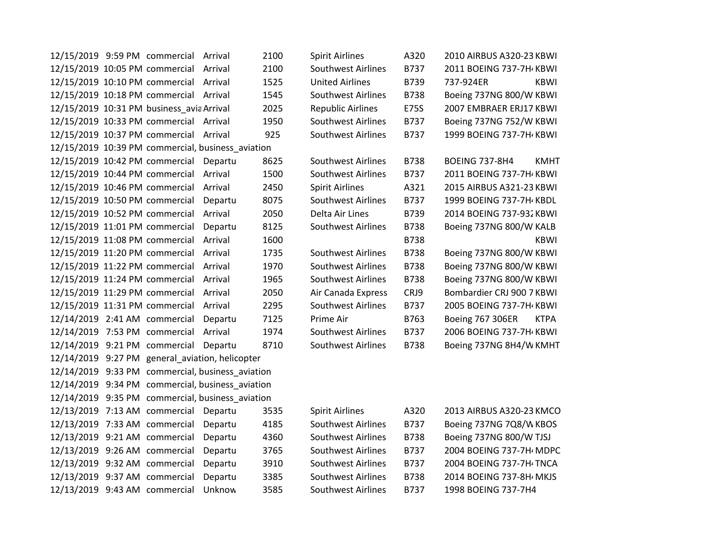| 12/15/2019 9:59 PM commercial                     | Arrival | 2100 | <b>Spirit Airlines</b>    | A320        | 2010 AIRBUS A320-23 KBWI             |
|---------------------------------------------------|---------|------|---------------------------|-------------|--------------------------------------|
| 12/15/2019 10:05 PM commercial                    | Arrival | 2100 | Southwest Airlines        | B737        | 2011 BOEING 737-7H KBWI              |
| 12/15/2019 10:10 PM commercial                    | Arrival | 1525 | <b>United Airlines</b>    | B739        | 737-924ER<br><b>KBWI</b>             |
| 12/15/2019 10:18 PM commercial                    | Arrival | 1545 | <b>Southwest Airlines</b> | <b>B738</b> | Boeing 737NG 800/W KBWI              |
| 12/15/2019 10:31 PM business_avia Arrival         |         | 2025 | <b>Republic Airlines</b>  | E75S        | 2007 EMBRAER ERJ17 KBWI              |
| 12/15/2019 10:33 PM commercial                    | Arrival | 1950 | <b>Southwest Airlines</b> | B737        | Boeing 737NG 752/W KBWI              |
| 12/15/2019 10:37 PM commercial                    | Arrival | 925  | <b>Southwest Airlines</b> | B737        | 1999 BOEING 737-7H KBWI              |
| 12/15/2019 10:39 PM commercial, business aviation |         |      |                           |             |                                      |
| 12/15/2019 10:42 PM commercial                    | Departu | 8625 | <b>Southwest Airlines</b> | <b>B738</b> | <b>BOEING 737-8H4</b><br><b>KMHT</b> |
| 12/15/2019 10:44 PM commercial                    | Arrival | 1500 | <b>Southwest Airlines</b> | B737        | 2011 BOEING 737-7H KBWI              |
| 12/15/2019 10:46 PM commercial                    | Arrival | 2450 | <b>Spirit Airlines</b>    | A321        | 2015 AIRBUS A321-23 KBWI             |
| 12/15/2019 10:50 PM commercial                    | Departu | 8075 | Southwest Airlines        | B737        | 1999 BOEING 737-7H KBDL              |
| 12/15/2019 10:52 PM commercial                    | Arrival | 2050 | Delta Air Lines           | B739        | 2014 BOEING 737-932 KBWI             |
| 12/15/2019 11:01 PM commercial                    | Departu | 8125 | Southwest Airlines        | B738        | Boeing 737NG 800/W KALB              |
| 12/15/2019 11:08 PM commercial                    | Arrival | 1600 |                           | B738        | <b>KBWI</b>                          |
| 12/15/2019 11:20 PM commercial                    | Arrival | 1735 | <b>Southwest Airlines</b> | <b>B738</b> | Boeing 737NG 800/W KBWI              |
| 12/15/2019 11:22 PM commercial                    | Arrival | 1970 | <b>Southwest Airlines</b> | B738        | Boeing 737NG 800/W KBWI              |
| 12/15/2019 11:24 PM commercial                    | Arrival | 1965 | <b>Southwest Airlines</b> | <b>B738</b> | Boeing 737NG 800/W KBWI              |
| 12/15/2019 11:29 PM commercial                    | Arrival | 2050 | Air Canada Express        | CRJ9        | Bombardier CRJ 900 7 KBWI            |
| 12/15/2019 11:31 PM commercial                    | Arrival | 2295 | <b>Southwest Airlines</b> | B737        | 2005 BOEING 737-7H / KBWI            |
| 12/14/2019 2:41 AM commercial                     | Departu | 7125 | Prime Air                 | B763        | Boeing 767 306ER<br><b>KTPA</b>      |
| 12/14/2019 7:53 PM commercial                     | Arrival | 1974 | Southwest Airlines        | B737        | 2006 BOEING 737-7H / KBWI            |
| 12/14/2019 9:21 PM commercial                     | Departu | 8710 | <b>Southwest Airlines</b> | <b>B738</b> | Boeing 737NG 8H4/W KMHT              |
| 12/14/2019 9:27 PM general aviation, helicopter   |         |      |                           |             |                                      |
| 12/14/2019 9:33 PM commercial, business aviation  |         |      |                           |             |                                      |
| 12/14/2019 9:34 PM commercial, business_aviation  |         |      |                           |             |                                      |
| 12/14/2019 9:35 PM commercial, business_aviation  |         |      |                           |             |                                      |
| 12/13/2019 7:13 AM commercial                     | Departu | 3535 | <b>Spirit Airlines</b>    | A320        | 2013 AIRBUS A320-23 KMCO             |
| 12/13/2019 7:33 AM commercial                     | Departu | 4185 | <b>Southwest Airlines</b> | B737        | Boeing 737NG 7Q8/W KBOS              |
| 12/13/2019 9:21 AM commercial                     | Departu | 4360 | <b>Southwest Airlines</b> | <b>B738</b> | Boeing 737NG 800/W TJSJ              |
| 12/13/2019 9:26 AM commercial                     | Departu | 3765 | Southwest Airlines        | B737        | 2004 BOEING 737-7H MDPC              |
| 12/13/2019 9:32 AM commercial                     | Departu | 3910 | <b>Southwest Airlines</b> | B737        | 2004 BOEING 737-7H TNCA              |
| 12/13/2019 9:37 AM commercial                     | Departu | 3385 | Southwest Airlines        | B738        | 2014 BOEING 737-8H/ MKJS             |
| 12/13/2019 9:43 AM commercial                     | Unknow  | 3585 | <b>Southwest Airlines</b> | B737        | 1998 BOEING 737-7H4                  |
|                                                   |         |      |                           |             |                                      |

| <b>Airlines</b>  | A320        | 2010 AIRBUS A320-23 KBW                |
|------------------|-------------|----------------------------------------|
| west Airlines    | B737        | 2011 BOEING 737-7H KBW                 |
| Airlines         | B739        | <b>KBW</b><br>737-924ER                |
| west Airlines    | B738        | Boeing 737NG 800/W KBW                 |
| lic Airlines     | <b>E75S</b> | 2007 EMBRAER ERJ17 KBW                 |
| west Airlines    | B737        | Boeing 737NG 752/W KBW                 |
| west Airlines    | B737        | 1999 BOEING 737-7H KBW                 |
|                  |             |                                        |
| west Airlines    | B738        | <b>KMH</b><br><b>BOEING 737-8H4</b>    |
| vest Airlines    | B737        | 2011 BOEING 737-7H KBW                 |
| <b>Nirlines</b>  | A321        | 2015 AIRBUS A321-23 KBW                |
| west Airlines    | B737        | 1999 BOEING 737-7H KBDL                |
| <b>Air Lines</b> | B739        | 2014 BOEING 737-932 KBW                |
| west Airlines    | B738        | Boeing 737NG 800/W KALB                |
|                  | B738        | <b>KBW</b>                             |
| vest Airlines    | B738        | Boeing 737NG 800/W KBW                 |
| west Airlines    | B738        | Boeing 737NG 800/W KBW                 |
| west Airlines    | B738        | Boeing 737NG 800/W KBW                 |
| ada Express      | CRJ9        | Bombardier CRJ 900 7 KBW               |
| west Airlines    | B737        | 2005 BOEING 737-7H KBW                 |
| Air              | B763        | <b>Boeing 767 306ER</b><br><b>KTPA</b> |
| vest Airlines    | B737        | 2006 BOEING 737-7H / KBW               |
| west Airlines    | B738        | Boeing 737NG 8H4/W KMH                 |
|                  |             |                                        |
|                  |             |                                        |
|                  |             |                                        |
|                  |             |                                        |
| <b>Nirlines</b>  | A320        | 2013 AIRBUS A320-23 KMC                |
| west Airlines    | B737        | Boeing 737NG 7Q8/W KBOS                |
| west Airlines    | B738        | Boeing 737NG 800/W TJSJ                |
| west Airlines    | B737        | 2004 BOEING 737-7H MDP                 |
| west Airlines    | B737        | 2004 BOEING 737-7H TNC/                |
| west Airlines    | B738        | 2014 BOEING 737-8H/ MKJS               |
| west Airlines    | B737        | 1998 BOEING 737-7H4                    |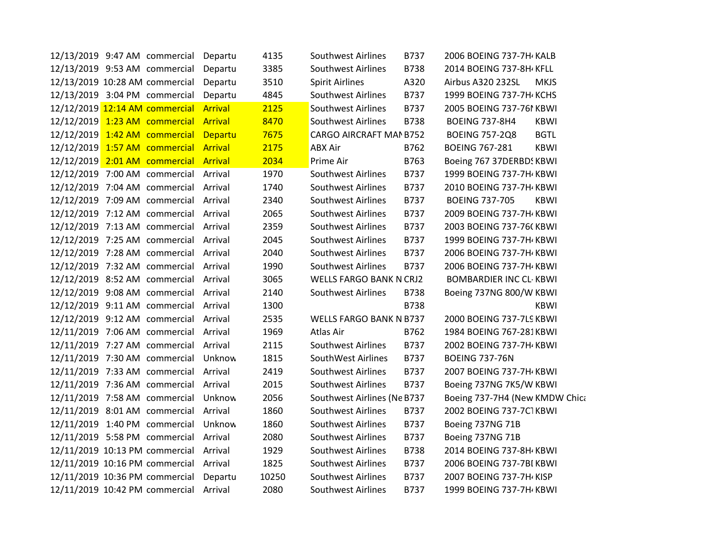|  | 12/13/2019 9:47 AM commercial Departu  |         | 4135  | Southwest Airlines             | B737 | 2006 BOEING 737-7H KALB        |             |
|--|----------------------------------------|---------|-------|--------------------------------|------|--------------------------------|-------------|
|  | 12/13/2019 9:53 AM commercial          | Departu | 3385  | Southwest Airlines             | B738 | 2014 BOEING 737-8H KFLL        |             |
|  | 12/13/2019 10:28 AM commercial         | Departu | 3510  | <b>Spirit Airlines</b>         | A320 | Airbus A320 232SL              | <b>MKJS</b> |
|  | 12/13/2019 3:04 PM commercial Departu  |         | 4845  | <b>Southwest Airlines</b>      | B737 | 1999 BOEING 737-7H KCHS        |             |
|  | 12/12/2019 12:14 AM commercial Arrival |         | 2125  | <b>Southwest Airlines</b>      | B737 | 2005 BOEING 737-761 KBWI       |             |
|  | 12/12/2019 1:23 AM commercial Arrival  |         | 8470  | Southwest Airlines             | B738 | <b>BOEING 737-8H4</b>          | <b>KBWI</b> |
|  | 12/12/2019 1:42 AM commercial Departu  |         | 7675  | CARGO AIRCRAFT MAN B752        |      | <b>BOEING 757-2Q8</b>          | <b>BGTL</b> |
|  | 12/12/2019 1:57 AM commercial Arrival  |         | 2175  | <b>ABX Air</b>                 | B762 | <b>BOEING 767-281</b>          | <b>KBWI</b> |
|  | 12/12/2019 2:01 AM commercial Arrival  |         | 2034  | Prime Air                      | B763 | Boeing 767 37DERBDS KBWI       |             |
|  | 12/12/2019 7:00 AM commercial Arrival  |         | 1970  | Southwest Airlines             | B737 | 1999 BOEING 737-7H KBWI        |             |
|  | 12/12/2019 7:04 AM commercial Arrival  |         | 1740  | <b>Southwest Airlines</b>      | B737 | 2010 BOEING 737-7H KBWI        |             |
|  | 12/12/2019 7:09 AM commercial Arrival  |         | 2340  | <b>Southwest Airlines</b>      | B737 | <b>BOEING 737-705</b>          | <b>KBWI</b> |
|  | 12/12/2019 7:12 AM commercial Arrival  |         | 2065  | <b>Southwest Airlines</b>      | B737 | 2009 BOEING 737-7H KBWI        |             |
|  | 12/12/2019 7:13 AM commercial Arrival  |         | 2359  | <b>Southwest Airlines</b>      | B737 | 2003 BOEING 737-76(KBWI        |             |
|  | 12/12/2019 7:25 AM commercial Arrival  |         | 2045  | <b>Southwest Airlines</b>      | B737 | 1999 BOEING 737-7H KBWI        |             |
|  | 12/12/2019 7:28 AM commercial Arrival  |         | 2040  | <b>Southwest Airlines</b>      | B737 | 2006 BOEING 737-7H KBWI        |             |
|  | 12/12/2019 7:32 AM commercial Arrival  |         | 1990  | <b>Southwest Airlines</b>      | B737 | 2006 BOEING 737-7H KBWI        |             |
|  | 12/12/2019 8:52 AM commercial Arrival  |         | 3065  | WELLS FARGO BANK N CRJ2        |      | <b>BOMBARDIER INC CL-KBWI</b>  |             |
|  | 12/12/2019 9:08 AM commercial Arrival  |         | 2140  | <b>Southwest Airlines</b>      | B738 | Boeing 737NG 800/W KBWI        |             |
|  | 12/12/2019 9:11 AM commercial Arrival  |         | 1300  |                                | B738 |                                | <b>KBWI</b> |
|  | 12/12/2019 9:12 AM commercial Arrival  |         | 2535  | <b>WELLS FARGO BANK N B737</b> |      | 2000 BOEING 737-7LS KBWI       |             |
|  | 12/11/2019 7:06 AM commercial Arrival  |         | 1969  | Atlas Air                      | B762 | 1984 BOEING 767-281KBWI        |             |
|  | 12/11/2019 7:27 AM commercial Arrival  |         | 2115  | <b>Southwest Airlines</b>      | B737 | 2002 BOEING 737-7H KBWI        |             |
|  | 12/11/2019 7:30 AM commercial Unknow   |         | 1815  | SouthWest Airlines             | B737 | <b>BOEING 737-76N</b>          |             |
|  | 12/11/2019 7:33 AM commercial Arrival  |         | 2419  | <b>Southwest Airlines</b>      | B737 | 2007 BOEING 737-7H KBWI        |             |
|  | 12/11/2019 7:36 AM commercial Arrival  |         | 2015  | <b>Southwest Airlines</b>      | B737 | Boeing 737NG 7K5/W KBWI        |             |
|  | 12/11/2019 7:58 AM commercial Unknow   |         | 2056  | Southwest Airlines (Ne B737    |      | Boeing 737-7H4 (New KMDW Chica |             |
|  | 12/11/2019 8:01 AM commercial Arrival  |         | 1860  | <b>Southwest Airlines</b>      | B737 | 2002 BOEING 737-7C1KBWI        |             |
|  | 12/11/2019 1:40 PM commercial Unknow   |         | 1860  | <b>Southwest Airlines</b>      | B737 | Boeing 737NG 71B               |             |
|  | 12/11/2019 5:58 PM commercial Arrival  |         | 2080  | <b>Southwest Airlines</b>      | B737 | Boeing 737NG 71B               |             |
|  | 12/11/2019 10:13 PM commercial Arrival |         | 1929  | Southwest Airlines             | B738 | 2014 BOEING 737-8H KBWI        |             |
|  | 12/11/2019 10:16 PM commercial Arrival |         | 1825  | Southwest Airlines             | B737 | 2006 BOEING 737-7BI KBWI       |             |
|  | 12/11/2019 10:36 PM commercial Departu |         | 10250 | <b>Southwest Airlines</b>      | B737 | 2007 BOEING 737-7H KISP        |             |
|  | 12/11/2019 10:42 PM commercial Arrival |         | 2080  | <b>Southwest Airlines</b>      | B737 | 1999 BOEING 737-7H KBWI        |             |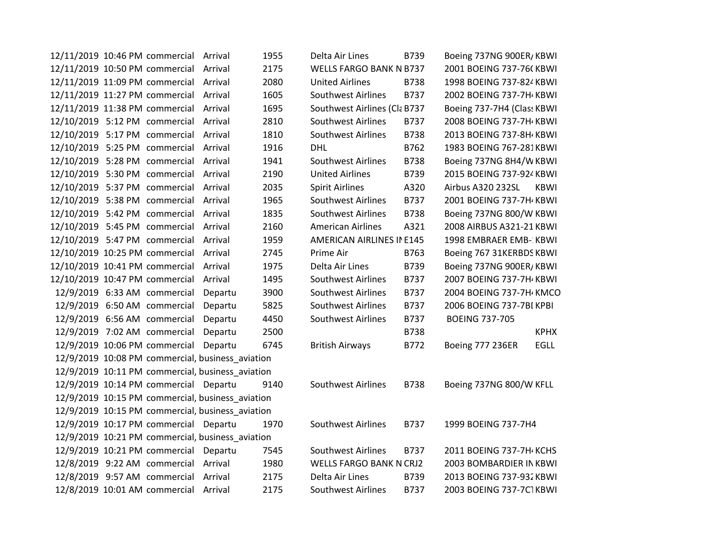| 12/11/2019 10:46 PM commercial Arrival           |         | 1955 | Delta Air Lines                | B739        | Boeing 737NG 900ER/KBWI    |             |
|--------------------------------------------------|---------|------|--------------------------------|-------------|----------------------------|-------------|
| 12/11/2019 10:50 PM commercial Arrival           |         | 2175 | WELLS FARGO BANK N B737        |             | 2001 BOEING 737-76(KBWI    |             |
| 12/11/2019 11:09 PM commercial Arrival           |         | 2080 | <b>United Airlines</b>         | B738        | 1998 BOEING 737-824 KBWI   |             |
| 12/11/2019 11:27 PM commercial Arrival           |         | 1605 | <b>Southwest Airlines</b>      | B737        | 2002 BOEING 737-7H KBWI    |             |
| 12/11/2019 11:38 PM commercial Arrival           |         | 1695 | Southwest Airlines (Cla B737   |             | Boeing 737-7H4 (Class KBWI |             |
| 12/10/2019 5:12 PM commercial Arrival            |         | 2810 | <b>Southwest Airlines</b>      | <b>B737</b> | 2008 BOEING 737-7H KBWI    |             |
| 12/10/2019 5:17 PM commercial Arrival            |         | 1810 | <b>Southwest Airlines</b>      | <b>B738</b> | 2013 BOEING 737-8H / KBWI  |             |
| 12/10/2019 5:25 PM commercial Arrival            |         | 1916 | DHL                            | B762        | 1983 BOEING 767-281KBWI    |             |
| 12/10/2019 5:28 PM commercial Arrival            |         | 1941 | <b>Southwest Airlines</b>      | B738        | Boeing 737NG 8H4/W KBWI    |             |
| 12/10/2019 5:30 PM commercial Arrival            |         | 2190 | <b>United Airlines</b>         | B739        | 2015 BOEING 737-924 KBWI   |             |
| 12/10/2019 5:37 PM commercial Arrival            |         | 2035 | <b>Spirit Airlines</b>         | A320        | Airbus A320 232SL          | KBWI        |
| 12/10/2019 5:38 PM commercial Arrival            |         | 1965 | <b>Southwest Airlines</b>      | B737        | 2001 BOEING 737-7H / KBWI  |             |
| 12/10/2019 5:42 PM commercial Arrival            |         | 1835 | <b>Southwest Airlines</b>      | B738        | Boeing 737NG 800/W KBWI    |             |
| 12/10/2019 5:45 PM commercial                    | Arrival | 2160 | <b>American Airlines</b>       | A321        | 2008 AIRBUS A321-21 KBWI   |             |
| 12/10/2019 5:47 PM commercial Arrival            |         | 1959 | AMERICAN AIRLINES IN E145      |             | 1998 EMBRAER EMB- KBWI     |             |
| 12/10/2019 10:25 PM commercial                   | Arrival | 2745 | Prime Air                      | B763        | Boeing 767 31KERBDS KBWI   |             |
| 12/10/2019 10:41 PM commercial                   | Arrival | 1975 | Delta Air Lines                | B739        | Boeing 737NG 900ER/KBWI    |             |
| 12/10/2019 10:47 PM commercial                   | Arrival | 1495 | <b>Southwest Airlines</b>      | B737        | 2007 BOEING 737-7H KBWI    |             |
| 12/9/2019 6:33 AM commercial                     | Departu | 3900 | <b>Southwest Airlines</b>      | B737        | 2004 BOEING 737-7H KMCO    |             |
| 12/9/2019 6:50 AM commercial                     | Departu | 5825 | Southwest Airlines             | B737        | 2006 BOEING 737-7BI KPBI   |             |
| 12/9/2019 6:56 AM commercial                     | Departu | 4450 | <b>Southwest Airlines</b>      | B737        | <b>BOEING 737-705</b>      |             |
| 12/9/2019 7:02 AM commercial                     | Departu | 2500 |                                | B738        |                            | <b>KPHX</b> |
| 12/9/2019 10:06 PM commercial                    | Departu | 6745 | <b>British Airways</b>         | B772        | <b>Boeing 777 236ER</b>    | <b>EGLL</b> |
| 12/9/2019 10:08 PM commercial, business_aviation |         |      |                                |             |                            |             |
| 12/9/2019 10:11 PM commercial, business_aviation |         |      |                                |             |                            |             |
| 12/9/2019 10:14 PM commercial Departu            |         | 9140 | <b>Southwest Airlines</b>      | B738        | Boeing 737NG 800/W KFLL    |             |
| 12/9/2019 10:15 PM commercial, business_aviation |         |      |                                |             |                            |             |
| 12/9/2019 10:15 PM commercial, business_aviation |         |      |                                |             |                            |             |
| 12/9/2019 10:17 PM commercial Departu            |         | 1970 | <b>Southwest Airlines</b>      | B737        | 1999 BOEING 737-7H4        |             |
| 12/9/2019 10:21 PM commercial, business_aviation |         |      |                                |             |                            |             |
| 12/9/2019 10:21 PM commercial Departu            |         | 7545 | <b>Southwest Airlines</b>      | B737        | 2011 BOEING 737-7H KCHS    |             |
| 12/8/2019 9:22 AM commercial Arrival             |         | 1980 | <b>WELLS FARGO BANK N CRJ2</b> |             | 2003 BOMBARDIER IN KBWI    |             |
| 12/8/2019 9:57 AM commercial Arrival             |         | 2175 | Delta Air Lines                | B739        | 2013 BOEING 737-932 KBWI   |             |
| 12/8/2019 10:01 AM commercial Arrival            |         | 2175 | Southwest Airlines             | B737        | 2003 BOEING 737-7C1KBWI    |             |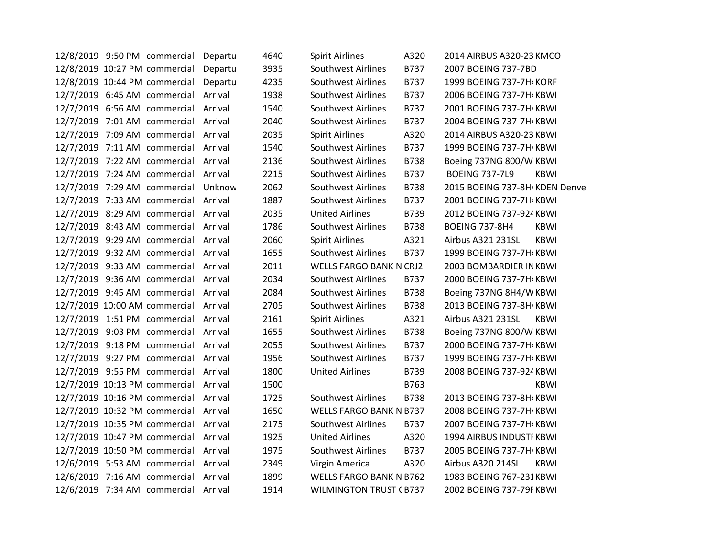|  | 12/8/2019 9:50 PM commercial          | Departu | 4640 | <b>Spirit Airlines</b>         | A320        | 2014 AIRBUS A320-23 KMCO      |             |
|--|---------------------------------------|---------|------|--------------------------------|-------------|-------------------------------|-------------|
|  | 12/8/2019 10:27 PM commercial         | Departu | 3935 | <b>Southwest Airlines</b>      | B737        | 2007 BOEING 737-7BD           |             |
|  | 12/8/2019 10:44 PM commercial         | Departu | 4235 | <b>Southwest Airlines</b>      | B737        | 1999 BOEING 737-7H KORF       |             |
|  | 12/7/2019 6:45 AM commercial          | Arrival | 1938 | <b>Southwest Airlines</b>      | B737        | 2006 BOEING 737-7H KBWI       |             |
|  | 12/7/2019 6:56 AM commercial          | Arrival | 1540 | <b>Southwest Airlines</b>      | B737        | 2001 BOEING 737-7H KBWI       |             |
|  | 12/7/2019 7:01 AM commercial          | Arrival | 2040 | <b>Southwest Airlines</b>      | B737        | 2004 BOEING 737-7H KBWI       |             |
|  | 12/7/2019 7:09 AM commercial          | Arrival | 2035 | <b>Spirit Airlines</b>         | A320        | 2014 AIRBUS A320-23 KBWI      |             |
|  | 12/7/2019 7:11 AM commercial          | Arrival | 1540 | Southwest Airlines             | B737        | 1999 BOEING 737-7H KBWI       |             |
|  | 12/7/2019 7:22 AM commercial          | Arrival | 2136 | <b>Southwest Airlines</b>      | <b>B738</b> | Boeing 737NG 800/W KBWI       |             |
|  | 12/7/2019 7:24 AM commercial          | Arrival | 2215 | <b>Southwest Airlines</b>      | B737        | <b>BOEING 737-7L9</b>         | KBWI        |
|  | 12/7/2019 7:29 AM commercial          | Unknow  | 2062 | <b>Southwest Airlines</b>      | <b>B738</b> | 2015 BOEING 737-8H KDEN Denve |             |
|  | 12/7/2019 7:33 AM commercial          | Arrival | 1887 | <b>Southwest Airlines</b>      | B737        | 2001 BOEING 737-7H / KBWI     |             |
|  | 12/7/2019 8:29 AM commercial          | Arrival | 2035 | <b>United Airlines</b>         | B739        | 2012 BOEING 737-924 KBWI      |             |
|  | 12/7/2019 8:43 AM commercial Arrival  |         | 1786 | Southwest Airlines             | <b>B738</b> | <b>BOEING 737-8H4</b>         | KBWI        |
|  | 12/7/2019 9:29 AM commercial          | Arrival | 2060 | <b>Spirit Airlines</b>         | A321        | Airbus A321 231SL             | <b>KBWI</b> |
|  | 12/7/2019 9:32 AM commercial          | Arrival | 1655 | <b>Southwest Airlines</b>      | B737        | 1999 BOEING 737-7H KBWI       |             |
|  | 12/7/2019 9:33 AM commercial          | Arrival | 2011 | <b>WELLS FARGO BANK N CRJ2</b> |             | 2003 BOMBARDIER IN KBWI       |             |
|  | 12/7/2019 9:36 AM commercial          | Arrival | 2034 | <b>Southwest Airlines</b>      | B737        | 2000 BOEING 737-7H / KBWI     |             |
|  | 12/7/2019 9:45 AM commercial          | Arrival | 2084 | <b>Southwest Airlines</b>      | <b>B738</b> | Boeing 737NG 8H4/W KBWI       |             |
|  | 12/7/2019 10:00 AM commercial Arrival |         | 2705 | <b>Southwest Airlines</b>      | <b>B738</b> | 2013 BOEING 737-8H KBWI       |             |
|  | 12/7/2019 1:51 PM commercial          | Arrival | 2161 | <b>Spirit Airlines</b>         | A321        | Airbus A321 231SL             | KBWI        |
|  | 12/7/2019 9:03 PM commercial          | Arrival | 1655 | <b>Southwest Airlines</b>      | <b>B738</b> | Boeing 737NG 800/W KBWI       |             |
|  | 12/7/2019 9:18 PM commercial          | Arrival | 2055 | <b>Southwest Airlines</b>      | B737        | 2000 BOEING 737-7H KBWI       |             |
|  | 12/7/2019 9:27 PM commercial          | Arrival | 1956 | <b>Southwest Airlines</b>      | B737        | 1999 BOEING 737-7H KBWI       |             |
|  | 12/7/2019 9:55 PM commercial          | Arrival | 1800 | <b>United Airlines</b>         | B739        | 2008 BOEING 737-924 KBWI      |             |
|  | 12/7/2019 10:13 PM commercial         | Arrival | 1500 |                                | B763        |                               | <b>KBWI</b> |
|  | 12/7/2019 10:16 PM commercial         | Arrival | 1725 | <b>Southwest Airlines</b>      | B738        | 2013 BOEING 737-8H / KBWI     |             |
|  | 12/7/2019 10:32 PM commercial         | Arrival | 1650 | <b>WELLS FARGO BANK N B737</b> |             | 2008 BOEING 737-7H KBWI       |             |
|  | 12/7/2019 10:35 PM commercial         | Arrival | 2175 | Southwest Airlines             | B737        | 2007 BOEING 737-7H KBWI       |             |
|  | 12/7/2019 10:47 PM commercial         | Arrival | 1925 | <b>United Airlines</b>         | A320        | 1994 AIRBUS INDUSTI KBWI      |             |
|  | 12/7/2019 10:50 PM commercial         | Arrival | 1975 | <b>Southwest Airlines</b>      | B737        | 2005 BOEING 737-7H / KBWI     |             |
|  | 12/6/2019 5:53 AM commercial          | Arrival | 2349 | Virgin America                 | A320        | Airbus A320 214SL             | KBWI        |
|  | 12/6/2019 7:16 AM commercial Arrival  |         | 1899 | <b>WELLS FARGO BANK N B762</b> |             | 1983 BOEING 767-231KBWI       |             |
|  | 12/6/2019 7:34 AM commercial Arrival  |         | 1914 | <b>WILMINGTON TRUST (B737</b>  |             | 2002 BOEING 737-79F KBWI      |             |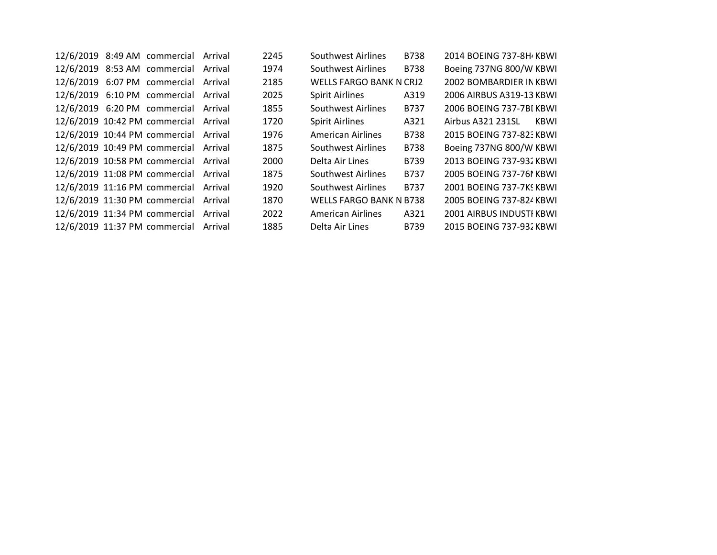|  | 12/6/2019 8:49 AM commercial          | Arrival | 2245 | Southwest Airlines             | <b>B738</b> | 2014 BOEING 737-8H KBWL   |
|--|---------------------------------------|---------|------|--------------------------------|-------------|---------------------------|
|  | 12/6/2019 8:53 AM commercial Arrival  |         | 1974 | Southwest Airlines             | <b>B738</b> | Boeing 737NG 800/W KBWI   |
|  | 12/6/2019 6:07 PM commercial          | Arrival | 2185 | <b>WELLS FARGO BANK N CRJ2</b> |             | 2002 BOMBARDIER IN KBWL   |
|  | 12/6/2019 6:10 PM commercial Arrival  |         | 2025 | <b>Spirit Airlines</b>         | A319        | 2006 AIRBUS A319-13 KBWI  |
|  | 12/6/2019 6:20 PM commercial Arrival  |         | 1855 | Southwest Airlines             | B737        | 2006 BOEING 737-7BI KBWL  |
|  | 12/6/2019 10:42 PM commercial         | Arrival | 1720 | <b>Spirit Airlines</b>         | A321        | Airbus A321 231SL<br>KBWI |
|  | 12/6/2019 10:44 PM commercial Arrival |         | 1976 | <b>American Airlines</b>       | <b>B738</b> | 2015 BOEING 737-823 KBWL  |
|  | 12/6/2019 10:49 PM commercial Arrival |         | 1875 | Southwest Airlines             | <b>B738</b> | Boeing 737NG 800/W KBWI   |
|  | 12/6/2019 10:58 PM commercial Arrival |         | 2000 | Delta Air Lines                | B739        | 2013 BOEING 737-932 KBWL  |
|  | 12/6/2019 11:08 PM commercial         | Arrival | 1875 | Southwest Airlines             | <b>B737</b> | 2005 BOEING 737-761 KBWL  |
|  | 12/6/2019 11:16 PM commercial Arrival |         | 1920 | Southwest Airlines             | B737        | 2001 BOEING 737-7KS KBWL  |
|  | 12/6/2019 11:30 PM commercial         | Arrival | 1870 | <b>WELLS FARGO BANK N B738</b> |             | 2005 BOEING 737-824 KBWL  |
|  | 12/6/2019 11:34 PM commercial         | Arrival | 2022 | American Airlines              | A321        | 2001 AIRBUS INDUSTI KBWL  |
|  | 12/6/2019 11:37 PM commercial         | Arrival | 1885 | Delta Air Lines                | B739        | 2015 BOEING 737-932 KBWL  |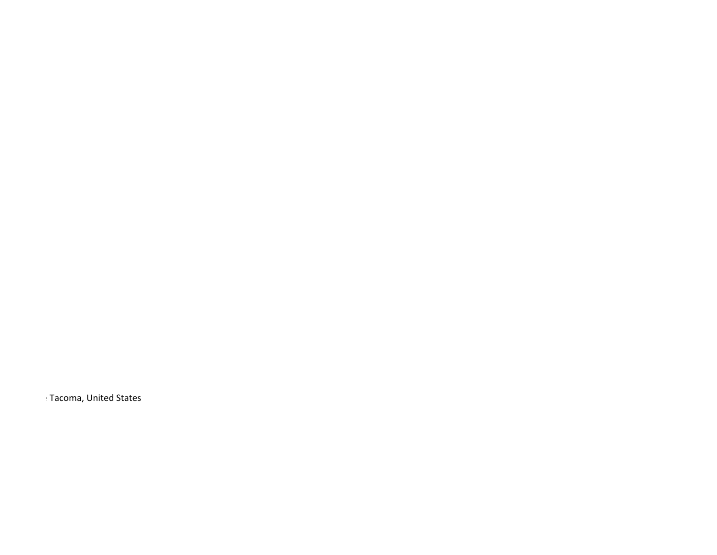Kacoma, United States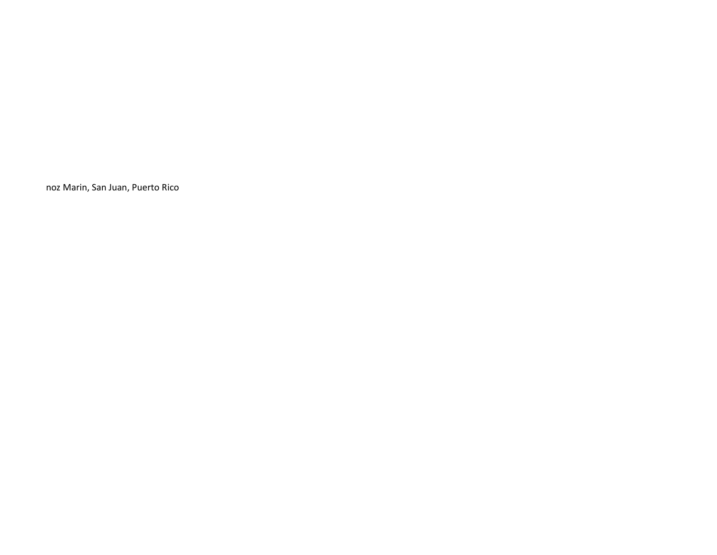noz Marin, San Juan, Puerto Rico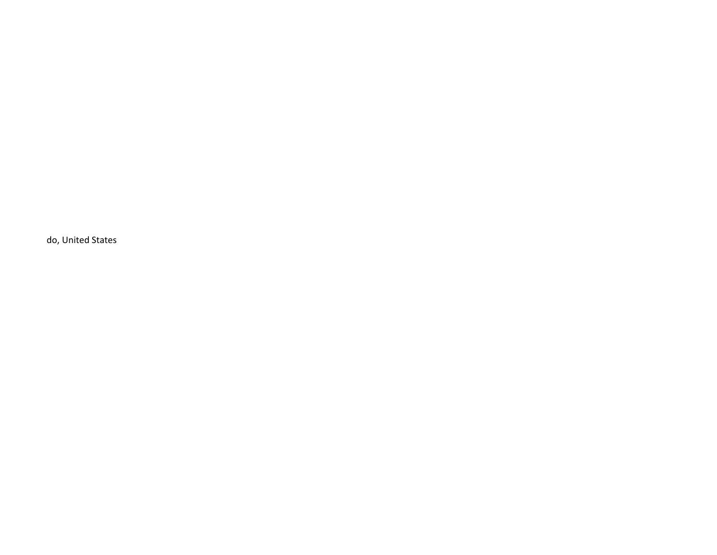do, United States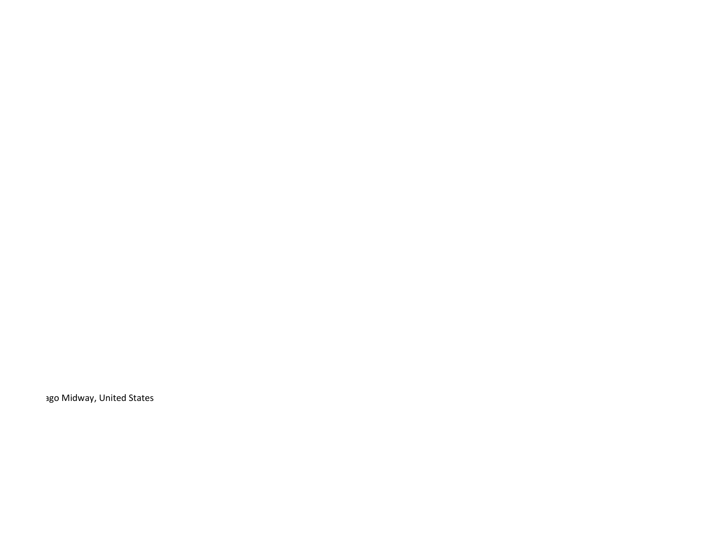ago Midway, United States